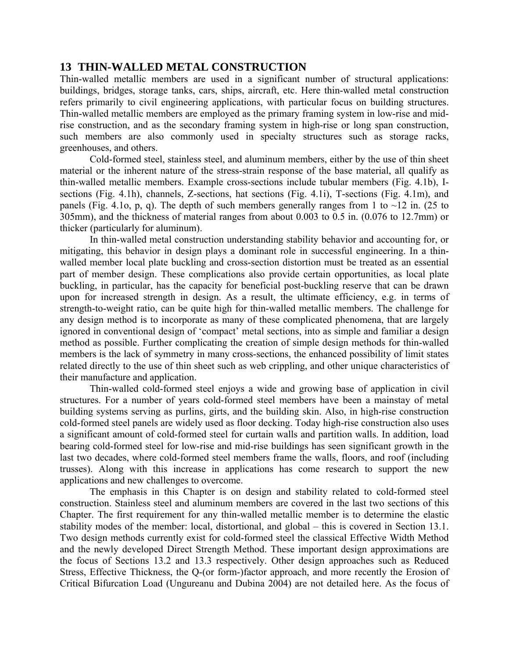# **13 THIN-WALLED METAL CONSTRUCTION**

Thin-walled metallic members are used in a significant number of structural applications: buildings, bridges, storage tanks, cars, ships, aircraft, etc. Here thin-walled metal construction refers primarily to civil engineering applications, with particular focus on building structures. Thin-walled metallic members are employed as the primary framing system in low-rise and midrise construction, and as the secondary framing system in high-rise or long span construction, such members are also commonly used in specialty structures such as storage racks, greenhouses, and others.

Cold-formed steel, stainless steel, and aluminum members, either by the use of thin sheet material or the inherent nature of the stress-strain response of the base material, all qualify as thin-walled metallic members. Example cross-sections include tubular members (Fig. 4.1b), Isections (Fig. 4.1h), channels, Z-sections, hat sections (Fig. 4.1i), T-sections (Fig. 4.1m), and panels (Fig. 4.1o, p, q). The depth of such members generally ranges from 1 to  $\sim$ 12 in. (25 to 305mm), and the thickness of material ranges from about 0.003 to 0.5 in. (0.076 to 12.7mm) or thicker (particularly for aluminum).

In thin-walled metal construction understanding stability behavior and accounting for, or mitigating, this behavior in design plays a dominant role in successful engineering. In a thinwalled member local plate buckling and cross-section distortion must be treated as an essential part of member design. These complications also provide certain opportunities, as local plate buckling, in particular, has the capacity for beneficial post-buckling reserve that can be drawn upon for increased strength in design. As a result, the ultimate efficiency, e.g. in terms of strength-to-weight ratio, can be quite high for thin-walled metallic members. The challenge for any design method is to incorporate as many of these complicated phenomena, that are largely ignored in conventional design of 'compact' metal sections, into as simple and familiar a design method as possible. Further complicating the creation of simple design methods for thin-walled members is the lack of symmetry in many cross-sections, the enhanced possibility of limit states related directly to the use of thin sheet such as web crippling, and other unique characteristics of their manufacture and application.

Thin-walled cold-formed steel enjoys a wide and growing base of application in civil structures. For a number of years cold-formed steel members have been a mainstay of metal building systems serving as purlins, girts, and the building skin. Also, in high-rise construction cold-formed steel panels are widely used as floor decking. Today high-rise construction also uses a significant amount of cold-formed steel for curtain walls and partition walls. In addition, load bearing cold-formed steel for low-rise and mid-rise buildings has seen significant growth in the last two decades, where cold-formed steel members frame the walls, floors, and roof (including trusses). Along with this increase in applications has come research to support the new applications and new challenges to overcome.

The emphasis in this Chapter is on design and stability related to cold-formed steel construction. Stainless steel and aluminum members are covered in the last two sections of this Chapter. The first requirement for any thin-walled metallic member is to determine the elastic stability modes of the member: local, distortional, and global – this is covered in Section 13.1. Two design methods currently exist for cold-formed steel the classical Effective Width Method and the newly developed Direct Strength Method. These important design approximations are the focus of Sections 13.2 and 13.3 respectively. Other design approaches such as Reduced Stress, Effective Thickness, the Q-(or form-)factor approach, and more recently the Erosion of Critical Bifurcation Load (Ungureanu and Dubina 2004) are not detailed here. As the focus of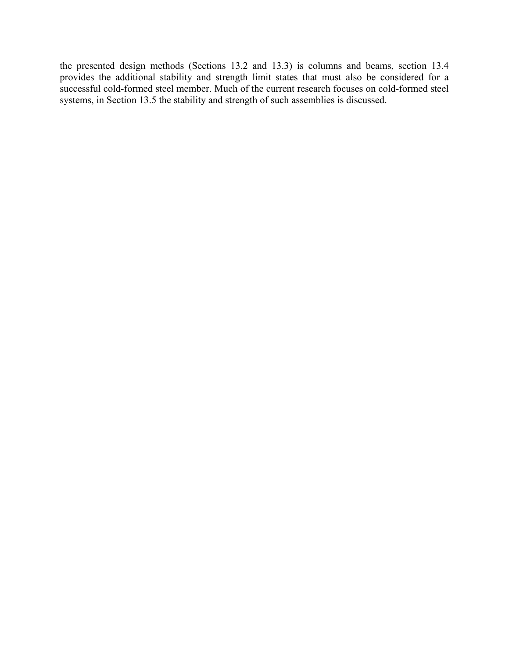the presented design methods (Sections 13.2 and 13.3) is columns and beams, section 13.4 provides the additional stability and strength limit states that must also be considered for a successful cold-formed steel member. Much of the current research focuses on cold-formed steel systems, in Section 13.5 the stability and strength of such assemblies is discussed.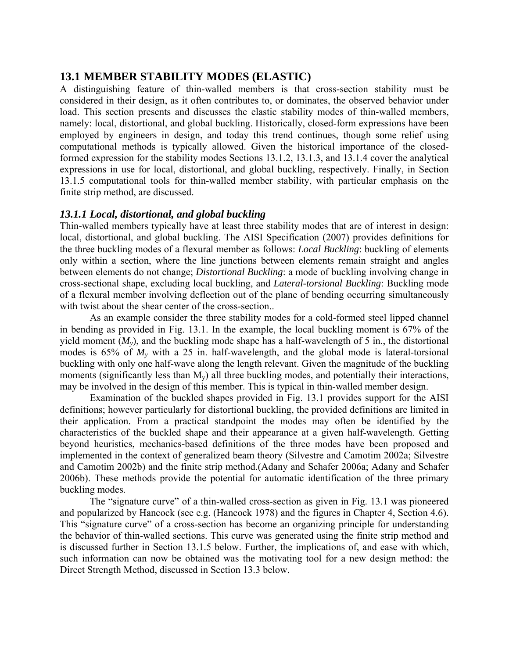# **13.1 MEMBER STABILITY MODES (ELASTIC)**

A distinguishing feature of thin-walled members is that cross-section stability must be considered in their design, as it often contributes to, or dominates, the observed behavior under load. This section presents and discusses the elastic stability modes of thin-walled members, namely: local, distortional, and global buckling. Historically, closed-form expressions have been employed by engineers in design, and today this trend continues, though some relief using computational methods is typically allowed. Given the historical importance of the closedformed expression for the stability modes Sections 13.1.2, 13.1.3, and 13.1.4 cover the analytical expressions in use for local, distortional, and global buckling, respectively. Finally, in Section 13.1.5 computational tools for thin-walled member stability, with particular emphasis on the finite strip method, are discussed.

# *13.1.1 Local, distortional, and global buckling*

Thin-walled members typically have at least three stability modes that are of interest in design: local, distortional, and global buckling. The AISI Specification (2007) provides definitions for the three buckling modes of a flexural member as follows: *Local Buckling*: buckling of elements only within a section, where the line junctions between elements remain straight and angles between elements do not change; *Distortional Buckling*: a mode of buckling involving change in cross-sectional shape, excluding local buckling, and *Lateral-torsional Buckling*: Buckling mode of a flexural member involving deflection out of the plane of bending occurring simultaneously with twist about the shear center of the cross-section..

As an example consider the three stability modes for a cold-formed steel lipped channel in bending as provided in Fig. 13.1. In the example, the local buckling moment is 67% of the yield moment  $(M_v)$ , and the buckling mode shape has a half-wavelength of 5 in., the distortional modes is 65% of *My* with a 25 in. half-wavelength, and the global mode is lateral-torsional buckling with only one half-wave along the length relevant. Given the magnitude of the buckling moments (significantly less than  $M_v$ ) all three buckling modes, and potentially their interactions, may be involved in the design of this member. This is typical in thin-walled member design.

Examination of the buckled shapes provided in Fig. 13.1 provides support for the AISI definitions; however particularly for distortional buckling, the provided definitions are limited in their application. From a practical standpoint the modes may often be identified by the characteristics of the buckled shape and their appearance at a given half-wavelength. Getting beyond heuristics, mechanics-based definitions of the three modes have been proposed and implemented in the context of generalized beam theory (Silvestre and Camotim 2002a; Silvestre and Camotim 2002b) and the finite strip method.(Adany and Schafer 2006a; Adany and Schafer 2006b). These methods provide the potential for automatic identification of the three primary buckling modes.

The "signature curve" of a thin-walled cross-section as given in Fig. 13.1 was pioneered and popularized by Hancock (see e.g. (Hancock 1978) and the figures in Chapter 4, Section 4.6). This "signature curve" of a cross-section has become an organizing principle for understanding the behavior of thin-walled sections. This curve was generated using the finite strip method and is discussed further in Section 13.1.5 below. Further, the implications of, and ease with which, such information can now be obtained was the motivating tool for a new design method: the Direct Strength Method, discussed in Section 13.3 below.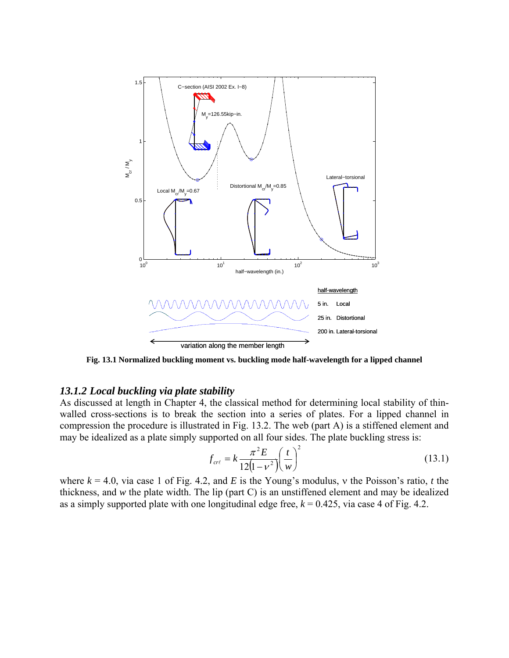

**Fig. 13.1 Normalized buckling moment vs. buckling mode half-wavelength for a lipped channel** 

## *13.1.2 Local buckling via plate stability*

As discussed at length in Chapter 4, the classical method for determining local stability of thinwalled cross-sections is to break the section into a series of plates. For a lipped channel in compression the procedure is illustrated in Fig. 13.2. The web (part A) is a stiffened element and may be idealized as a plate simply supported on all four sides. The plate buckling stress is:

$$
f_{\text{cr}\ell} = k \frac{\pi^2 E}{12(1 - v^2)} \left(\frac{t}{w}\right)^2 \tag{13.1}
$$

where  $k = 4.0$ , via case 1 of Fig. 4.2, and *E* is the Young's modulus, v the Poisson's ratio, *t* the thickness, and *w* the plate width. The lip (part C) is an unstiffened element and may be idealized as a simply supported plate with one longitudinal edge free,  $k = 0.425$ , via case 4 of Fig. 4.2.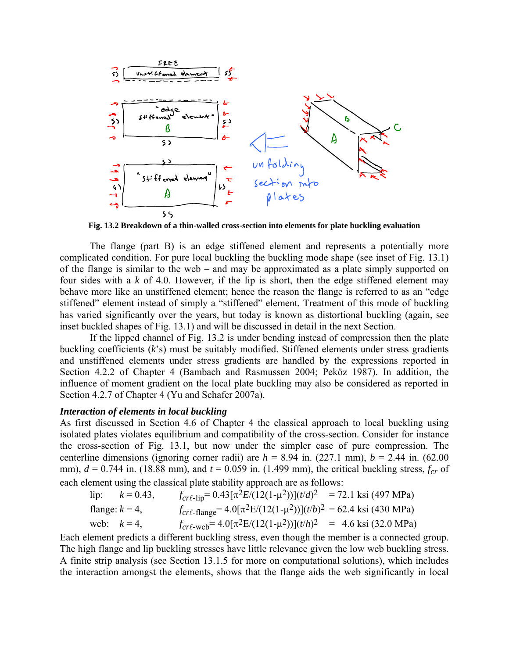

**Fig. 13.2 Breakdown of a thin-walled cross-section into elements for plate buckling evaluation** 

The flange (part B) is an edge stiffened element and represents a potentially more complicated condition. For pure local buckling the buckling mode shape (see inset of Fig. 13.1) of the flange is similar to the web – and may be approximated as a plate simply supported on four sides with a *k* of 4.0. However, if the lip is short, then the edge stiffened element may behave more like an unstiffened element; hence the reason the flange is referred to as an "edge stiffened" element instead of simply a "stiffened" element. Treatment of this mode of buckling has varied significantly over the years, but today is known as distortional buckling (again, see inset buckled shapes of Fig. 13.1) and will be discussed in detail in the next Section.

If the lipped channel of Fig. 13.2 is under bending instead of compression then the plate buckling coefficients (*k*'s) must be suitably modified. Stiffened elements under stress gradients and unstiffened elements under stress gradients are handled by the expressions reported in Section 4.2.2 of Chapter 4 (Bambach and Rasmussen 2004; Peköz 1987). In addition, the influence of moment gradient on the local plate buckling may also be considered as reported in Section 4.2.7 of Chapter 4 (Yu and Schafer 2007a).

# *Interaction of elements in local buckling*

As first discussed in Section 4.6 of Chapter 4 the classical approach to local buckling using isolated plates violates equilibrium and compatibility of the cross-section. Consider for instance the cross-section of Fig. 13.1, but now under the simpler case of pure compression. The centerline dimensions (ignoring corner radii) are  $h = 8.94$  in. (227.1 mm),  $b = 2.44$  in. (62.00 mm),  $d = 0.744$  in. (18.88 mm), and  $t = 0.059$  in. (1.499 mm), the critical buckling stress,  $f_{cr}$  of each element using the classical plate stability approach are as follows:

|                   | lip: $k = 0.43$ , | $f_{cr\ell\text{-lip}} = 0.43[\pi^2 E/(12(1-\mu^2))]$ ( <i>t/d</i> ) <sup>2</sup> = 72.1 ksi (497 MPa)     |  |
|-------------------|-------------------|------------------------------------------------------------------------------------------------------------|--|
| flange: $k = 4$ , |                   | $f_{\text{cr}\ell\text{-flange}} = 4.0[\pi^2 E/(12(1-\mu^2))](t/b)^2 = 62.4 \text{ ksi} (430 \text{ MPa})$ |  |
| web: $k=4$ ,      |                   | $f_{cr\ell\text{-web}} = 4.0[\pi^2E/(12(1-\mu^2))](t/h)^2 = 4.6 \text{ ksi} (32.0 \text{ MPa})$            |  |

Each element predicts a different buckling stress, even though the member is a connected group. The high flange and lip buckling stresses have little relevance given the low web buckling stress. A finite strip analysis (see Section 13.1.5 for more on computational solutions), which includes the interaction amongst the elements, shows that the flange aids the web significantly in local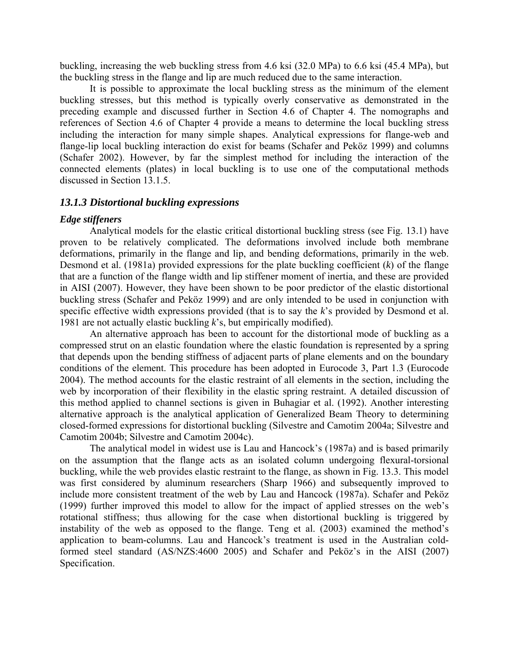buckling, increasing the web buckling stress from 4.6 ksi (32.0 MPa) to 6.6 ksi (45.4 MPa), but the buckling stress in the flange and lip are much reduced due to the same interaction.

It is possible to approximate the local buckling stress as the minimum of the element buckling stresses, but this method is typically overly conservative as demonstrated in the preceding example and discussed further in Section 4.6 of Chapter 4. The nomographs and references of Section 4.6 of Chapter 4 provide a means to determine the local buckling stress including the interaction for many simple shapes. Analytical expressions for flange-web and flange-lip local buckling interaction do exist for beams (Schafer and Peköz 1999) and columns (Schafer 2002). However, by far the simplest method for including the interaction of the connected elements (plates) in local buckling is to use one of the computational methods discussed in Section 13.1.5.

# *13.1.3 Distortional buckling expressions*

### *Edge stiffeners*

Analytical models for the elastic critical distortional buckling stress (see Fig. 13.1) have proven to be relatively complicated. The deformations involved include both membrane deformations, primarily in the flange and lip, and bending deformations, primarily in the web. Desmond et al. (1981a) provided expressions for the plate buckling coefficient (*k*) of the flange that are a function of the flange width and lip stiffener moment of inertia, and these are provided in AISI (2007). However, they have been shown to be poor predictor of the elastic distortional buckling stress (Schafer and Peköz 1999) and are only intended to be used in conjunction with specific effective width expressions provided (that is to say the *k*'s provided by Desmond et al. 1981 are not actually elastic buckling *k*'s, but empirically modified).

An alternative approach has been to account for the distortional mode of buckling as a compressed strut on an elastic foundation where the elastic foundation is represented by a spring that depends upon the bending stiffness of adjacent parts of plane elements and on the boundary conditions of the element. This procedure has been adopted in Eurocode 3, Part 1.3 (Eurocode 2004). The method accounts for the elastic restraint of all elements in the section, including the web by incorporation of their flexibility in the elastic spring restraint. A detailed discussion of this method applied to channel sections is given in Buhagiar et al. (1992). Another interesting alternative approach is the analytical application of Generalized Beam Theory to determining closed-formed expressions for distortional buckling (Silvestre and Camotim 2004a; Silvestre and Camotim 2004b; Silvestre and Camotim 2004c).

The analytical model in widest use is Lau and Hancock's (1987a) and is based primarily on the assumption that the flange acts as an isolated column undergoing flexural-torsional buckling, while the web provides elastic restraint to the flange, as shown in Fig. 13.3. This model was first considered by aluminum researchers (Sharp 1966) and subsequently improved to include more consistent treatment of the web by Lau and Hancock (1987a). Schafer and Peköz (1999) further improved this model to allow for the impact of applied stresses on the web's rotational stiffness; thus allowing for the case when distortional buckling is triggered by instability of the web as opposed to the flange. Teng et al. (2003) examined the method's application to beam-columns. Lau and Hancock's treatment is used in the Australian coldformed steel standard (AS/NZS:4600 2005) and Schafer and Peköz's in the AISI (2007) Specification.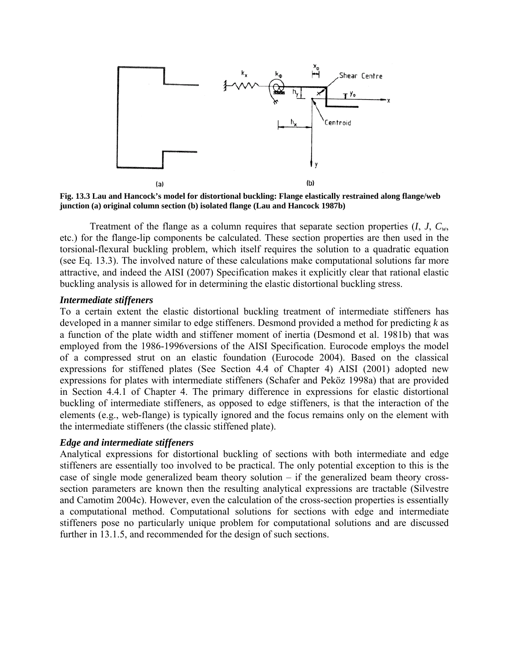

**Fig. 13.3 Lau and Hancock's model for distortional buckling: Flange elastically restrained along flange/web junction (a) original column section (b) isolated flange (Lau and Hancock 1987b)** 

Treatment of the flange as a column requires that separate section properties (*I*, *J*, *Cw*, etc.) for the flange-lip components be calculated. These section properties are then used in the torsional-flexural buckling problem, which itself requires the solution to a quadratic equation (see Eq. 13.3). The involved nature of these calculations make computational solutions far more attractive, and indeed the AISI (2007) Specification makes it explicitly clear that rational elastic buckling analysis is allowed for in determining the elastic distortional buckling stress.

## *Intermediate stiffeners*

To a certain extent the elastic distortional buckling treatment of intermediate stiffeners has developed in a manner similar to edge stiffeners. Desmond provided a method for predicting *k* as a function of the plate width and stiffener moment of inertia (Desmond et al. 1981b) that was employed from the 1986-1996versions of the AISI Specification. Eurocode employs the model of a compressed strut on an elastic foundation (Eurocode 2004). Based on the classical expressions for stiffened plates (See Section 4.4 of Chapter 4) AISI (2001) adopted new expressions for plates with intermediate stiffeners (Schafer and Peköz 1998a) that are provided in Section 4.4.1 of Chapter 4. The primary difference in expressions for elastic distortional buckling of intermediate stiffeners, as opposed to edge stiffeners, is that the interaction of the elements (e.g., web-flange) is typically ignored and the focus remains only on the element with the intermediate stiffeners (the classic stiffened plate).

## *Edge and intermediate stiffeners*

Analytical expressions for distortional buckling of sections with both intermediate and edge stiffeners are essentially too involved to be practical. The only potential exception to this is the case of single mode generalized beam theory solution – if the generalized beam theory crosssection parameters are known then the resulting analytical expressions are tractable (Silvestre and Camotim 2004c). However, even the calculation of the cross-section properties is essentially a computational method. Computational solutions for sections with edge and intermediate stiffeners pose no particularly unique problem for computational solutions and are discussed further in 13.1.5, and recommended for the design of such sections.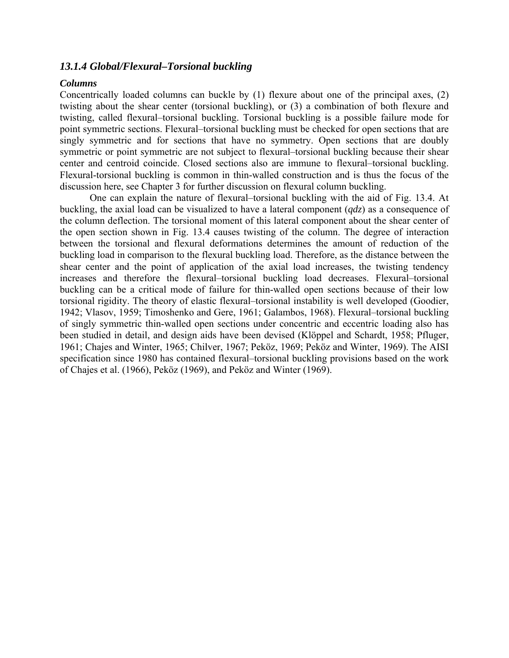# *13.1.4 Global/Flexural–Torsional buckling*

## *Columns*

Concentrically loaded columns can buckle by (1) flexure about one of the principal axes, (2) twisting about the shear center (torsional buckling), or (3) a combination of both flexure and twisting, called flexural–torsional buckling. Torsional buckling is a possible failure mode for point symmetric sections. Flexural–torsional buckling must be checked for open sections that are singly symmetric and for sections that have no symmetry. Open sections that are doubly symmetric or point symmetric are not subject to flexural–torsional buckling because their shear center and centroid coincide. Closed sections also are immune to flexural–torsional buckling. Flexural-torsional buckling is common in thin-walled construction and is thus the focus of the discussion here, see Chapter 3 for further discussion on flexural column buckling.

One can explain the nature of flexural–torsional buckling with the aid of Fig. 13.4. At buckling, the axial load can be visualized to have a lateral component (*qdz*) as a consequence of the column deflection. The torsional moment of this lateral component about the shear center of the open section shown in Fig. 13.4 causes twisting of the column. The degree of interaction between the torsional and flexural deformations determines the amount of reduction of the buckling load in comparison to the flexural buckling load. Therefore, as the distance between the shear center and the point of application of the axial load increases, the twisting tendency increases and therefore the flexural–torsional buckling load decreases. Flexural–torsional buckling can be a critical mode of failure for thin-walled open sections because of their low torsional rigidity. The theory of elastic flexural–torsional instability is well developed (Goodier, 1942; Vlasov, 1959; Timoshenko and Gere, 1961; Galambos, 1968). Flexural–torsional buckling of singly symmetric thin-walled open sections under concentric and eccentric loading also has been studied in detail, and design aids have been devised (Klöppel and Schardt, 1958; Pfluger, 1961; Chajes and Winter, 1965; Chilver, 1967; Peköz, 1969; Peköz and Winter, 1969). The AISI specification since 1980 has contained flexural–torsional buckling provisions based on the work of Chajes et al. (1966), Peköz (1969), and Peköz and Winter (1969).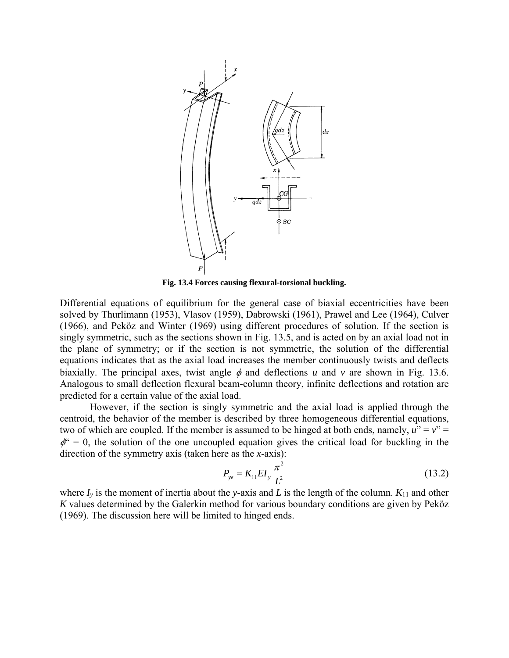

**Fig. 13.4 Forces causing flexural-torsional buckling.** 

Differential equations of equilibrium for the general case of biaxial eccentricities have been solved by Thurlimann (1953), Vlasov (1959), Dabrowski (1961), Prawel and Lee (1964), Culver (1966), and Peköz and Winter (1969) using different procedures of solution. If the section is singly symmetric, such as the sections shown in Fig. 13.5, and is acted on by an axial load not in the plane of symmetry; or if the section is not symmetric, the solution of the differential equations indicates that as the axial load increases the member continuously twists and deflects biaxially. The principal axes, twist angle  $\phi$  and deflections *u* and *v* are shown in Fig. 13.6. Analogous to small deflection flexural beam-column theory, infinite deflections and rotation are predicted for a certain value of the axial load.

However, if the section is singly symmetric and the axial load is applied through the centroid, the behavior of the member is described by three homogeneous differential equations, two of which are coupled. If the member is assumed to be hinged at both ends, namely,  $u'' = v'' =$  $\phi^{\epsilon} = 0$ , the solution of the one uncoupled equation gives the critical load for buckling in the direction of the symmetry axis (taken here as the *x*-axis):

$$
P_{ye} = K_{11}EI_y \frac{\pi^2}{L^2}
$$
 (13.2)

where  $I_y$  is the moment of inertia about the *y*-axis and *L* is the length of the column.  $K_{11}$  and other *K* values determined by the Galerkin method for various boundary conditions are given by Peköz (1969). The discussion here will be limited to hinged ends.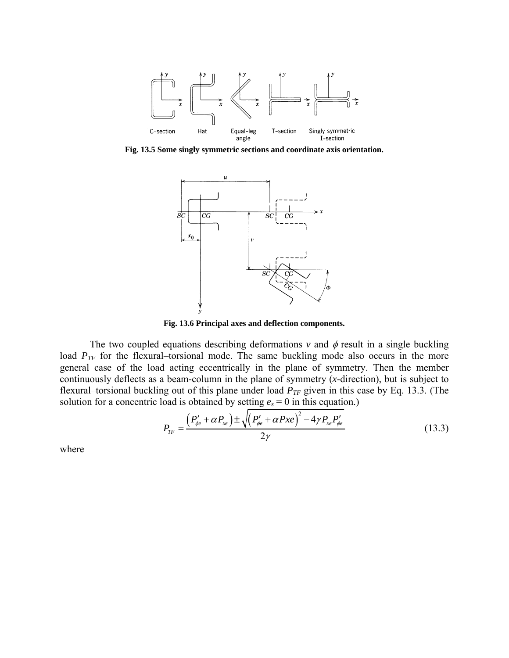

**Fig. 13.5 Some singly symmetric sections and coordinate axis orientation.** 



**Fig. 13.6 Principal axes and deflection components.** 

The two coupled equations describing deformations  $v$  and  $\phi$  result in a single buckling load  $P_{TF}$  for the flexural–torsional mode. The same buckling mode also occurs in the more general case of the load acting eccentrically in the plane of symmetry. Then the member continuously deflects as a beam-column in the plane of symmetry (*x*-direction), but is subject to flexural–torsional buckling out of this plane under load  $P_{TF}$  given in this case by Eq. 13.3. (The solution for a concentric load is obtained by setting  $e_s = 0$  in this equation.)

$$
P_{TF} = \frac{\left(P'_{\phi e} + \alpha P_{xe}\right) \pm \sqrt{\left(P'_{\phi e} + \alpha P_{xe}\right)^2 - 4\gamma P_{xe} P'_{\phi e}}}{2\gamma}
$$
(13.3)

where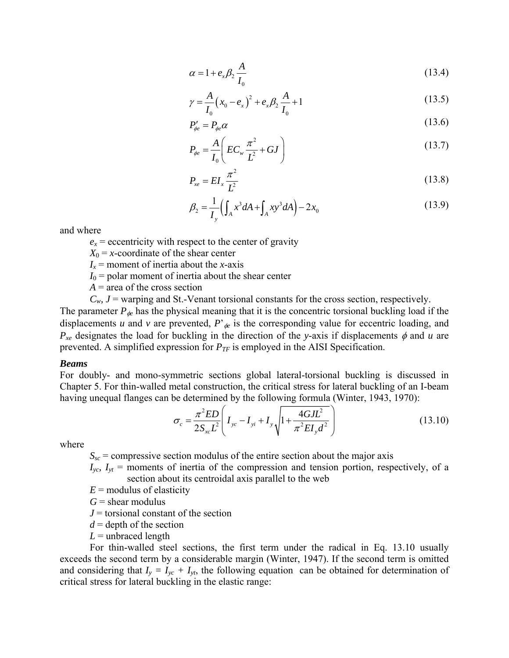$$
\alpha = 1 + e_x \beta_2 \frac{A}{I_0} \tag{13.4}
$$

$$
\gamma = \frac{A}{I_0} (x_0 - e_x)^2 + e_x \beta_2 \frac{A}{I_0} + 1
$$
\n(13.5)

$$
P'_{\phi e} = P_{\phi e} \alpha \tag{13.6}
$$

$$
P_{\phi e} = \frac{A}{I_0} \left( EC_w \frac{\pi^2}{L^2} + GJ \right)
$$
 (13.7)

$$
P_{xe} = EI_x \frac{\pi^2}{L^2} \tag{13.8}
$$

$$
\beta_2 = \frac{1}{I_y} \Big( \int_A x^3 dA + \int_A xy^3 dA \Big) - 2x_0 \tag{13.9}
$$

and where

 $e_x$  = eccentricity with respect to the center of gravity

 $X_0 = x$ -coordinate of the shear center

 $I_x$  = moment of inertia about the *x*-axis

- $I_0$  = polar moment of inertia about the shear center
- $A =$ area of the cross section
- $C_w$ ,  $J$  = warping and St.-Venant torsional constants for the cross section, respectively.

The parameter  $P_{\phi}$  has the physical meaning that it is the concentric torsional buckling load if the displacements *u* and *v* are prevented,  $P'_{\phi}$  is the corresponding value for eccentric loading, and  $P_{xe}$  designates the load for buckling in the direction of the *y*-axis if displacements  $\phi$  and *u* are prevented. A simplified expression for  $P_{TF}$  is employed in the AISI Specification.

#### *Beams*

For doubly- and mono-symmetric sections global lateral-torsional buckling is discussed in Chapter 5. For thin-walled metal construction, the critical stress for lateral buckling of an I-beam having unequal flanges can be determined by the following formula (Winter, 1943, 1970):

$$
\sigma_c = \frac{\pi^2 ED}{2S_{xc}L^2} \left( I_{yc} - I_{yi} + I_y \sqrt{1 + \frac{4GJL^2}{\pi^2 EI_{y} d^2}} \right)
$$
(13.10)

where

 $S_{\rm sc}$  = compressive section modulus of the entire section about the major axis

 $I_{\rm vc}$ ,  $I_{\rm vt}$  = moments of inertia of the compression and tension portion, respectively, of a section about its centroidal axis parallel to the web

- $E =$  modulus of elasticity
- $G =$ shear modulus
- *J* = torsional constant of the section
- $d =$  depth of the section
- $L =$  unbraced length

For thin-walled steel sections, the first term under the radical in Eq. 13.10 usually exceeds the second term by a considerable margin (Winter, 1947). If the second term is omitted and considering that  $I_y = I_{yc} + I_{yt}$ , the following equation can be obtained for determination of critical stress for lateral buckling in the elastic range: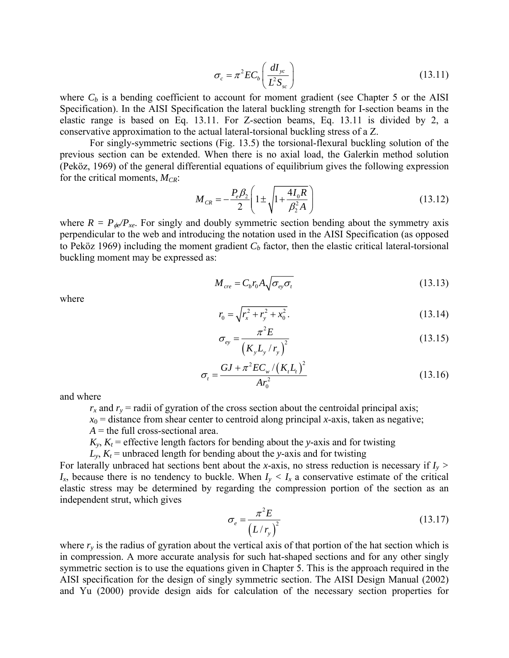$$
\sigma_c = \pi^2 E C_b \left( \frac{dI_{yc}}{L^2 S_{sc}} \right) \tag{13.11}
$$

where  $C_b$  is a bending coefficient to account for moment gradient (see Chapter 5 or the AISI Specification). In the AISI Specification the lateral buckling strength for I-section beams in the elastic range is based on Eq. 13.11. For Z-section beams, Eq. 13.11 is divided by 2, a conservative approximation to the actual lateral-torsional buckling stress of a Z.

For singly-symmetric sections (Fig. 13.5) the torsional-flexural buckling solution of the previous section can be extended. When there is no axial load, the Galerkin method solution (Peköz, 1969) of the general differential equations of equilibrium gives the following expression for the critical moments,  $M_{CR}$ :

$$
M_{CR} = -\frac{P_e \beta_2}{2} \left( 1 \pm \sqrt{1 + \frac{4I_0 R}{\beta_2^2 A}} \right)
$$
 (13.12)

where  $R = P_{\phi} / P_{xe}$ . For singly and doubly symmetric section bending about the symmetry axis perpendicular to the web and introducing the notation used in the AISI Specification (as opposed to Peköz 1969) including the moment gradient  $C_b$  factor, then the elastic critical lateral-torsional buckling moment may be expressed as:

where

$$
M_{cre} = C_b r_0 A \sqrt{\sigma_{ey} \sigma_t} \tag{13.13}
$$

$$
r_0 = \sqrt{r_x^2 + r_y^2 + x_0^2}.
$$
 (13.14)

$$
\sigma_{ey} = \frac{\pi^2 E}{\left(K_y L_y / r_y\right)^2} \tag{13.15}
$$

$$
\sigma_{t} = \frac{GJ + \pi^{2}EC_{w}/(K_{t}L_{t})^{2}}{Ar_{0}^{2}}
$$
\n(13.16)

and where

 $r_x$  and  $r_y$  = radii of gyration of the cross section about the centroidal principal axis;

 $x_0$  = distance from shear center to centroid along principal *x*-axis, taken as negative;

 $A =$  the full cross-sectional area.

 $K_y$ ,  $K_t$  = effective length factors for bending about the *y*-axis and for twisting

 $L_y$ ,  $K_t$  = unbraced length for bending about the *y*-axis and for twisting

For laterally unbraced hat sections bent about the *x*-axis, no stress reduction is necessary if  $I_y$  >  $I_x$ , because there is no tendency to buckle. When  $I_y < I_x$  a conservative estimate of the critical elastic stress may be determined by regarding the compression portion of the section as an independent strut, which gives

$$
\sigma_e = \frac{\pi^2 E}{\left(L/r_y\right)^2} \tag{13.17}
$$

where  $r<sub>y</sub>$  is the radius of gyration about the vertical axis of that portion of the hat section which is in compression. A more accurate analysis for such hat-shaped sections and for any other singly symmetric section is to use the equations given in Chapter 5. This is the approach required in the AISI specification for the design of singly symmetric section. The AISI Design Manual (2002) and Yu (2000) provide design aids for calculation of the necessary section properties for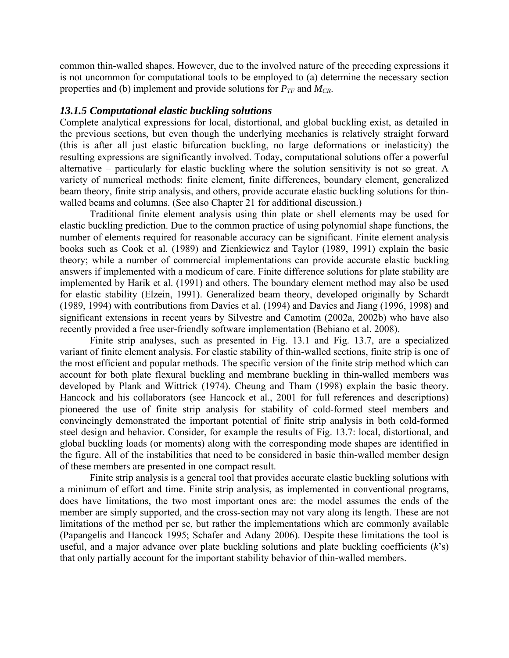common thin-walled shapes. However, due to the involved nature of the preceding expressions it is not uncommon for computational tools to be employed to (a) determine the necessary section properties and (b) implement and provide solutions for *PTF* and *MCR*.

## *13.1.5 Computational elastic buckling solutions*

Complete analytical expressions for local, distortional, and global buckling exist, as detailed in the previous sections, but even though the underlying mechanics is relatively straight forward (this is after all just elastic bifurcation buckling, no large deformations or inelasticity) the resulting expressions are significantly involved. Today, computational solutions offer a powerful alternative – particularly for elastic buckling where the solution sensitivity is not so great. A variety of numerical methods: finite element, finite differences, boundary element, generalized beam theory, finite strip analysis, and others, provide accurate elastic buckling solutions for thinwalled beams and columns. (See also Chapter 21 for additional discussion.)

Traditional finite element analysis using thin plate or shell elements may be used for elastic buckling prediction. Due to the common practice of using polynomial shape functions, the number of elements required for reasonable accuracy can be significant. Finite element analysis books such as Cook et al. (1989) and Zienkiewicz and Taylor (1989, 1991) explain the basic theory; while a number of commercial implementations can provide accurate elastic buckling answers if implemented with a modicum of care. Finite difference solutions for plate stability are implemented by Harik et al. (1991) and others. The boundary element method may also be used for elastic stability (Elzein, 1991). Generalized beam theory, developed originally by Schardt (1989, 1994) with contributions from Davies et al. (1994) and Davies and Jiang (1996, 1998) and significant extensions in recent years by Silvestre and Camotim (2002a, 2002b) who have also recently provided a free user-friendly software implementation (Bebiano et al. 2008).

Finite strip analyses, such as presented in Fig. 13.1 and Fig. 13.7, are a specialized variant of finite element analysis. For elastic stability of thin-walled sections, finite strip is one of the most efficient and popular methods. The specific version of the finite strip method which can account for both plate flexural buckling and membrane buckling in thin-walled members was developed by Plank and Wittrick (1974). Cheung and Tham (1998) explain the basic theory. Hancock and his collaborators (see Hancock et al., 2001 for full references and descriptions) pioneered the use of finite strip analysis for stability of cold-formed steel members and convincingly demonstrated the important potential of finite strip analysis in both cold-formed steel design and behavior. Consider, for example the results of Fig. 13.7: local, distortional, and global buckling loads (or moments) along with the corresponding mode shapes are identified in the figure. All of the instabilities that need to be considered in basic thin-walled member design of these members are presented in one compact result.

Finite strip analysis is a general tool that provides accurate elastic buckling solutions with a minimum of effort and time. Finite strip analysis, as implemented in conventional programs, does have limitations, the two most important ones are: the model assumes the ends of the member are simply supported, and the cross-section may not vary along its length. These are not limitations of the method per se, but rather the implementations which are commonly available (Papangelis and Hancock 1995; Schafer and Adany 2006). Despite these limitations the tool is useful, and a major advance over plate buckling solutions and plate buckling coefficients (*k*'s) that only partially account for the important stability behavior of thin-walled members.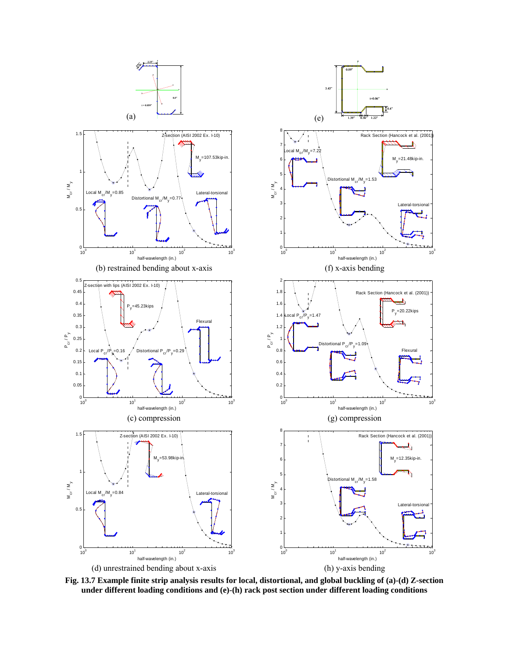

**Fig. 13.7 Example finite strip analysis results for local, distortional, and global buckling of (a)-(d) Z-section under different loading conditions and (e)-(h) rack post section under different loading conditions**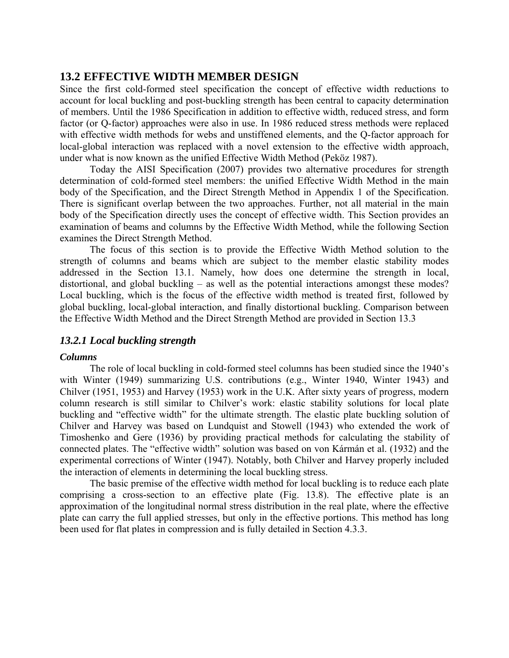# **13.2 EFFECTIVE WIDTH MEMBER DESIGN**

Since the first cold-formed steel specification the concept of effective width reductions to account for local buckling and post-buckling strength has been central to capacity determination of members. Until the 1986 Specification in addition to effective width, reduced stress, and form factor (or Q-factor) approaches were also in use. In 1986 reduced stress methods were replaced with effective width methods for webs and unstiffened elements, and the Q-factor approach for local-global interaction was replaced with a novel extension to the effective width approach, under what is now known as the unified Effective Width Method (Peköz 1987).

Today the AISI Specification (2007) provides two alternative procedures for strength determination of cold-formed steel members: the unified Effective Width Method in the main body of the Specification, and the Direct Strength Method in Appendix 1 of the Specification. There is significant overlap between the two approaches. Further, not all material in the main body of the Specification directly uses the concept of effective width. This Section provides an examination of beams and columns by the Effective Width Method, while the following Section examines the Direct Strength Method.

The focus of this section is to provide the Effective Width Method solution to the strength of columns and beams which are subject to the member elastic stability modes addressed in the Section 13.1. Namely, how does one determine the strength in local, distortional, and global buckling – as well as the potential interactions amongst these modes? Local buckling, which is the focus of the effective width method is treated first, followed by global buckling, local-global interaction, and finally distortional buckling. Comparison between the Effective Width Method and the Direct Strength Method are provided in Section 13.3

# *13.2.1 Local buckling strength*

## *Columns*

The role of local buckling in cold-formed steel columns has been studied since the 1940's with Winter (1949) summarizing U.S. contributions (e.g., Winter 1940, Winter 1943) and Chilver (1951, 1953) and Harvey (1953) work in the U.K. After sixty years of progress, modern column research is still similar to Chilver's work: elastic stability solutions for local plate buckling and "effective width" for the ultimate strength. The elastic plate buckling solution of Chilver and Harvey was based on Lundquist and Stowell (1943) who extended the work of Timoshenko and Gere (1936) by providing practical methods for calculating the stability of connected plates. The "effective width" solution was based on von Kármán et al. (1932) and the experimental corrections of Winter (1947). Notably, both Chilver and Harvey properly included the interaction of elements in determining the local buckling stress.

The basic premise of the effective width method for local buckling is to reduce each plate comprising a cross-section to an effective plate (Fig. 13.8). The effective plate is an approximation of the longitudinal normal stress distribution in the real plate, where the effective plate can carry the full applied stresses, but only in the effective portions. This method has long been used for flat plates in compression and is fully detailed in Section 4.3.3.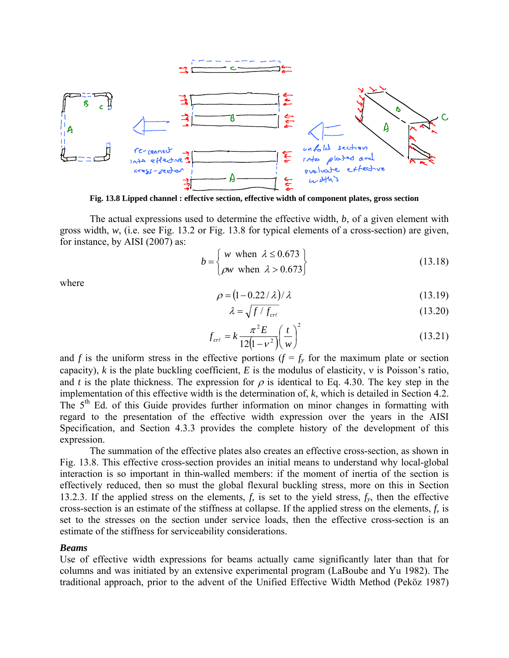

**Fig. 13.8 Lipped channel : effective section, effective width of component plates, gross section** 

The actual expressions used to determine the effective width, *b*, of a given element with gross width, *w*, (i.e. see Fig. 13.2 or Fig. 13.8 for typical elements of a cross-section) are given, for instance, by AISI (2007) as:

$$
b = \begin{cases} w \text{ when } \lambda \le 0.673 \\ \rho w \text{ when } \lambda > 0.673 \end{cases}
$$
 (13.18)

where

$$
\rho = (1 - 0.22 / \lambda) / \lambda \tag{13.19}
$$

$$
\lambda = \sqrt{f/f_{\text{cr}\ell}} \tag{13.20}
$$

$$
f_{\text{cr}\ell} = k \frac{\pi^2 E}{12(1 - v^2)} \left(\frac{t}{w}\right)^2 \tag{13.21}
$$

and *f* is the uniform stress in the effective portions ( $f = f_y$  for the maximum plate or section capacity), *k* is the plate buckling coefficient, *E* is the modulus of elasticity, ν is Poisson's ratio, and *t* is the plate thickness. The expression for  $\rho$  is identical to Eq. 4.30. The key step in the implementation of this effective width is the determination of, *k*, which is detailed in Section 4.2. The  $5<sup>th</sup>$  Ed. of this Guide provides further information on minor changes in formatting with regard to the presentation of the effective width expression over the years in the AISI Specification, and Section 4.3.3 provides the complete history of the development of this expression.

The summation of the effective plates also creates an effective cross-section, as shown in Fig. 13.8. This effective cross-section provides an initial means to understand why local-global interaction is so important in thin-walled members: if the moment of inertia of the section is effectively reduced, then so must the global flexural buckling stress, more on this in Section 13.2.3. If the applied stress on the elements, *f,* is set to the yield stress, *fy*, then the effective cross-section is an estimate of the stiffness at collapse. If the applied stress on the elements, *f,* is set to the stresses on the section under service loads, then the effective cross-section is an estimate of the stiffness for serviceability considerations.

#### *Beams*

Use of effective width expressions for beams actually came significantly later than that for columns and was initiated by an extensive experimental program (LaBoube and Yu 1982). The traditional approach, prior to the advent of the Unified Effective Width Method (Peköz 1987)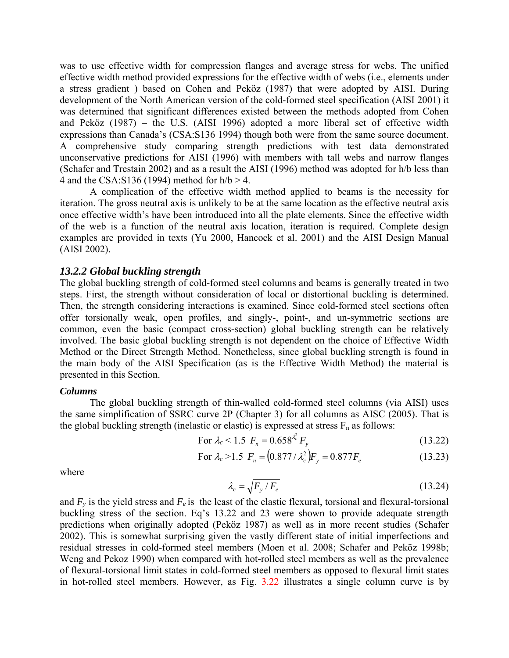was to use effective width for compression flanges and average stress for webs. The unified effective width method provided expressions for the effective width of webs (i.e., elements under a stress gradient ) based on Cohen and Peköz (1987) that were adopted by AISI. During development of the North American version of the cold-formed steel specification (AISI 2001) it was determined that significant differences existed between the methods adopted from Cohen and Peköz (1987) – the U.S. (AISI 1996) adopted a more liberal set of effective width expressions than Canada's (CSA:S136 1994) though both were from the same source document. A comprehensive study comparing strength predictions with test data demonstrated unconservative predictions for AISI (1996) with members with tall webs and narrow flanges (Schafer and Trestain 2002) and as a result the AISI (1996) method was adopted for h/b less than 4 and the CSA:S136 (1994) method for  $h/b > 4$ .

A complication of the effective width method applied to beams is the necessity for iteration. The gross neutral axis is unlikely to be at the same location as the effective neutral axis once effective width's have been introduced into all the plate elements. Since the effective width of the web is a function of the neutral axis location, iteration is required. Complete design examples are provided in texts (Yu 2000, Hancock et al. 2001) and the AISI Design Manual (AISI 2002).

## *13.2.2 Global buckling strength*

The global buckling strength of cold-formed steel columns and beams is generally treated in two steps. First, the strength without consideration of local or distortional buckling is determined. Then, the strength considering interactions is examined. Since cold-formed steel sections often offer torsionally weak, open profiles, and singly-, point-, and un-symmetric sections are common, even the basic (compact cross-section) global buckling strength can be relatively involved. The basic global buckling strength is not dependent on the choice of Effective Width Method or the Direct Strength Method. Nonetheless, since global buckling strength is found in the main body of the AISI Specification (as is the Effective Width Method) the material is presented in this Section.

#### *Columns*

The global buckling strength of thin-walled cold-formed steel columns (via AISI) uses the same simplification of SSRC curve 2P (Chapter 3) for all columns as AISC (2005). That is the global buckling strength (inelastic or elastic) is expressed at stress  $F_n$  as follows:

For 
$$
\lambda_c \le 1.5
$$
  $F_n = 0.658^{\lambda_c^2} F_y$  (13.22)

For 
$$
\lambda_c > 1.5
$$
  $F_n = (0.877 / \lambda_c^2) F_y = 0.877 F_e$  (13.23)

where

$$
\lambda_c = \sqrt{F_y/F_e} \tag{13.24}
$$

and  $F_y$  is the yield stress and  $F_e$  is the least of the elastic flexural, torsional and flexural-torsional buckling stress of the section. Eq's 13.22 and 23 were shown to provide adequate strength predictions when originally adopted (Peköz 1987) as well as in more recent studies (Schafer 2002). This is somewhat surprising given the vastly different state of initial imperfections and residual stresses in cold-formed steel members (Moen et al. 2008; Schafer and Peköz 1998b; Weng and Pekoz 1990) when compared with hot-rolled steel members as well as the prevalence of flexural-torsional limit states in cold-formed steel members as opposed to flexural limit states in hot-rolled steel members. However, as Fig. 3.22 illustrates a single column curve is by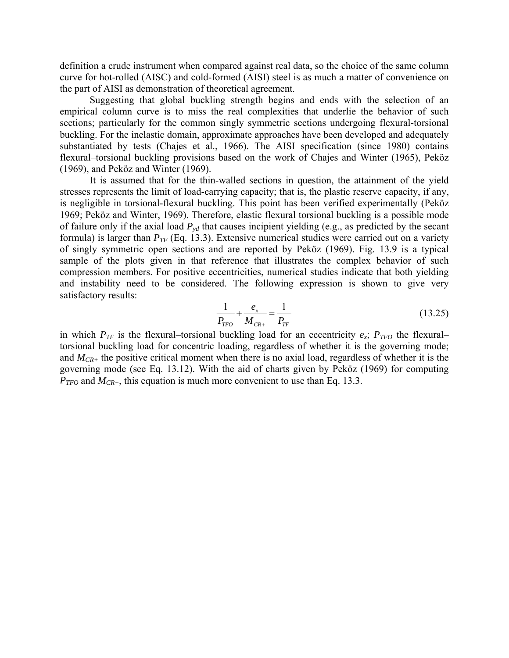definition a crude instrument when compared against real data, so the choice of the same column curve for hot-rolled (AISC) and cold-formed (AISI) steel is as much a matter of convenience on the part of AISI as demonstration of theoretical agreement.

Suggesting that global buckling strength begins and ends with the selection of an empirical column curve is to miss the real complexities that underlie the behavior of such sections; particularly for the common singly symmetric sections undergoing flexural-torsional buckling. For the inelastic domain, approximate approaches have been developed and adequately substantiated by tests (Chajes et al., 1966). The AISI specification (since 1980) contains flexural–torsional buckling provisions based on the work of Chajes and Winter (1965), Peköz (1969), and Peköz and Winter (1969).

It is assumed that for the thin-walled sections in question, the attainment of the yield stresses represents the limit of load-carrying capacity; that is, the plastic reserve capacity, if any, is negligible in torsional-flexural buckling. This point has been verified experimentally (Peköz 1969; Peköz and Winter, 1969). Therefore, elastic flexural torsional buckling is a possible mode of failure only if the axial load  $P_{vd}$  that causes incipient yielding (e.g., as predicted by the secant formula) is larger than  $P_{TF}$  (Eq. 13.3). Extensive numerical studies were carried out on a variety of singly symmetric open sections and are reported by Peköz (1969). Fig. 13.9 is a typical sample of the plots given in that reference that illustrates the complex behavior of such compression members. For positive eccentricities, numerical studies indicate that both yielding and instability need to be considered. The following expression is shown to give very satisfactory results:

$$
\frac{1}{P_{TPO}} + \frac{e_x}{M_{CR+}} = \frac{1}{P_{TF}}
$$
(13.25)

in which  $P_{TF}$  is the flexural–torsional buckling load for an eccentricity  $e_x$ ;  $P_{TFO}$  the flexural– torsional buckling load for concentric loading, regardless of whether it is the governing mode; and  $M_{CR+}$  the positive critical moment when there is no axial load, regardless of whether it is the governing mode (see Eq. 13.12). With the aid of charts given by Peköz (1969) for computing  $P_{TFO}$  and  $M_{CR+}$ , this equation is much more convenient to use than Eq. 13.3.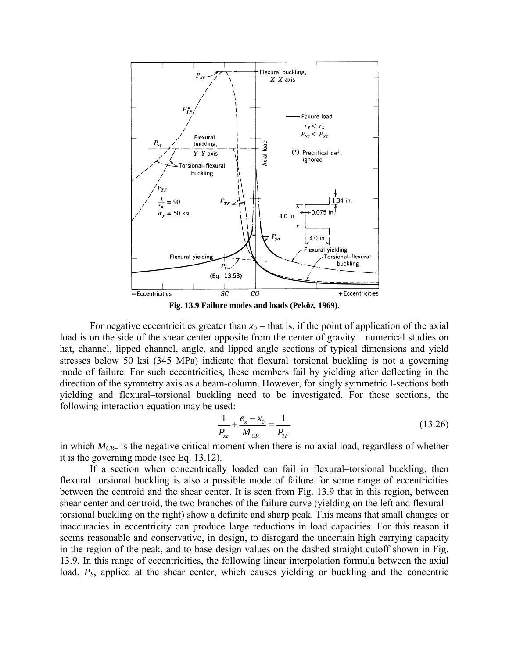

**Fig. 13.9 Failure modes and loads (Peköz, 1969).** 

For negative eccentricities greater than  $x<sub>0</sub>$  – that is, if the point of application of the axial load is on the side of the shear center opposite from the center of gravity—numerical studies on hat, channel, lipped channel, angle, and lipped angle sections of typical dimensions and yield stresses below 50 ksi (345 MPa) indicate that flexural–torsional buckling is not a governing mode of failure. For such eccentricities, these members fail by yielding after deflecting in the direction of the symmetry axis as a beam-column. However, for singly symmetric I-sections both yielding and flexural–torsional buckling need to be investigated. For these sections, the following interaction equation may be used:

$$
\frac{1}{P_{xe}} + \frac{e_x - x_0}{M_{Ce-}} = \frac{1}{P_{TF}}\tag{13.26}
$$

in which *MCR–* is the negative critical moment when there is no axial load, regardless of whether it is the governing mode (see Eq. 13.12).

If a section when concentrically loaded can fail in flexural–torsional buckling, then flexural–torsional buckling is also a possible mode of failure for some range of eccentricities between the centroid and the shear center. It is seen from Fig. 13.9 that in this region, between shear center and centroid, the two branches of the failure curve (yielding on the left and flexural– torsional buckling on the right) show a definite and sharp peak. This means that small changes or inaccuracies in eccentricity can produce large reductions in load capacities. For this reason it seems reasonable and conservative, in design, to disregard the uncertain high carrying capacity in the region of the peak, and to base design values on the dashed straight cutoff shown in Fig. 13.9. In this range of eccentricities, the following linear interpolation formula between the axial load,  $P<sub>S</sub>$ , applied at the shear center, which causes yielding or buckling and the concentric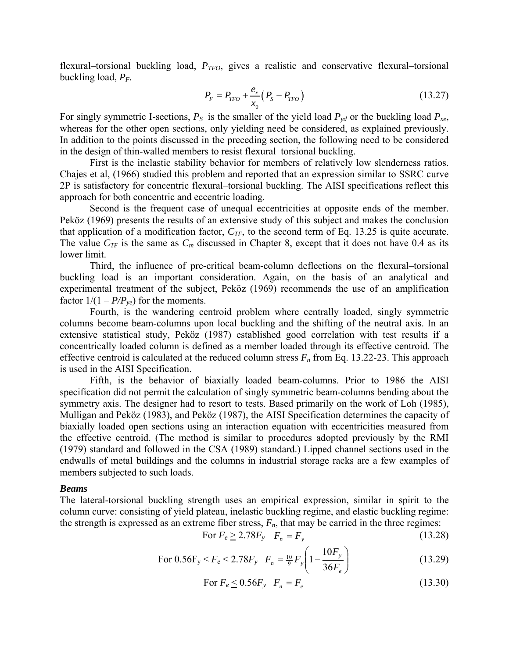flexural–torsional buckling load,  $P_{TFO}$ , gives a realistic and conservative flexural–torsional buckling load, *PF.*

$$
P_F = P_{TFO} + \frac{e_x}{x_0} (P_S - P_{TFO})
$$
\n(13.27)

For singly symmetric I-sections,  $P_S$  is the smaller of the yield load  $P_{yd}$  or the buckling load  $P_{xe}$ , whereas for the other open sections, only yielding need be considered, as explained previously. In addition to the points discussed in the preceding section, the following need to be considered in the design of thin-walled members to resist flexural–torsional buckling.

First is the inelastic stability behavior for members of relatively low slenderness ratios. Chajes et al, (1966) studied this problem and reported that an expression similar to SSRC curve 2P is satisfactory for concentric flexural–torsional buckling. The AISI specifications reflect this approach for both concentric and eccentric loading.

Second is the frequent case of unequal eccentricities at opposite ends of the member. Peköz (1969) presents the results of an extensive study of this subject and makes the conclusion that application of a modification factor,  $C_{TF}$ , to the second term of Eq. 13.25 is quite accurate. The value  $C_{TF}$  is the same as  $C_m$  discussed in Chapter 8, except that it does not have 0.4 as its lower limit.

Third, the influence of pre-critical beam-column deflections on the flexural–torsional buckling load is an important consideration. Again, on the basis of an analytical and experimental treatment of the subject, Peköz (1969) recommends the use of an amplification factor  $1/(1 - P/P_{ye})$  for the moments.

Fourth, is the wandering centroid problem where centrally loaded, singly symmetric columns become beam-columns upon local buckling and the shifting of the neutral axis. In an extensive statistical study, Peköz (1987) established good correlation with test results if a concentrically loaded column is defined as a member loaded through its effective centroid. The effective centroid is calculated at the reduced column stress  $F_n$  from Eq. 13.22-23. This approach is used in the AISI Specification.

Fifth, is the behavior of biaxially loaded beam-columns. Prior to 1986 the AISI specification did not permit the calculation of singly symmetric beam-columns bending about the symmetry axis. The designer had to resort to tests. Based primarily on the work of Loh (1985), Mulligan and Peköz (1983), and Peköz (1987), the AISI Specification determines the capacity of biaxially loaded open sections using an interaction equation with eccentricities measured from the effective centroid. (The method is similar to procedures adopted previously by the RMI (1979) standard and followed in the CSA (1989) standard.) Lipped channel sections used in the endwalls of metal buildings and the columns in industrial storage racks are a few examples of members subjected to such loads.

#### *Beams*

The lateral-torsional buckling strength uses an empirical expression, similar in spirit to the column curve: consisting of yield plateau, inelastic buckling regime, and elastic buckling regime: the strength is expressed as an extreme fiber stress,  $F_n$ , that may be carried in the three regimes:

$$
\text{For } F_e \ge 2.78F_y \quad F_n = F_y \tag{13.28}
$$

For 
$$
0.56F_y < F_e < 2.78F_y
$$
  $F_n = \frac{10}{9} F_y \left( 1 - \frac{10F_y}{36F_e} \right)$  (13.29)

$$
\text{For } F_e \le 0.56F_y \quad F_n = F_e \tag{13.30}
$$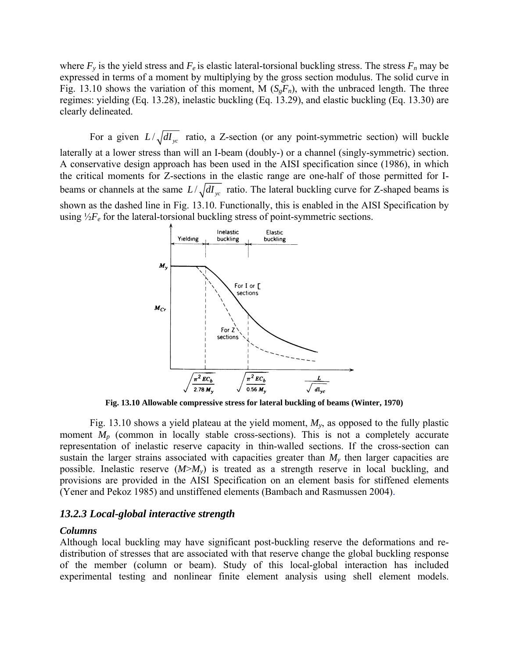where  $F_y$  is the yield stress and  $F_e$  is elastic lateral-torsional buckling stress. The stress  $F_n$  may be expressed in terms of a moment by multiplying by the gross section modulus. The solid curve in Fig. 13.10 shows the variation of this moment, M  $(S_{g}F_{n})$ , with the unbraced length. The three regimes: yielding (Eq. 13.28), inelastic buckling (Eq. 13.29), and elastic buckling (Eq. 13.30) are clearly delineated.

For a given  $L/\sqrt{dI_{yc}}$  ratio, a Z-section (or any point-symmetric section) will buckle laterally at a lower stress than will an I-beam (doubly-) or a channel (singly-symmetric) section. A conservative design approach has been used in the AISI specification since (1986), in which the critical moments for Z-sections in the elastic range are one-half of those permitted for Ibeams or channels at the same  $L/\sqrt{dI_{yc}}$  ratio. The lateral buckling curve for Z-shaped beams is shown as the dashed line in Fig. 13.10. Functionally, this is enabled in the AISI Specification by using  $\frac{1}{2}F_e$  for the lateral-torsional buckling stress of point-symmetric sections.



**Fig. 13.10 Allowable compressive stress for lateral buckling of beams (Winter, 1970)** 

Fig. 13.10 shows a yield plateau at the yield moment, *My*, as opposed to the fully plastic moment *M<sub>p</sub>* (common in locally stable cross-sections). This is not a completely accurate representation of inelastic reserve capacity in thin-walled sections. If the cross-section can sustain the larger strains associated with capacities greater than  $M<sub>v</sub>$  then larger capacities are possible. Inelastic reserve  $(M>M_y)$  is treated as a strength reserve in local buckling, and provisions are provided in the AISI Specification on an element basis for stiffened elements (Yener and Pekoz 1985) and unstiffened elements (Bambach and Rasmussen 2004).

## *13.2.3 Local-global interactive strength*

## *Columns*

Although local buckling may have significant post-buckling reserve the deformations and redistribution of stresses that are associated with that reserve change the global buckling response of the member (column or beam). Study of this local-global interaction has included experimental testing and nonlinear finite element analysis using shell element models.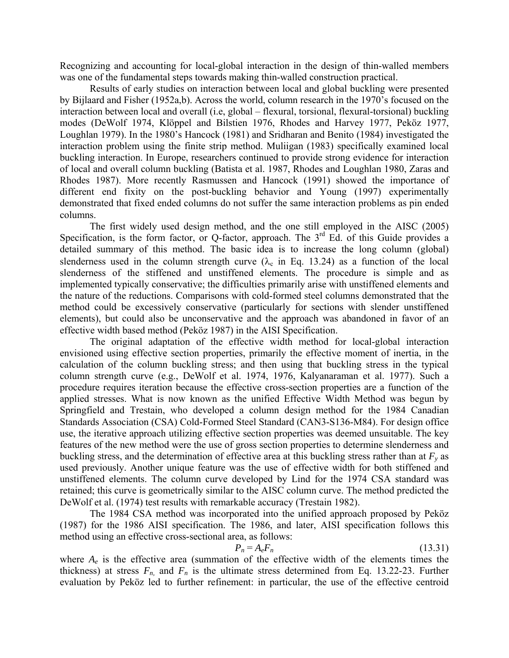Recognizing and accounting for local-global interaction in the design of thin-walled members was one of the fundamental steps towards making thin-walled construction practical.

Results of early studies on interaction between local and global buckling were presented by Bijlaard and Fisher (1952a,b). Across the world, column research in the 1970's focused on the interaction between local and overall (i.e, global – flexural, torsional, flexural-torsional) buckling modes (DeWolf 1974, Klöppel and Bilstien 1976, Rhodes and Harvey 1977, Peköz 1977, Loughlan 1979). In the 1980's Hancock (1981) and Sridharan and Benito (1984) investigated the interaction problem using the finite strip method. Muliigan (1983) specifically examined local buckling interaction. In Europe, researchers continued to provide strong evidence for interaction of local and overall column buckling (Batista et al. 1987, Rhodes and Loughlan 1980, Zaras and Rhodes 1987). More recently Rasmussen and Hancock (1991) showed the importance of different end fixity on the post-buckling behavior and Young (1997) experimentally demonstrated that fixed ended columns do not suffer the same interaction problems as pin ended columns.

The first widely used design method, and the one still employed in the AISC (2005) Specification, is the form factor, or Q-factor, approach. The  $3<sup>rd</sup>$  Ed. of this Guide provides a detailed summary of this method. The basic idea is to increase the long column (global) slenderness used in the column strength curve ( $\lambda_c$  in Eq. 13.24) as a function of the local slenderness of the stiffened and unstiffened elements. The procedure is simple and as implemented typically conservative; the difficulties primarily arise with unstiffened elements and the nature of the reductions. Comparisons with cold-formed steel columns demonstrated that the method could be excessively conservative (particularly for sections with slender unstiffened elements), but could also be unconservative and the approach was abandoned in favor of an effective width based method (Peköz 1987) in the AISI Specification.

The original adaptation of the effective width method for local-global interaction envisioned using effective section properties, primarily the effective moment of inertia, in the calculation of the column buckling stress; and then using that buckling stress in the typical column strength curve (e.g., DeWolf et al. 1974, 1976, Kalyanaraman et al. 1977). Such a procedure requires iteration because the effective cross-section properties are a function of the applied stresses. What is now known as the unified Effective Width Method was begun by Springfield and Trestain, who developed a column design method for the 1984 Canadian Standards Association (CSA) Cold-Formed Steel Standard (CAN3-S136-M84). For design office use, the iterative approach utilizing effective section properties was deemed unsuitable. The key features of the new method were the use of gross section properties to determine slenderness and buckling stress, and the determination of effective area at this buckling stress rather than at  $F_y$  as used previously. Another unique feature was the use of effective width for both stiffened and unstiffened elements. The column curve developed by Lind for the 1974 CSA standard was retained; this curve is geometrically similar to the AISC column curve. The method predicted the DeWolf et al. (1974) test results with remarkable accuracy (Trestain 1982).

The 1984 CSA method was incorporated into the unified approach proposed by Peköz (1987) for the 1986 AISI specification. The 1986, and later, AISI specification follows this method using an effective cross-sectional area, as follows:

$$
P_n = A_e F_n \tag{13.31}
$$

where  $A_e$  is the effective area (summation of the effective width of the elements times the thickness) at stress  $F_n$ , and  $F_n$  is the ultimate stress determined from Eq. 13.22-23. Further evaluation by Peköz led to further refinement: in particular, the use of the effective centroid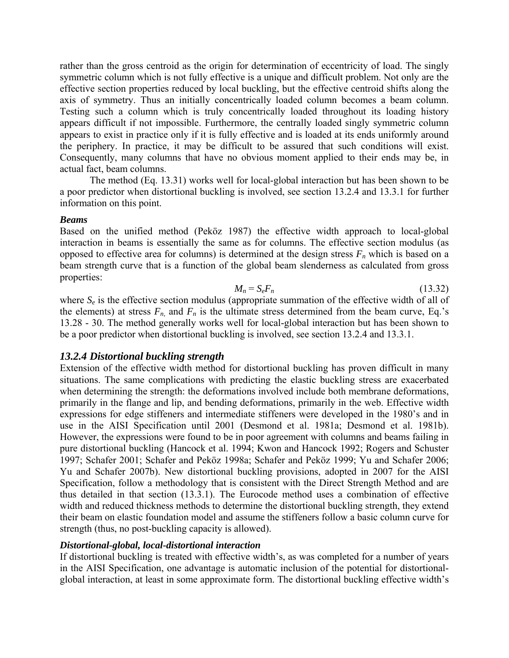rather than the gross centroid as the origin for determination of eccentricity of load. The singly symmetric column which is not fully effective is a unique and difficult problem. Not only are the effective section properties reduced by local buckling, but the effective centroid shifts along the axis of symmetry. Thus an initially concentrically loaded column becomes a beam column. Testing such a column which is truly concentrically loaded throughout its loading history appears difficult if not impossible. Furthermore, the centrally loaded singly symmetric column appears to exist in practice only if it is fully effective and is loaded at its ends uniformly around the periphery. In practice, it may be difficult to be assured that such conditions will exist. Consequently, many columns that have no obvious moment applied to their ends may be, in actual fact, beam columns.

The method (Eq. 13.31) works well for local-global interaction but has been shown to be a poor predictor when distortional buckling is involved, see section 13.2.4 and 13.3.1 for further information on this point.

## *Beams*

Based on the unified method (Peköz 1987) the effective width approach to local-global interaction in beams is essentially the same as for columns. The effective section modulus (as opposed to effective area for columns) is determined at the design stress  $F_n$  which is based on a beam strength curve that is a function of the global beam slenderness as calculated from gross properties:

$$
M_n = S_e F_n \tag{13.32}
$$

where  $S_e$  is the effective section modulus (appropriate summation of the effective width of all of the elements) at stress  $F_n$  and  $F_n$  is the ultimate stress determined from the beam curve, Eq.'s 13.28 - 30. The method generally works well for local-global interaction but has been shown to be a poor predictor when distortional buckling is involved, see section 13.2.4 and 13.3.1.

# *13.2.4 Distortional buckling strength*

Extension of the effective width method for distortional buckling has proven difficult in many situations. The same complications with predicting the elastic buckling stress are exacerbated when determining the strength: the deformations involved include both membrane deformations, primarily in the flange and lip, and bending deformations, primarily in the web. Effective width expressions for edge stiffeners and intermediate stiffeners were developed in the 1980's and in use in the AISI Specification until 2001 (Desmond et al. 1981a; Desmond et al. 1981b). However, the expressions were found to be in poor agreement with columns and beams failing in pure distortional buckling (Hancock et al. 1994; Kwon and Hancock 1992; Rogers and Schuster 1997; Schafer 2001; Schafer and Peköz 1998a; Schafer and Peköz 1999; Yu and Schafer 2006; Yu and Schafer 2007b). New distortional buckling provisions, adopted in 2007 for the AISI Specification, follow a methodology that is consistent with the Direct Strength Method and are thus detailed in that section (13.3.1). The Eurocode method uses a combination of effective width and reduced thickness methods to determine the distortional buckling strength, they extend their beam on elastic foundation model and assume the stiffeners follow a basic column curve for strength (thus, no post-buckling capacity is allowed).

# *Distortional-global, local-distortional interaction*

If distortional buckling is treated with effective width's, as was completed for a number of years in the AISI Specification, one advantage is automatic inclusion of the potential for distortionalglobal interaction, at least in some approximate form. The distortional buckling effective width's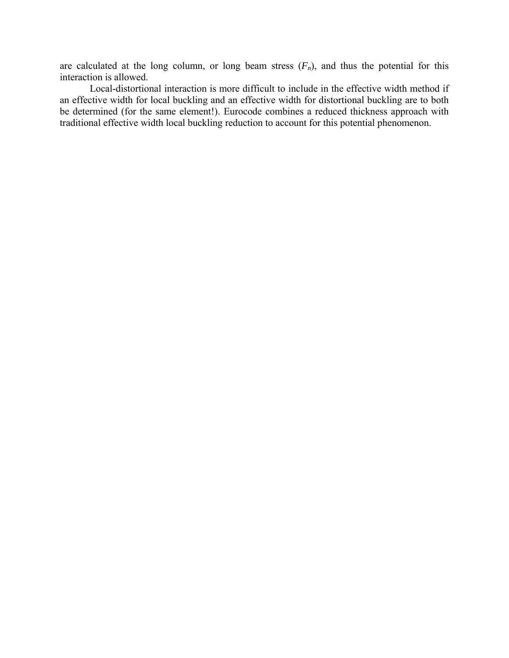are calculated at the long column, or long beam stress  $(F_n)$ , and thus the potential for this interaction is allowed.

Local-distortional interaction is more difficult to include in the effective width method if an effective width for local buckling and an effective width for distortional buckling are to both be determined (for the same element!). Eurocode combines a reduced thickness approach with traditional effective width local buckling reduction to account for this potential phenomenon.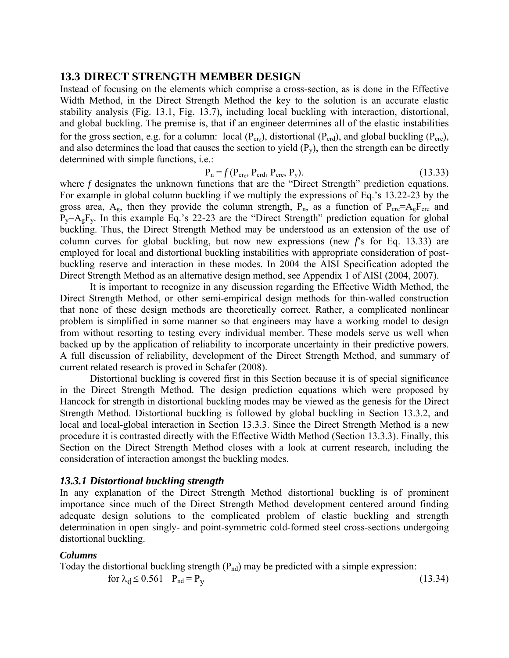# **13.3 DIRECT STRENGTH MEMBER DESIGN**

Instead of focusing on the elements which comprise a cross-section, as is done in the Effective Width Method, in the Direct Strength Method the key to the solution is an accurate elastic stability analysis (Fig. 13.1, Fig. 13.7), including local buckling with interaction, distortional, and global buckling. The premise is, that if an engineer determines all of the elastic instabilities for the gross section, e.g. for a column: local  $(P_{cr})$ , distortional  $(P_{crd})$ , and global buckling  $(P_{cre})$ , and also determines the load that causes the section to yield  $(P_v)$ , then the strength can be directly determined with simple functions, i.e.:

$$
P_n = f(P_{cr\ell}, P_{crd}, P_{cre}, P_y). \tag{13.33}
$$

where *f* designates the unknown functions that are the "Direct Strength" prediction equations. For example in global column buckling if we multiply the expressions of Eq.'s 13.22-23 by the gross area,  $A_g$ , then they provide the column strength,  $P_n$ , as a function of  $P_{cre} = A_gF_{cre}$  and  $P_y= A_gF_y$ . In this example Eq.'s 22-23 are the "Direct Strength" prediction equation for global buckling. Thus, the Direct Strength Method may be understood as an extension of the use of column curves for global buckling, but now new expressions (new *f*'s for Eq. 13.33) are employed for local and distortional buckling instabilities with appropriate consideration of postbuckling reserve and interaction in these modes. In 2004 the AISI Specification adopted the Direct Strength Method as an alternative design method, see Appendix 1 of AISI (2004, 2007).

It is important to recognize in any discussion regarding the Effective Width Method, the Direct Strength Method, or other semi-empirical design methods for thin-walled construction that none of these design methods are theoretically correct. Rather, a complicated nonlinear problem is simplified in some manner so that engineers may have a working model to design from without resorting to testing every individual member. These models serve us well when backed up by the application of reliability to incorporate uncertainty in their predictive powers. A full discussion of reliability, development of the Direct Strength Method, and summary of current related research is proved in Schafer (2008).

Distortional buckling is covered first in this Section because it is of special significance in the Direct Strength Method. The design prediction equations which were proposed by Hancock for strength in distortional buckling modes may be viewed as the genesis for the Direct Strength Method. Distortional buckling is followed by global buckling in Section 13.3.2, and local and local-global interaction in Section 13.3.3. Since the Direct Strength Method is a new procedure it is contrasted directly with the Effective Width Method (Section 13.3.3). Finally, this Section on the Direct Strength Method closes with a look at current research, including the consideration of interaction amongst the buckling modes.

# *13.3.1 Distortional buckling strength*

In any explanation of the Direct Strength Method distortional buckling is of prominent importance since much of the Direct Strength Method development centered around finding adequate design solutions to the complicated problem of elastic buckling and strength determination in open singly- and point-symmetric cold-formed steel cross-sections undergoing distortional buckling.

# *Columns*

Today the distortional buckling strength  $(P_{nd})$  may be predicted with a simple expression:

for  $\lambda_d \le 0.561$  P<sub>nd</sub> = P<sub>y</sub> (13.34)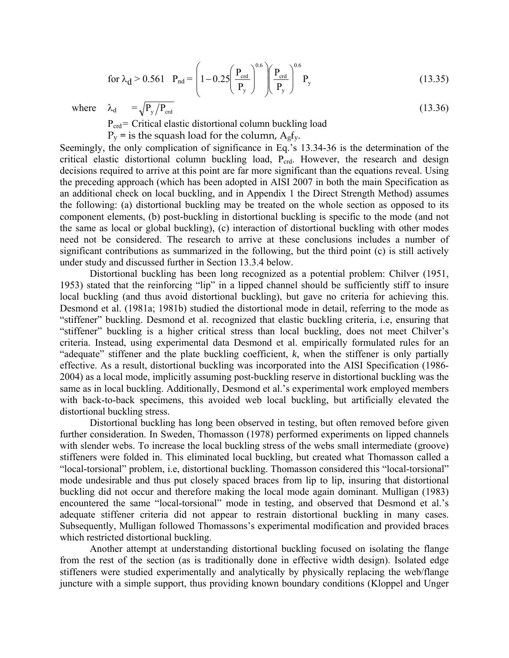for 
$$
\lambda_d > 0.561
$$
  $P_{nd} = \left(1 - 0.25 \left(\frac{P_{crd}}{P_y}\right)^{0.6} \left(\frac{P_{crd}}{P_y}\right)^{0.6} P_y\right)$  (13.35)

where  $\lambda_d = \sqrt{P_y / P_{\text{crd}}}$  (13.36)

 $P_{\text{crd}}$  = Critical elastic distortional column buckling load

 $P_v$  = is the squash load for the column,  $A_g f_v$ .

Seemingly, the only complication of significance in Eq.'s 13.34-36 is the determination of the critical elastic distortional column buckling load,  $P_{\text{crd}}$ . However, the research and design decisions required to arrive at this point are far more significant than the equations reveal. Using the preceding approach (which has been adopted in AISI 2007 in both the main Specification as an additional check on local buckling, and in Appendix 1 the Direct Strength Method) assumes the following: (a) distortional buckling may be treated on the whole section as opposed to its component elements, (b) post-buckling in distortional buckling is specific to the mode (and not the same as local or global buckling), (c) interaction of distortional buckling with other modes need not be considered. The research to arrive at these conclusions includes a number of significant contributions as summarized in the following, but the third point (c) is still actively under study and discussed further in Section 13.3.4 below.

Distortional buckling has been long recognized as a potential problem: Chilver (1951, 1953) stated that the reinforcing "lip" in a lipped channel should be sufficiently stiff to insure local buckling (and thus avoid distortional buckling), but gave no criteria for achieving this. Desmond et al. (1981a; 1981b) studied the distortional mode in detail, referring to the mode as "stiffener" buckling. Desmond et al. recognized that elastic buckling criteria, i.e, ensuring that "stiffener" buckling is a higher critical stress than local buckling, does not meet Chilver's criteria. Instead, using experimental data Desmond et al. empirically formulated rules for an "adequate" stiffener and the plate buckling coefficient, *k*, when the stiffener is only partially effective. As a result, distortional buckling was incorporated into the AISI Specification (1986- 2004) as a local mode, implicitly assuming post-buckling reserve in distortional buckling was the same as in local buckling. Additionally, Desmond et al.'s experimental work employed members with back-to-back specimens, this avoided web local buckling, but artificially elevated the distortional buckling stress.

Distortional buckling has long been observed in testing, but often removed before given further consideration. In Sweden, Thomasson (1978) performed experiments on lipped channels with slender webs. To increase the local buckling stress of the webs small intermediate (groove) stiffeners were folded in. This eliminated local buckling, but created what Thomasson called a "local-torsional" problem, i.e, distortional buckling. Thomasson considered this "local-torsional" mode undesirable and thus put closely spaced braces from lip to lip, insuring that distortional buckling did not occur and therefore making the local mode again dominant. Mulligan (1983) encountered the same "local-torsional" mode in testing, and observed that Desmond et al.'s adequate stiffener criteria did not appear to restrain distortional buckling in many cases. Subsequently, Mulligan followed Thomassons's experimental modification and provided braces which restricted distortional buckling.

Another attempt at understanding distortional buckling focused on isolating the flange from the rest of the section (as is traditionally done in effective width design). Isolated edge stiffeners were studied experimentally and analytically by physically replacing the web/flange juncture with a simple support, thus providing known boundary conditions (Kloppel and Unger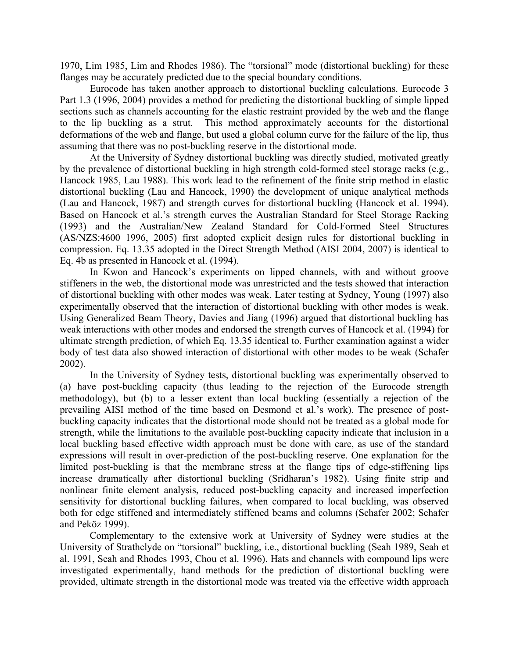1970, Lim 1985, Lim and Rhodes 1986). The "torsional" mode (distortional buckling) for these flanges may be accurately predicted due to the special boundary conditions.

Eurocode has taken another approach to distortional buckling calculations. Eurocode 3 Part 1.3 (1996, 2004) provides a method for predicting the distortional buckling of simple lipped sections such as channels accounting for the elastic restraint provided by the web and the flange to the lip buckling as a strut. This method approximately accounts for the distortional deformations of the web and flange, but used a global column curve for the failure of the lip, thus assuming that there was no post-buckling reserve in the distortional mode.

At the University of Sydney distortional buckling was directly studied, motivated greatly by the prevalence of distortional buckling in high strength cold-formed steel storage racks (e.g., Hancock 1985, Lau 1988). This work lead to the refinement of the finite strip method in elastic distortional buckling (Lau and Hancock, 1990) the development of unique analytical methods (Lau and Hancock, 1987) and strength curves for distortional buckling (Hancock et al. 1994). Based on Hancock et al.'s strength curves the Australian Standard for Steel Storage Racking (1993) and the Australian/New Zealand Standard for Cold-Formed Steel Structures (AS/NZS:4600 1996, 2005) first adopted explicit design rules for distortional buckling in compression. Eq. 13.35 adopted in the Direct Strength Method (AISI 2004, 2007) is identical to Eq. 4b as presented in Hancock et al. (1994).

In Kwon and Hancock's experiments on lipped channels, with and without groove stiffeners in the web, the distortional mode was unrestricted and the tests showed that interaction of distortional buckling with other modes was weak. Later testing at Sydney, Young (1997) also experimentally observed that the interaction of distortional buckling with other modes is weak. Using Generalized Beam Theory, Davies and Jiang (1996) argued that distortional buckling has weak interactions with other modes and endorsed the strength curves of Hancock et al. (1994) for ultimate strength prediction, of which Eq. 13.35 identical to. Further examination against a wider body of test data also showed interaction of distortional with other modes to be weak (Schafer 2002).

In the University of Sydney tests, distortional buckling was experimentally observed to (a) have post-buckling capacity (thus leading to the rejection of the Eurocode strength methodology), but (b) to a lesser extent than local buckling (essentially a rejection of the prevailing AISI method of the time based on Desmond et al.'s work). The presence of postbuckling capacity indicates that the distortional mode should not be treated as a global mode for strength, while the limitations to the available post-buckling capacity indicate that inclusion in a local buckling based effective width approach must be done with care, as use of the standard expressions will result in over-prediction of the post-buckling reserve. One explanation for the limited post-buckling is that the membrane stress at the flange tips of edge-stiffening lips increase dramatically after distortional buckling (Sridharan's 1982). Using finite strip and nonlinear finite element analysis, reduced post-buckling capacity and increased imperfection sensitivity for distortional buckling failures, when compared to local buckling, was observed both for edge stiffened and intermediately stiffened beams and columns (Schafer 2002; Schafer and Peköz 1999).

Complementary to the extensive work at University of Sydney were studies at the University of Strathclyde on "torsional" buckling, i.e., distortional buckling (Seah 1989, Seah et al. 1991, Seah and Rhodes 1993, Chou et al. 1996). Hats and channels with compound lips were investigated experimentally, hand methods for the prediction of distortional buckling were provided, ultimate strength in the distortional mode was treated via the effective width approach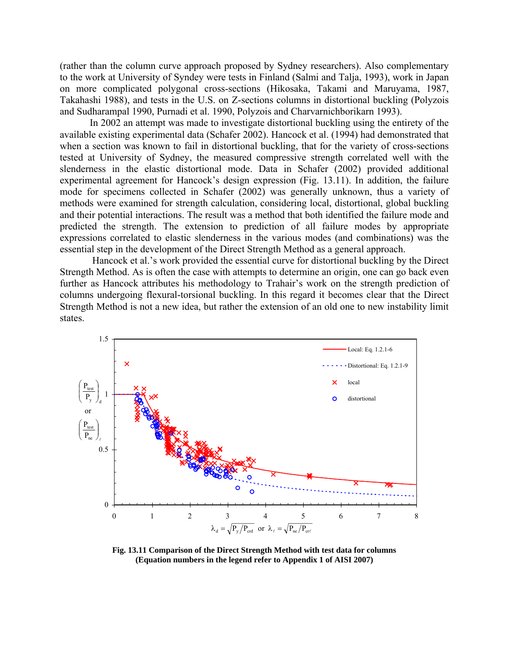(rather than the column curve approach proposed by Sydney researchers). Also complementary to the work at University of Syndey were tests in Finland (Salmi and Talja, 1993), work in Japan on more complicated polygonal cross-sections (Hikosaka, Takami and Maruyama, 1987, Takahashi 1988), and tests in the U.S. on Z-sections columns in distortional buckling (Polyzois and Sudharampal 1990, Purnadi et al. 1990, Polyzois and Charvarnichborikarn 1993).

In 2002 an attempt was made to investigate distortional buckling using the entirety of the available existing experimental data (Schafer 2002). Hancock et al. (1994) had demonstrated that when a section was known to fail in distortional buckling, that for the variety of cross-sections tested at University of Sydney, the measured compressive strength correlated well with the slenderness in the elastic distortional mode. Data in Schafer (2002) provided additional experimental agreement for Hancock's design expression (Fig. 13.11). In addition, the failure mode for specimens collected in Schafer (2002) was generally unknown, thus a variety of methods were examined for strength calculation, considering local, distortional, global buckling and their potential interactions. The result was a method that both identified the failure mode and predicted the strength. The extension to prediction of all failure modes by appropriate expressions correlated to elastic slenderness in the various modes (and combinations) was the essential step in the development of the Direct Strength Method as a general approach.

 Hancock et al.'s work provided the essential curve for distortional buckling by the Direct Strength Method. As is often the case with attempts to determine an origin, one can go back even further as Hancock attributes his methodology to Trahair's work on the strength prediction of columns undergoing flexural-torsional buckling. In this regard it becomes clear that the Direct Strength Method is not a new idea, but rather the extension of an old one to new instability limit states.



**Fig. 13.11 Comparison of the Direct Strength Method with test data for columns (Equation numbers in the legend refer to Appendix 1 of AISI 2007)**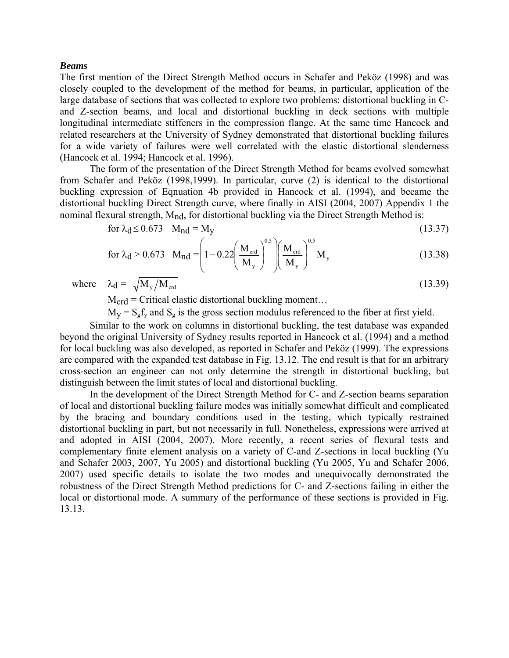## *Beams*

The first mention of the Direct Strength Method occurs in Schafer and Peköz (1998) and was closely coupled to the development of the method for beams, in particular, application of the large database of sections that was collected to explore two problems: distortional buckling in Cand Z-section beams, and local and distortional buckling in deck sections with multiple longitudinal intermediate stiffeners in the compression flange. At the same time Hancock and related researchers at the University of Sydney demonstrated that distortional buckling failures for a wide variety of failures were well correlated with the elastic distortional slenderness (Hancock et al. 1994; Hancock et al. 1996).

The form of the presentation of the Direct Strength Method for beams evolved somewhat from Schafer and Peköz (1998,1999). In particular, curve (2) is identical to the distortional buckling expression of Eqnuation 4b provided in Hancock et al. (1994), and became the distortional buckling Direct Strength curve, where finally in AISI (2004, 2007) Appendix 1 the nominal flexural strength, M<sub>nd</sub>, for distortional buckling via the Direct Strength Method is:

$$
\text{for } \lambda_{d} \le 0.673 \quad M_{nd} = M_{y} \tag{13.37}
$$

for 
$$
\lambda_d > 0.673
$$
  $M_{\text{nd}} = \left(1 - 0.22 \left(\frac{M_{\text{crd}}}{M_y}\right)^{0.5} \right) \left(\frac{M_{\text{crd}}}{M_y}\right)^{0.5} M_y$  (13.38)

where  $\lambda_d = \sqrt{M_y / M_{\text{cd}}}$  (13.39)

 $M_{crd}$  = Critical elastic distortional buckling moment...

 $M_V = S_g f_v$  and  $S_g$  is the gross section modulus referenced to the fiber at first yield.

Similar to the work on columns in distortional buckling, the test database was expanded beyond the original University of Sydney results reported in Hancock et al. (1994) and a method for local buckling was also developed, as reported in Schafer and Peköz (1999). The expressions are compared with the expanded test database in Fig. 13.12. The end result is that for an arbitrary cross-section an engineer can not only determine the strength in distortional buckling, but distinguish between the limit states of local and distortional buckling.

In the development of the Direct Strength Method for C- and Z-section beams separation of local and distortional buckling failure modes was initially somewhat difficult and complicated by the bracing and boundary conditions used in the testing, which typically restrained distortional buckling in part, but not necessarily in full. Nonetheless, expressions were arrived at and adopted in AISI (2004, 2007). More recently, a recent series of flexural tests and complementary finite element analysis on a variety of C-and Z-sections in local buckling (Yu and Schafer 2003, 2007, Yu 2005) and distortional buckling (Yu 2005, Yu and Schafer 2006, 2007) used specific details to isolate the two modes and unequivocally demonstrated the robustness of the Direct Strength Method predictions for C- and Z-sections failing in either the local or distortional mode. A summary of the performance of these sections is provided in Fig. 13.13.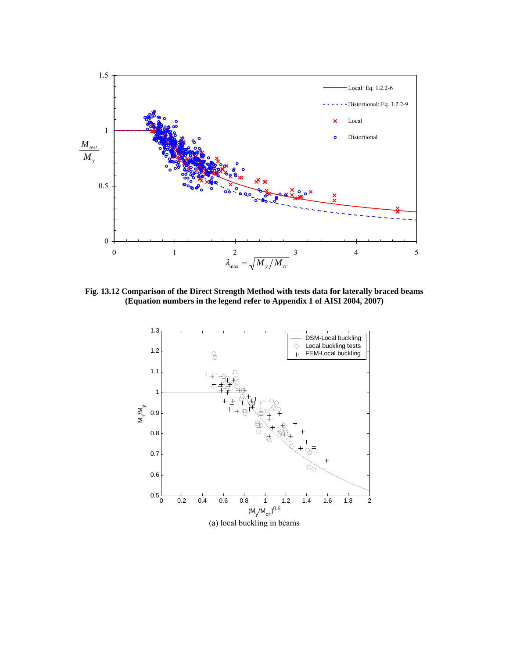

**Fig. 13.12 Comparison of the Direct Strength Method with tests data for laterally braced beams (Equation numbers in the legend refer to Appendix 1 of AISI 2004, 2007)** 

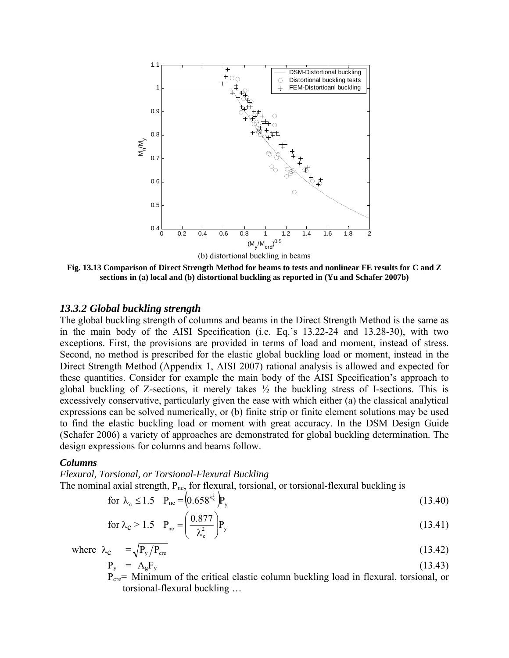

**Fig. 13.13 Comparison of Direct Strength Method for beams to tests and nonlinear FE results for C and Z sections in (a) local and (b) distortional buckling as reported in (Yu and Schafer 2007b)** 

## *13.3.2 Global buckling strength*

The global buckling strength of columns and beams in the Direct Strength Method is the same as in the main body of the AISI Specification (i.e. Eq.'s 13.22-24 and 13.28-30), with two exceptions. First, the provisions are provided in terms of load and moment, instead of stress. Second, no method is prescribed for the elastic global buckling load or moment, instead in the Direct Strength Method (Appendix 1, AISI 2007) rational analysis is allowed and expected for these quantities. Consider for example the main body of the AISI Specification's approach to global buckling of Z-sections, it merely takes  $\frac{1}{2}$  the buckling stress of I-sections. This is excessively conservative, particularly given the ease with which either (a) the classical analytical expressions can be solved numerically, or (b) finite strip or finite element solutions may be used to find the elastic buckling load or moment with great accuracy. In the DSM Design Guide (Schafer 2006) a variety of approaches are demonstrated for global buckling determination. The design expressions for columns and beams follow.

## *Columns*

*Flexural, Torsional, or Torsional-Flexural Buckling*  The nominal axial strength,  $P_{ne}$ , for flexural, torsional, or torsional-flexural buckling is

for 
$$
\lambda_c \le 1.5
$$
  $P_{ne} = (0.658^{\lambda_c^2})P_y$  (13.40)

for 
$$
\lambda_c > 1.5
$$
  $P_{ne} = \left(\frac{0.877}{\lambda_c^2}\right) P_y$  (13.41)

where 
$$
\lambda_c = \sqrt{P_y/P_{\text{cre}}}
$$
 (13.42)  
\n $P_y = A_g F_y$  (13.43)

 $P_y = A_g r_y$ <br>P<sub>cre</sub>= Minimum of the critical elastic column buckling load in flexural, torsional, or torsional-flexural buckling …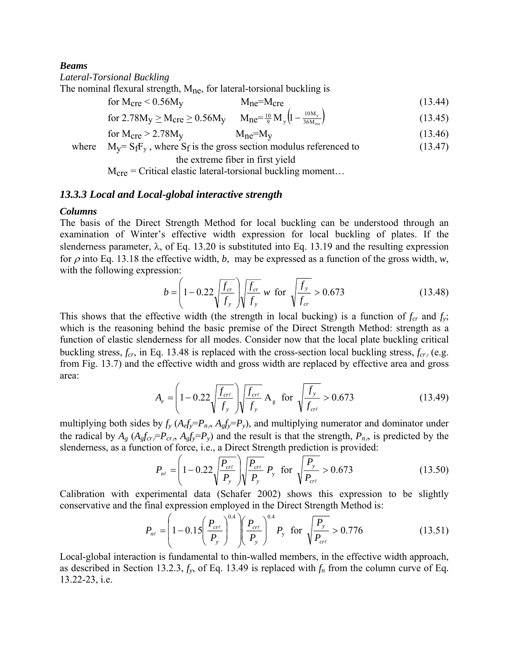### *Beams*

*Lateral-Torsional Buckling* 

The nominal flexural strength,  $M_{\text{ne}}$ , for lateral-torsional buckling is

$$
M_{\text{cre}} < 0.56 M_{\text{y}} \qquad M_{\text{ne}} = M_{\text{cre}} \tag{13.44}
$$

for 
$$
2.78M_y \geq M_{\text{cre}} \geq 0.56M_y
$$
  $M_{\text{ne}} = \frac{10}{9} M_y \left(1 - \frac{10M_y}{36M_{\text{cre}}}\right)$  (13.45)

$$
M_{\rm cre} > 2.78 M_{\rm y} \qquad M_{\rm ne} = M_{\rm y} \tag{13.46}
$$

where  $M_V = S_fF_v$ , where  $S_f$  is the gross section modulus referenced to (13.47) the extreme fiber in first yield

 $M_{\text{cre}}$  = Critical elastic lateral-torsional buckling moment...

## *13.3.3 Local and Local-global interactive strength*

## *Columns*

The basis of the Direct Strength Method for local buckling can be understood through an examination of Winter's effective width expression for local buckling of plates. If the slenderness parameter,  $\lambda$ , of Eq. 13.20 is substituted into Eq. 13.19 and the resulting expression for  $\rho$  into Eq. 13.18 the effective width, *b*, may be expressed as a function of the gross width, *w*, with the following expression:

$$
b = \left(1 - 0.22 \sqrt{\frac{f_{cr}}{f_y}}\right) \sqrt{\frac{f_{cr}}{f_y}} \text{ w for } \sqrt{\frac{f_y}{f_{cr}}} > 0.673 \tag{13.48}
$$

This shows that the effective width (the strength in local bucking) is a function of  $f_{cr}$  and  $f_y$ ; which is the reasoning behind the basic premise of the Direct Strength Method: strength as a function of elastic slenderness for all modes. Consider now that the local plate buckling critical buckling stress,  $f_{cr}$ , in Eq. 13.48 is replaced with the cross-section local buckling stress,  $f_{cr}$  (e.g. from Fig. 13.7) and the effective width and gross width are replaced by effective area and gross area:

$$
A_e = \left(1 - 0.22 \sqrt{\frac{f_{\text{cr}\ell}}{f_y}}\right) \sqrt{\frac{f_{\text{cr}\ell}}{f_y}} A_g \text{ for } \sqrt{\frac{f_y}{f_{\text{cr}\ell}}} > 0.673 \tag{13.49}
$$

multiplying both sides by  $f_y$  ( $A_e f_y = P_{n_e}$ ,  $A_g f_y = P_y$ ), and multiplying numerator and dominator under the radical by  $A_g$  ( $A_g f_{cr} = P_{cr}$ ,  $A_g f_y = P_y$ ) and the result is that the strength,  $P_{n\phi}$  is predicted by the slenderness, as a function of force, i.e., a Direct Strength prediction is provided:

$$
P_{n\ell} = \left(1 - 0.22 \sqrt{\frac{P_{\text{cr}\ell}}{P_y}}\right) \sqrt{\frac{P_{\text{cr}\ell}}{P_y}} \ P_y \ \text{for} \ \sqrt{\frac{P_y}{P_{\text{cr}\ell}}} > 0.673 \tag{13.50}
$$

Calibration with experimental data (Schafer 2002) shows this expression to be slightly conservative and the final expression employed in the Direct Strength Method is:

$$
P_{n\ell} = \left(1 - 0.15 \left(\frac{P_{cr\ell}}{P_y}\right)^{0.4}\right) \left(\frac{P_{cr\ell}}{P_y}\right)^{0.4} P_y \text{ for } \sqrt{\frac{P_y}{P_{cr\ell}}} > 0.776 \tag{13.51}
$$

Local-global interaction is fundamental to thin-walled members, in the effective width approach, as described in Section 13.2.3,  $f_y$ , of Eq. 13.49 is replaced with  $f_n$  from the column curve of Eq. 13.22-23, i.e.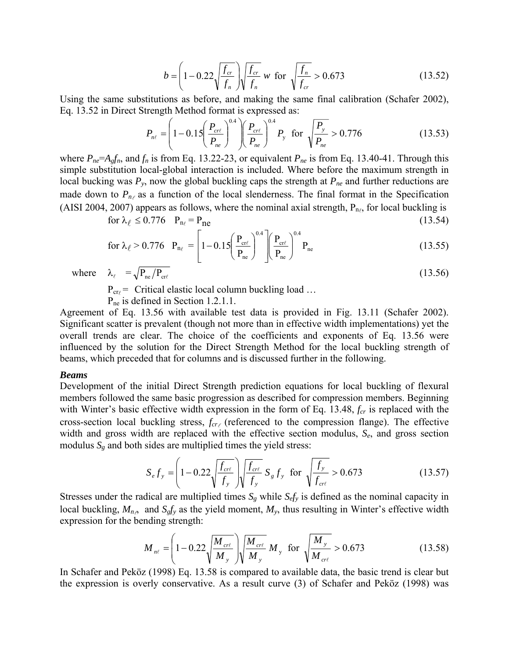$$
b = \left(1 - 0.22\sqrt{\frac{f_{cr}}{f_n}}\right)\sqrt{\frac{f_{cr}}{f_n}} \text{ w for } \sqrt{\frac{f_n}{f_{cr}}} > 0.673 \tag{13.52}
$$

Using the same substitutions as before, and making the same final calibration (Schafer 2002), Eq. 13.52 in Direct Strength Method format is expressed as:

$$
P_{n\ell} = \left(1 - 0.15 \left(\frac{P_{cr\ell}}{P_{ne}}\right)^{0.4}\right) \left(\frac{P_{cr\ell}}{P_{ne}}\right)^{0.4} P_{y} \text{ for } \sqrt{\frac{P_{y}}{P_{ne}}} > 0.776 \qquad (13.53)
$$

where  $P_{ne} = A_g f_n$ , and  $f_n$  is from Eq. 13.22-23, or equivalent  $P_{ne}$  is from Eq. 13.40-41. Through this simple substitution local-global interaction is included. Where before the maximum strength in local bucking was  $P_y$ , now the global buckling caps the strength at  $P_{ne}$  and further reductions are made down to  $P_{n\ell}$  as a function of the local slenderness. The final format in the Specification (AISI 2004, 2007) appears as follows, where the nominal axial strength,  $P_{n}$ , for local buckling is

$$
\text{for } \lambda_{\ell} \le 0.776 \quad \mathbf{P}_{\mathbf{n}_{\ell}} = \mathbf{P}_{\mathbf{n}\mathbf{e}} \tag{13.54}
$$

for 
$$
\lambda_{\ell} > 0.776
$$
  $P_{n_{\ell}} = \left[1 - 0.15 \left(\frac{P_{\text{cr}\ell}}{P_{\text{ne}}}\right)^{0.4} \right] \left(\frac{P_{\text{cr}\ell}}{P_{\text{ne}}}\right)^{0.4} P_{\text{ne}}$  (13.55)  
where  $\lambda_{\ell} = \sqrt{P_{\text{ne}}/P_{\text{cr}\ell}}$  (13.56)

 $P_{cr}$  = Critical elastic local column buckling load ...

P<sub>ne</sub> is defined in Section 1.2.1.1.

Agreement of Eq. 13.56 with available test data is provided in Fig. 13.11 (Schafer 2002). Significant scatter is prevalent (though not more than in effective width implementations) yet the overall trends are clear. The choice of the coefficients and exponents of Eq. 13.56 were influenced by the solution for the Direct Strength Method for the local buckling strength of beams, which preceded that for columns and is discussed further in the following.

#### *Beams*

Development of the initial Direct Strength prediction equations for local buckling of flexural members followed the same basic progression as described for compression members. Beginning with Winter's basic effective width expression in the form of Eq. 13.48, *f<sub>cr</sub>* is replaced with the cross-section local buckling stress,  $f_{cr}$  (referenced to the compression flange). The effective width and gross width are replaced with the effective section modulus, *Se*, and gross section modulus  $S_g$  and both sides are multiplied times the yield stress:

$$
S_{e}f_{y} = \left(1 - 0.22\sqrt{\frac{f_{\text{crt}}}{f_{y}}}\right)\sqrt{\frac{f_{\text{crt}}}{f_{y}}} S_{g}f_{y} \text{ for } \sqrt{\frac{f_{y}}{f_{\text{crt}}}} > 0.673 \tag{13.57}
$$

Stresses under the radical are multiplied times  $S_g$  while  $S_{efy}$  is defined as the nominal capacity in local buckling,  $M_{n,s}$  and  $S_{g}f_y$  as the yield moment,  $M_y$ , thus resulting in Winter's effective width expression for the bending strength:

$$
M_{n\ell} = \left(1 - 0.22 \sqrt{\frac{M_{\text{crt}}}{M_y}}\right) \sqrt{\frac{M_{\text{crt}}}{M_y}} M_y \text{ for } \sqrt{\frac{M_y}{M_{\text{crt}}}} > 0.673 \tag{13.58}
$$

In Schafer and Peköz (1998) Eq. 13.58 is compared to available data, the basic trend is clear but the expression is overly conservative. As a result curve (3) of Schafer and Peköz (1998) was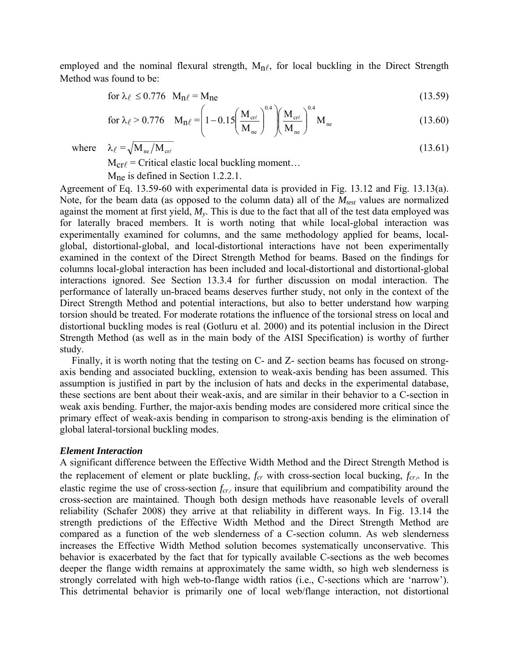employed and the nominal flexural strength,  $M_n$ , for local buckling in the Direct Strength Method was found to be:

$$
\text{for } \lambda_{\ell} \le 0.776 \quad \mathbf{M}_{\mathbf{n}\ell} = \mathbf{M}_{\mathbf{n}\mathbf{e}} \tag{13.59}
$$

for 
$$
\lambda_{\ell} > 0.776
$$
  $M_{n\ell} = \left(1 - 0.15 \left(\frac{M_{cr\ell}}{M_{ne}}\right)^{0.4}\right) \left(\frac{M_{cr\ell}}{M_{ne}}\right)^{0.4} M_{ne}$  (13.60)

where  $\lambda_{\ell} = \sqrt{M_{\text{ne}}/M_{\text{crit}}}$  (13.61)

 $M_{\text{cr}}$  = Critical elastic local buckling moment...

Mne is defined in Section 1.2.2.1.

Agreement of Eq. 13.59-60 with experimental data is provided in Fig. 13.12 and Fig. 13.13(a). Note, for the beam data (as opposed to the column data) all of the  $M_{test}$  values are normalized against the moment at first yield, *My*. This is due to the fact that all of the test data employed was for laterally braced members. It is worth noting that while local-global interaction was experimentally examined for columns, and the same methodology applied for beams, localglobal, distortional-global, and local-distortional interactions have not been experimentally examined in the context of the Direct Strength Method for beams. Based on the findings for columns local-global interaction has been included and local-distortional and distortional-global interactions ignored. See Section 13.3.4 for further discussion on modal interaction. The performance of laterally un-braced beams deserves further study, not only in the context of the Direct Strength Method and potential interactions, but also to better understand how warping torsion should be treated. For moderate rotations the influence of the torsional stress on local and distortional buckling modes is real (Gotluru et al. 2000) and its potential inclusion in the Direct Strength Method (as well as in the main body of the AISI Specification) is worthy of further study.

Finally, it is worth noting that the testing on C- and Z- section beams has focused on strongaxis bending and associated buckling, extension to weak-axis bending has been assumed. This assumption is justified in part by the inclusion of hats and decks in the experimental database, these sections are bent about their weak-axis, and are similar in their behavior to a C-section in weak axis bending. Further, the major-axis bending modes are considered more critical since the primary effect of weak-axis bending in comparison to strong-axis bending is the elimination of global lateral-torsional buckling modes.

## *Element Interaction*

A significant difference between the Effective Width Method and the Direct Strength Method is the replacement of element or plate buckling,  $f_{cr}$  with cross-section local bucking,  $f_{cr}$ . In the elastic regime the use of cross-section  $f_{cr}$  insure that equilibrium and compatibility around the cross-section are maintained. Though both design methods have reasonable levels of overall reliability (Schafer 2008) they arrive at that reliability in different ways. In Fig. 13.14 the strength predictions of the Effective Width Method and the Direct Strength Method are compared as a function of the web slenderness of a C-section column. As web slenderness increases the Effective Width Method solution becomes systematically unconservative. This behavior is exacerbated by the fact that for typically available C-sections as the web becomes deeper the flange width remains at approximately the same width, so high web slenderness is strongly correlated with high web-to-flange width ratios (i.e., C-sections which are 'narrow'). This detrimental behavior is primarily one of local web/flange interaction, not distortional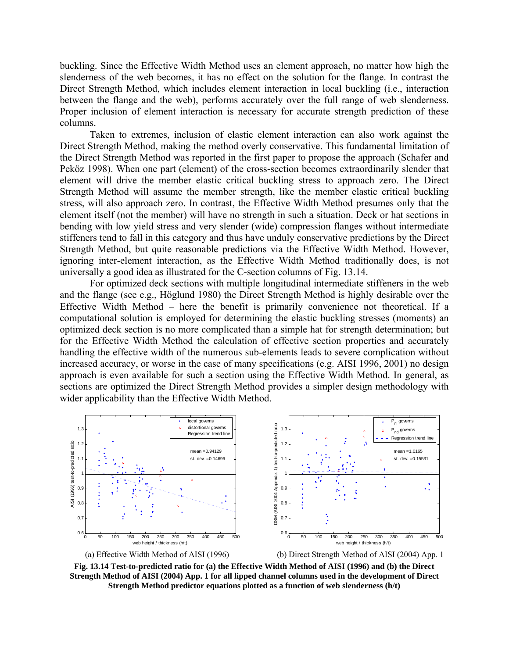buckling. Since the Effective Width Method uses an element approach, no matter how high the slenderness of the web becomes, it has no effect on the solution for the flange. In contrast the Direct Strength Method, which includes element interaction in local buckling (i.e., interaction between the flange and the web), performs accurately over the full range of web slenderness. Proper inclusion of element interaction is necessary for accurate strength prediction of these columns.

Taken to extremes, inclusion of elastic element interaction can also work against the Direct Strength Method, making the method overly conservative. This fundamental limitation of the Direct Strength Method was reported in the first paper to propose the approach (Schafer and Peköz 1998). When one part (element) of the cross-section becomes extraordinarily slender that element will drive the member elastic critical buckling stress to approach zero. The Direct Strength Method will assume the member strength, like the member elastic critical buckling stress, will also approach zero. In contrast, the Effective Width Method presumes only that the element itself (not the member) will have no strength in such a situation. Deck or hat sections in bending with low yield stress and very slender (wide) compression flanges without intermediate stiffeners tend to fall in this category and thus have unduly conservative predictions by the Direct Strength Method, but quite reasonable predictions via the Effective Width Method. However, ignoring inter-element interaction, as the Effective Width Method traditionally does, is not universally a good idea as illustrated for the C-section columns of Fig. 13.14.

For optimized deck sections with multiple longitudinal intermediate stiffeners in the web and the flange (see e.g., Höglund 1980) the Direct Strength Method is highly desirable over the Effective Width Method – here the benefit is primarily convenience not theoretical. If a computational solution is employed for determining the elastic buckling stresses (moments) an optimized deck section is no more complicated than a simple hat for strength determination; but for the Effective Width Method the calculation of effective section properties and accurately handling the effective width of the numerous sub-elements leads to severe complication without increased accuracy, or worse in the case of many specifications (e.g. AISI 1996, 2001) no design approach is even available for such a section using the Effective Width Method. In general, as sections are optimized the Direct Strength Method provides a simpler design methodology with wider applicability than the Effective Width Method.



**Fig. 13.14 Test-to-predicted ratio for (a) the Effective Width Method of AISI (1996) and (b) the Direct Strength Method of AISI (2004) App. 1 for all lipped channel columns used in the development of Direct Strength Method predictor equations plotted as a function of web slenderness (h/t)**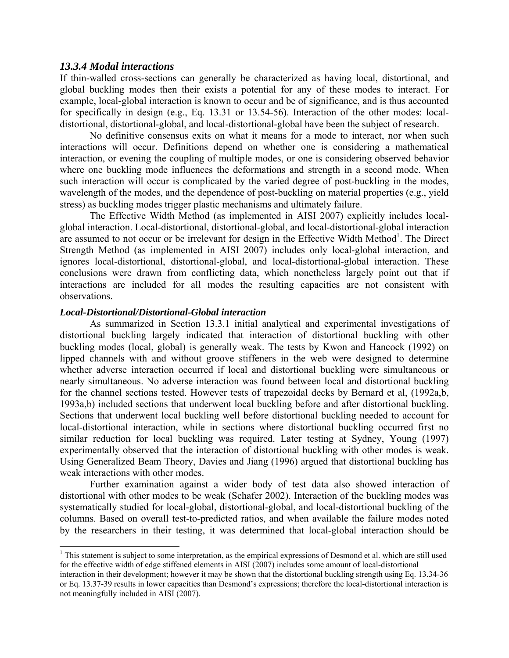## *13.3.4 Modal interactions*

If thin-walled cross-sections can generally be characterized as having local, distortional, and global buckling modes then their exists a potential for any of these modes to interact. For example, local-global interaction is known to occur and be of significance, and is thus accounted for specifically in design (e.g., Eq. 13.31 or 13.54-56). Interaction of the other modes: localdistortional, distortional-global, and local-distortional-global have been the subject of research.

No definitive consensus exits on what it means for a mode to interact, nor when such interactions will occur. Definitions depend on whether one is considering a mathematical interaction, or evening the coupling of multiple modes, or one is considering observed behavior where one buckling mode influences the deformations and strength in a second mode. When such interaction will occur is complicated by the varied degree of post-buckling in the modes, wavelength of the modes, and the dependence of post-buckling on material properties (e.g., yield stress) as buckling modes trigger plastic mechanisms and ultimately failure.

The Effective Width Method (as implemented in AISI 2007) explicitly includes localglobal interaction. Local-distortional, distortional-global, and local-distortional-global interaction are assumed to not occur or be irrelevant for design in the Effective Width Method<sup>1</sup>. The Direct Strength Method (as implemented in AISI 2007) includes only local-global interaction, and ignores local-distortional, distortional-global, and local-distortional-global interaction. These conclusions were drawn from conflicting data, which nonetheless largely point out that if interactions are included for all modes the resulting capacities are not consistent with observations.

## *Local-Distortional/Distortional-Global interaction*

 $\overline{a}$ 

As summarized in Section 13.3.1 initial analytical and experimental investigations of distortional buckling largely indicated that interaction of distortional buckling with other buckling modes (local, global) is generally weak. The tests by Kwon and Hancock (1992) on lipped channels with and without groove stiffeners in the web were designed to determine whether adverse interaction occurred if local and distortional buckling were simultaneous or nearly simultaneous. No adverse interaction was found between local and distortional buckling for the channel sections tested. However tests of trapezoidal decks by Bernard et al, (1992a,b, 1993a,b) included sections that underwent local buckling before and after distortional buckling. Sections that underwent local buckling well before distortional buckling needed to account for local-distortional interaction, while in sections where distortional buckling occurred first no similar reduction for local buckling was required. Later testing at Sydney, Young (1997) experimentally observed that the interaction of distortional buckling with other modes is weak. Using Generalized Beam Theory, Davies and Jiang (1996) argued that distortional buckling has weak interactions with other modes.

Further examination against a wider body of test data also showed interaction of distortional with other modes to be weak (Schafer 2002). Interaction of the buckling modes was systematically studied for local-global, distortional-global, and local-distortional buckling of the columns. Based on overall test-to-predicted ratios, and when available the failure modes noted by the researchers in their testing, it was determined that local-global interaction should be

 $<sup>1</sup>$  This statement is subject to some interpretation, as the empirical expressions of Desmond et al. which are still used</sup> for the effective width of edge stiffened elements in AISI (2007) includes some amount of local-distortional

interaction in their development; however it may be shown that the distortional buckling strength using Eq. 13.34-36 or Eq. 13.37-39 results in lower capacities than Desmond's expressions; therefore the local-distortional interaction is not meaningfully included in AISI (2007).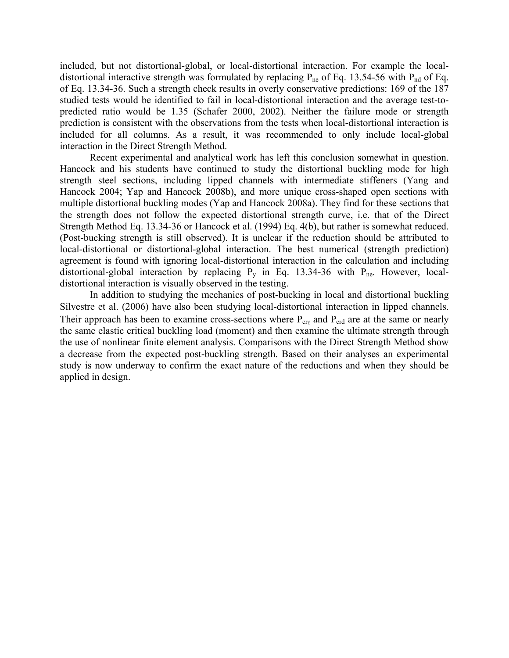included, but not distortional-global, or local-distortional interaction. For example the localdistortional interactive strength was formulated by replacing  $P_{ne}$  of Eq. 13.54-56 with  $P_{nd}$  of Eq. of Eq. 13.34-36. Such a strength check results in overly conservative predictions: 169 of the 187 studied tests would be identified to fail in local-distortional interaction and the average test-topredicted ratio would be 1.35 (Schafer 2000, 2002). Neither the failure mode or strength prediction is consistent with the observations from the tests when local-distortional interaction is included for all columns. As a result, it was recommended to only include local-global interaction in the Direct Strength Method.

Recent experimental and analytical work has left this conclusion somewhat in question. Hancock and his students have continued to study the distortional buckling mode for high strength steel sections, including lipped channels with intermediate stiffeners (Yang and Hancock 2004; Yap and Hancock 2008b), and more unique cross-shaped open sections with multiple distortional buckling modes (Yap and Hancock 2008a). They find for these sections that the strength does not follow the expected distortional strength curve, i.e. that of the Direct Strength Method Eq. 13.34-36 or Hancock et al. (1994) Eq. 4(b), but rather is somewhat reduced. (Post-bucking strength is still observed). It is unclear if the reduction should be attributed to local-distortional or distortional-global interaction. The best numerical (strength prediction) agreement is found with ignoring local-distortional interaction in the calculation and including distortional-global interaction by replacing  $P_v$  in Eq. 13.34-36 with  $P_{ne}$ . However, localdistortional interaction is visually observed in the testing.

In addition to studying the mechanics of post-bucking in local and distortional buckling Silvestre et al. (2006) have also been studying local-distortional interaction in lipped channels. Their approach has been to examine cross-sections where  $P_{cr\ell}$  and  $P_{crd}$  are at the same or nearly the same elastic critical buckling load (moment) and then examine the ultimate strength through the use of nonlinear finite element analysis. Comparisons with the Direct Strength Method show a decrease from the expected post-buckling strength. Based on their analyses an experimental study is now underway to confirm the exact nature of the reductions and when they should be applied in design.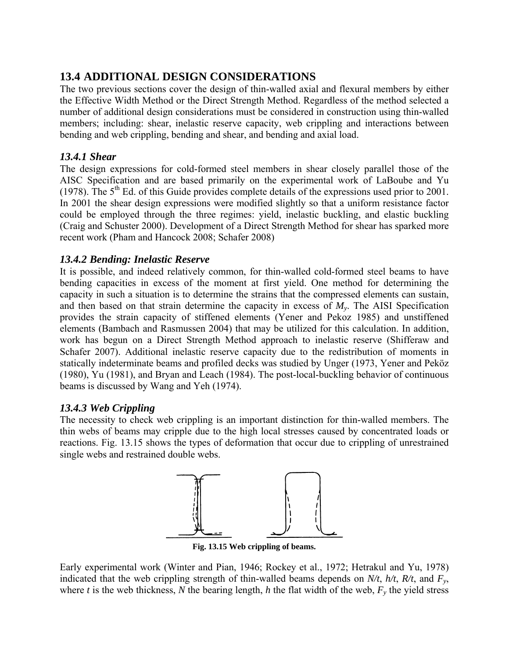# **13.4 ADDITIONAL DESIGN CONSIDERATIONS**

The two previous sections cover the design of thin-walled axial and flexural members by either the Effective Width Method or the Direct Strength Method. Regardless of the method selected a number of additional design considerations must be considered in construction using thin-walled members; including: shear, inelastic reserve capacity, web crippling and interactions between bending and web crippling, bending and shear, and bending and axial load.

# *13.4.1 Shear*

The design expressions for cold-formed steel members in shear closely parallel those of the AISC Specification and are based primarily on the experimental work of LaBoube and Yu (1978). The  $5<sup>th</sup>$  Ed. of this Guide provides complete details of the expressions used prior to 2001. In 2001 the shear design expressions were modified slightly so that a uniform resistance factor could be employed through the three regimes: yield, inelastic buckling, and elastic buckling (Craig and Schuster 2000). Development of a Direct Strength Method for shear has sparked more recent work (Pham and Hancock 2008; Schafer 2008)

# *13.4.2 Bending: Inelastic Reserve*

It is possible, and indeed relatively common, for thin-walled cold-formed steel beams to have bending capacities in excess of the moment at first yield. One method for determining the capacity in such a situation is to determine the strains that the compressed elements can sustain, and then based on that strain determine the capacity in excess of  $M<sub>v</sub>$ . The AISI Specification provides the strain capacity of stiffened elements (Yener and Pekoz 1985) and unstiffened elements (Bambach and Rasmussen 2004) that may be utilized for this calculation. In addition, work has begun on a Direct Strength Method approach to inelastic reserve (Shifferaw and Schafer 2007). Additional inelastic reserve capacity due to the redistribution of moments in statically indeterminate beams and profiled decks was studied by Unger (1973, Yener and Peköz (1980), Yu (1981), and Bryan and Leach (1984). The post-local-buckling behavior of continuous beams is discussed by Wang and Yeh (1974).

# *13.4.3 Web Crippling*

The necessity to check web crippling is an important distinction for thin-walled members. The thin webs of beams may cripple due to the high local stresses caused by concentrated loads or reactions. Fig. 13.15 shows the types of deformation that occur due to crippling of unrestrained single webs and restrained double webs.



**Fig. 13.15 Web crippling of beams.** 

Early experimental work (Winter and Pian, 1946; Rockey et al., 1972; Hetrakul and Yu, 1978) indicated that the web crippling strength of thin-walled beams depends on *N/t*, *h/t*, *R/t*, and *Fy*, where *t* is the web thickness, *N* the bearing length, *h* the flat width of the web,  $F_y$  the yield stress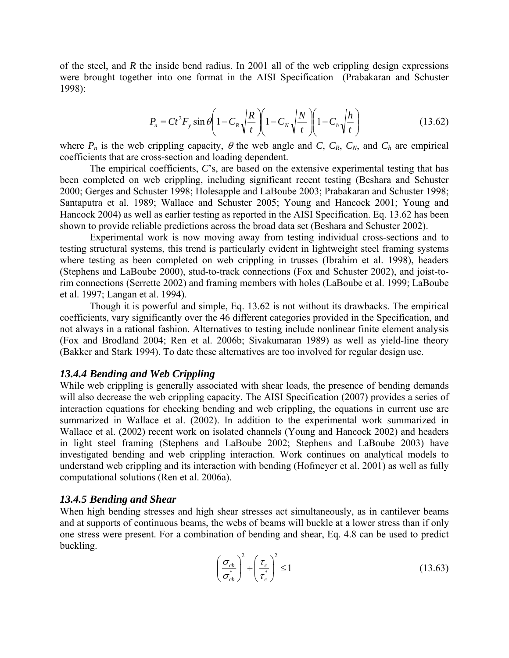of the steel, and *R* the inside bend radius. In 2001 all of the web crippling design expressions were brought together into one format in the AISI Specification (Prabakaran and Schuster 1998):

$$
P_n = Ct^2 F_y \sin \theta \left( 1 - C_R \sqrt{\frac{R}{t}} \right) \left( 1 - C_N \sqrt{\frac{N}{t}} \right) \left( 1 - C_h \sqrt{\frac{h}{t}} \right) \tag{13.62}
$$

where  $P_n$  is the web crippling capacity,  $\theta$  the web angle and *C*,  $C_R$ ,  $C_N$ , and  $C_h$  are empirical coefficients that are cross-section and loading dependent.

The empirical coefficients, *C*'s, are based on the extensive experimental testing that has been completed on web crippling, including significant recent testing (Beshara and Schuster 2000; Gerges and Schuster 1998; Holesapple and LaBoube 2003; Prabakaran and Schuster 1998; Santaputra et al. 1989; Wallace and Schuster 2005; Young and Hancock 2001; Young and Hancock 2004) as well as earlier testing as reported in the AISI Specification. Eq. 13.62 has been shown to provide reliable predictions across the broad data set (Beshara and Schuster 2002).

Experimental work is now moving away from testing individual cross-sections and to testing structural systems, this trend is particularly evident in lightweight steel framing systems where testing as been completed on web crippling in trusses (Ibrahim et al. 1998), headers (Stephens and LaBoube 2000), stud-to-track connections (Fox and Schuster 2002), and joist-torim connections (Serrette 2002) and framing members with holes (LaBoube et al. 1999; LaBoube et al. 1997; Langan et al. 1994).

Though it is powerful and simple, Eq. 13.62 is not without its drawbacks. The empirical coefficients, vary significantly over the 46 different categories provided in the Specification, and not always in a rational fashion. Alternatives to testing include nonlinear finite element analysis (Fox and Brodland 2004; Ren et al. 2006b; Sivakumaran 1989) as well as yield-line theory (Bakker and Stark 1994). To date these alternatives are too involved for regular design use.

## *13.4.4 Bending and Web Crippling*

While web crippling is generally associated with shear loads, the presence of bending demands will also decrease the web crippling capacity. The AISI Specification (2007) provides a series of interaction equations for checking bending and web crippling, the equations in current use are summarized in Wallace et al. (2002). In addition to the experimental work summarized in Wallace et al. (2002) recent work on isolated channels (Young and Hancock 2002) and headers in light steel framing (Stephens and LaBoube 2002; Stephens and LaBoube 2003) have investigated bending and web crippling interaction. Work continues on analytical models to understand web crippling and its interaction with bending (Hofmeyer et al. 2001) as well as fully computational solutions (Ren et al. 2006a).

## *13.4.5 Bending and Shear*

When high bending stresses and high shear stresses act simultaneously, as in cantilever beams and at supports of continuous beams, the webs of beams will buckle at a lower stress than if only one stress were present. For a combination of bending and shear, Eq. 4.8 can be used to predict buckling.

$$
\left(\frac{\sigma_{cb}}{\sigma_{cb}^*}\right)^2 + \left(\frac{\tau_c}{\tau_c^*}\right)^2 \le 1\tag{13.63}
$$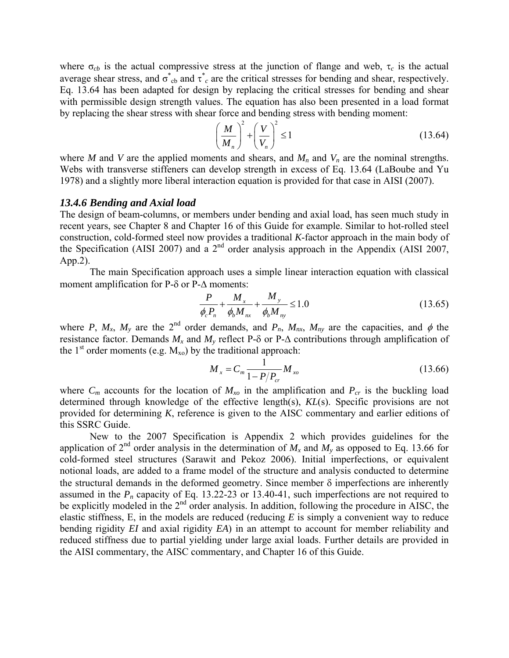where  $\sigma_{cb}$  is the actual compressive stress at the junction of flange and web,  $\tau_c$  is the actual average shear stress, and  $\sigma_{cb}^*$  and  $\tau_c^*$  are the critical stresses for bending and shear, respectively. Eq. 13.64 has been adapted for design by replacing the critical stresses for bending and shear with permissible design strength values. The equation has also been presented in a load format by replacing the shear stress with shear force and bending stress with bending moment:

$$
\left(\frac{M}{M_n}\right)^2 + \left(\frac{V}{V_n}\right)^2 \le 1\tag{13.64}
$$

where *M* and *V* are the applied moments and shears, and  $M_n$  and  $V_n$  are the nominal strengths. Webs with transverse stiffeners can develop strength in excess of Eq. 13.64 (LaBoube and Yu 1978) and a slightly more liberal interaction equation is provided for that case in AISI (2007).

## *13.4.6 Bending and Axial load*

The design of beam-columns, or members under bending and axial load, has seen much study in recent years, see Chapter 8 and Chapter 16 of this Guide for example. Similar to hot-rolled steel construction, cold-formed steel now provides a traditional *K*-factor approach in the main body of the Specification (AISI 2007) and a  $2<sup>nd</sup>$  order analysis approach in the Appendix (AISI 2007, App.2).

The main Specification approach uses a simple linear interaction equation with classical moment amplification for P-δ or P-Δ moments:

$$
\frac{P}{\phi_c P_n} + \frac{M_x}{\phi_b M_{nx}} + \frac{M_y}{\phi_b M_{ny}} \le 1.0
$$
\n(13.65)

where *P*,  $M_x$ ,  $M_y$  are the 2<sup>nd</sup> order demands, and  $P_n$ ,  $M_{nx}$ ,  $M_{ny}$  are the capacities, and  $\phi$  the resistance factor. Demands  $M_x$  and  $M_y$  reflect P- $\delta$  or P- $\Delta$  contributions through amplification of the  $1<sup>st</sup>$  order moments (e.g.  $M_{xo}$ ) by the traditional approach:

$$
M_x = C_m \frac{1}{1 - P/P_{cr}} M_{xo}
$$
 (13.66)

where  $C_m$  accounts for the location of  $M_{xo}$  in the amplification and  $P_{cr}$  is the buckling load determined through knowledge of the effective length(s), *KL*(s). Specific provisions are not provided for determining *K*, reference is given to the AISC commentary and earlier editions of this SSRC Guide.

New to the 2007 Specification is Appendix 2 which provides guidelines for the application of  $2^{nd}$  order analysis in the determination of  $M_x$  and  $M_y$  as opposed to Eq. 13.66 for cold-formed steel structures (Sarawit and Pekoz 2006). Initial imperfections, or equivalent notional loads, are added to a frame model of the structure and analysis conducted to determine the structural demands in the deformed geometry. Since member  $\delta$  imperfections are inherently assumed in the  $P_n$  capacity of Eq. 13.22-23 or 13.40-41, such imperfections are not required to be explicitly modeled in the 2<sup>nd</sup> order analysis. In addition, following the procedure in AISC, the elastic stiffness, E, in the models are reduced (reducing *E* is simply a convenient way to reduce bending rigidity *EI* and axial rigidity *EA*) in an attempt to account for member reliability and reduced stiffness due to partial yielding under large axial loads. Further details are provided in the AISI commentary, the AISC commentary, and Chapter 16 of this Guide.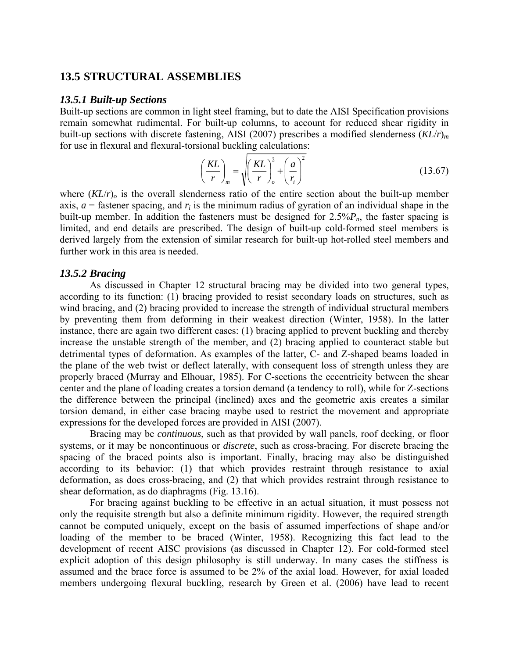# **13.5 STRUCTURAL ASSEMBLIES**

## *13.5.1 Built-up Sections*

Built-up sections are common in light steel framing, but to date the AISI Specification provisions remain somewhat rudimental. For built-up columns, to account for reduced shear rigidity in built-up sections with discrete fastening, AISI (2007) prescribes a modified slenderness (*KL*/*r*)*<sup>m</sup>* for use in flexural and flexural-torsional buckling calculations:

$$
\left(\frac{KL}{r}\right)_m = \sqrt{\left(\frac{KL}{r}\right)_o^2 + \left(\frac{a}{r_i}\right)^2}
$$
\n(13.67)

where  $(KL/r)$ <sub>o</sub> is the overall slenderness ratio of the entire section about the built-up member axis,  $a$  = fastener spacing, and  $r_i$  is the minimum radius of gyration of an individual shape in the built-up member. In addition the fasteners must be designed for  $2.5\%P_n$ , the faster spacing is limited, and end details are prescribed. The design of built-up cold-formed steel members is derived largely from the extension of similar research for built-up hot-rolled steel members and further work in this area is needed.

## *13.5.2 Bracing*

As discussed in Chapter 12 structural bracing may be divided into two general types, according to its function: (1) bracing provided to resist secondary loads on structures, such as wind bracing, and (2) bracing provided to increase the strength of individual structural members by preventing them from deforming in their weakest direction (Winter, 1958). In the latter instance, there are again two different cases: (1) bracing applied to prevent buckling and thereby increase the unstable strength of the member, and (2) bracing applied to counteract stable but detrimental types of deformation. As examples of the latter, C- and Z-shaped beams loaded in the plane of the web twist or deflect laterally, with consequent loss of strength unless they are properly braced (Murray and Elhouar, 1985). For C-sections the eccentricity between the shear center and the plane of loading creates a torsion demand (a tendency to roll), while for Z-sections the difference between the principal (inclined) axes and the geometric axis creates a similar torsion demand, in either case bracing maybe used to restrict the movement and appropriate expressions for the developed forces are provided in AISI (2007).

Bracing may be *continuous*, such as that provided by wall panels, roof decking, or floor systems, or it may be noncontinuous or *discrete*, such as cross-bracing. For discrete bracing the spacing of the braced points also is important. Finally, bracing may also be distinguished according to its behavior: (1) that which provides restraint through resistance to axial deformation, as does cross-bracing, and (2) that which provides restraint through resistance to shear deformation, as do diaphragms (Fig. 13.16).

For bracing against buckling to be effective in an actual situation, it must possess not only the requisite strength but also a definite minimum rigidity. However, the required strength cannot be computed uniquely, except on the basis of assumed imperfections of shape and/or loading of the member to be braced (Winter, 1958). Recognizing this fact lead to the development of recent AISC provisions (as discussed in Chapter 12). For cold-formed steel explicit adoption of this design philosophy is still underway. In many cases the stiffness is assumed and the brace force is assumed to be 2% of the axial load. However, for axial loaded members undergoing flexural buckling, research by Green et al. (2006) have lead to recent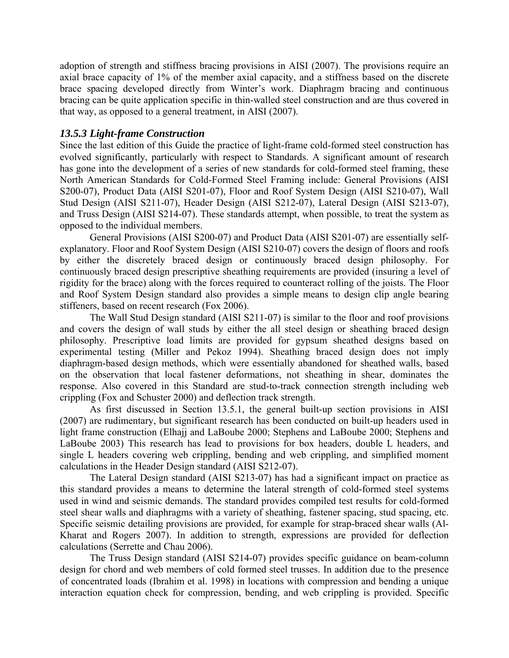adoption of strength and stiffness bracing provisions in AISI (2007). The provisions require an axial brace capacity of 1% of the member axial capacity, and a stiffness based on the discrete brace spacing developed directly from Winter's work. Diaphragm bracing and continuous bracing can be quite application specific in thin-walled steel construction and are thus covered in that way, as opposed to a general treatment, in AISI (2007).

# *13.5.3 Light-frame Construction*

Since the last edition of this Guide the practice of light-frame cold-formed steel construction has evolved significantly, particularly with respect to Standards. A significant amount of research has gone into the development of a series of new standards for cold-formed steel framing, these North American Standards for Cold-Formed Steel Framing include: General Provisions (AISI S200-07), Product Data (AISI S201-07), Floor and Roof System Design (AISI S210-07), Wall Stud Design (AISI S211-07), Header Design (AISI S212-07), Lateral Design (AISI S213-07), and Truss Design (AISI S214-07). These standards attempt, when possible, to treat the system as opposed to the individual members.

General Provisions (AISI S200-07) and Product Data (AISI S201-07) are essentially selfexplanatory. Floor and Roof System Design (AISI S210-07) covers the design of floors and roofs by either the discretely braced design or continuously braced design philosophy. For continuously braced design prescriptive sheathing requirements are provided (insuring a level of rigidity for the brace) along with the forces required to counteract rolling of the joists. The Floor and Roof System Design standard also provides a simple means to design clip angle bearing stiffeners, based on recent research (Fox 2006).

The Wall Stud Design standard (AISI S211-07) is similar to the floor and roof provisions and covers the design of wall studs by either the all steel design or sheathing braced design philosophy. Prescriptive load limits are provided for gypsum sheathed designs based on experimental testing (Miller and Pekoz 1994). Sheathing braced design does not imply diaphragm-based design methods, which were essentially abandoned for sheathed walls, based on the observation that local fastener deformations, not sheathing in shear, dominates the response. Also covered in this Standard are stud-to-track connection strength including web crippling (Fox and Schuster 2000) and deflection track strength.

As first discussed in Section 13.5.1, the general built-up section provisions in AISI (2007) are rudimentary, but significant research has been conducted on built-up headers used in light frame construction (Elhajj and LaBoube 2000; Stephens and LaBoube 2000; Stephens and LaBoube 2003) This research has lead to provisions for box headers, double L headers, and single L headers covering web crippling, bending and web crippling, and simplified moment calculations in the Header Design standard (AISI S212-07).

The Lateral Design standard (AISI S213-07) has had a significant impact on practice as this standard provides a means to determine the lateral strength of cold-formed steel systems used in wind and seismic demands. The standard provides compiled test results for cold-formed steel shear walls and diaphragms with a variety of sheathing, fastener spacing, stud spacing, etc. Specific seismic detailing provisions are provided, for example for strap-braced shear walls (Al-Kharat and Rogers 2007). In addition to strength, expressions are provided for deflection calculations (Serrette and Chau 2006).

The Truss Design standard (AISI S214-07) provides specific guidance on beam-column design for chord and web members of cold formed steel trusses. In addition due to the presence of concentrated loads (Ibrahim et al. 1998) in locations with compression and bending a unique interaction equation check for compression, bending, and web crippling is provided. Specific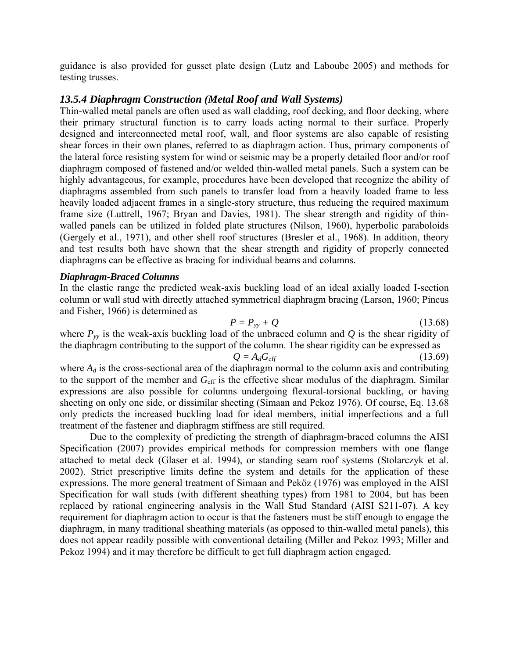guidance is also provided for gusset plate design (Lutz and Laboube 2005) and methods for testing trusses.

# *13.5.4 Diaphragm Construction (Metal Roof and Wall Systems)*

Thin-walled metal panels are often used as wall cladding, roof decking, and floor decking, where their primary structural function is to carry loads acting normal to their surface. Properly designed and interconnected metal roof, wall, and floor systems are also capable of resisting shear forces in their own planes, referred to as diaphragm action. Thus, primary components of the lateral force resisting system for wind or seismic may be a properly detailed floor and/or roof diaphragm composed of fastened and/or welded thin-walled metal panels. Such a system can be highly advantageous, for example, procedures have been developed that recognize the ability of diaphragms assembled from such panels to transfer load from a heavily loaded frame to less heavily loaded adjacent frames in a single-story structure, thus reducing the required maximum frame size (Luttrell, 1967; Bryan and Davies, 1981). The shear strength and rigidity of thinwalled panels can be utilized in folded plate structures (Nilson, 1960), hyperbolic paraboloids (Gergely et al., 1971), and other shell roof structures (Bresler et al., 1968). In addition, theory and test results both have shown that the shear strength and rigidity of properly connected diaphragms can be effective as bracing for individual beams and columns.

## *Diaphragm-Braced Columns*

In the elastic range the predicted weak-axis buckling load of an ideal axially loaded I-section column or wall stud with directly attached symmetrical diaphragm bracing (Larson, 1960; Pincus and Fisher, 1966) is determined as

$$
P = P_{yy} + Q \tag{13.68}
$$

where  $P_{yy}$  is the weak-axis buckling load of the unbraced column and  $Q$  is the shear rigidity of the diaphragm contributing to the support of the column. The shear rigidity can be expressed as

$$
Q = A_d G_{\text{eff}} \tag{13.69}
$$

where  $A_d$  is the cross-sectional area of the diaphragm normal to the column axis and contributing to the support of the member and *G*eff is the effective shear modulus of the diaphragm. Similar expressions are also possible for columns undergoing flexural-torsional buckling, or having sheeting on only one side, or dissimilar sheeting (Simaan and Pekoz 1976). Of course, Eq. 13.68 only predicts the increased buckling load for ideal members, initial imperfections and a full treatment of the fastener and diaphragm stiffness are still required.

Due to the complexity of predicting the strength of diaphragm-braced columns the AISI Specification (2007) provides empirical methods for compression members with one flange attached to metal deck (Glaser et al. 1994), or standing seam roof systems (Stolarczyk et al. 2002). Strict prescriptive limits define the system and details for the application of these expressions. The more general treatment of Simaan and Peköz (1976) was employed in the AISI Specification for wall studs (with different sheathing types) from 1981 to 2004, but has been replaced by rational engineering analysis in the Wall Stud Standard (AISI S211-07). A key requirement for diaphragm action to occur is that the fasteners must be stiff enough to engage the diaphragm, in many traditional sheathing materials (as opposed to thin-walled metal panels), this does not appear readily possible with conventional detailing (Miller and Pekoz 1993; Miller and Pekoz 1994) and it may therefore be difficult to get full diaphragm action engaged.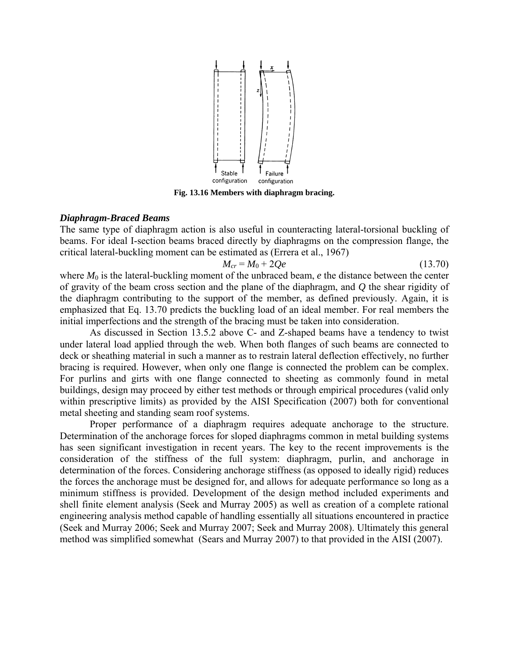

**Fig. 13.16 Members with diaphragm bracing.** 

## *Diaphragm-Braced Beams*

The same type of diaphragm action is also useful in counteracting lateral-torsional buckling of beams. For ideal I-section beams braced directly by diaphragms on the compression flange, the critical lateral-buckling moment can be estimated as (Errera et al., 1967)

$$
M_{cr} = M_0 + 2Qe \tag{13.70}
$$

where  $M_0$  is the lateral-buckling moment of the unbraced beam,  $e$  the distance between the center of gravity of the beam cross section and the plane of the diaphragm, and *Q* the shear rigidity of the diaphragm contributing to the support of the member, as defined previously. Again, it is emphasized that Eq. 13.70 predicts the buckling load of an ideal member. For real members the initial imperfections and the strength of the bracing must be taken into consideration.

As discussed in Section 13.5.2 above C- and Z-shaped beams have a tendency to twist under lateral load applied through the web. When both flanges of such beams are connected to deck or sheathing material in such a manner as to restrain lateral deflection effectively, no further bracing is required. However, when only one flange is connected the problem can be complex. For purlins and girts with one flange connected to sheeting as commonly found in metal buildings, design may proceed by either test methods or through empirical procedures (valid only within prescriptive limits) as provided by the AISI Specification (2007) both for conventional metal sheeting and standing seam roof systems.

Proper performance of a diaphragm requires adequate anchorage to the structure. Determination of the anchorage forces for sloped diaphragms common in metal building systems has seen significant investigation in recent years. The key to the recent improvements is the consideration of the stiffness of the full system: diaphragm, purlin, and anchorage in determination of the forces. Considering anchorage stiffness (as opposed to ideally rigid) reduces the forces the anchorage must be designed for, and allows for adequate performance so long as a minimum stiffness is provided. Development of the design method included experiments and shell finite element analysis (Seek and Murray 2005) as well as creation of a complete rational engineering analysis method capable of handling essentially all situations encountered in practice (Seek and Murray 2006; Seek and Murray 2007; Seek and Murray 2008). Ultimately this general method was simplified somewhat (Sears and Murray 2007) to that provided in the AISI (2007).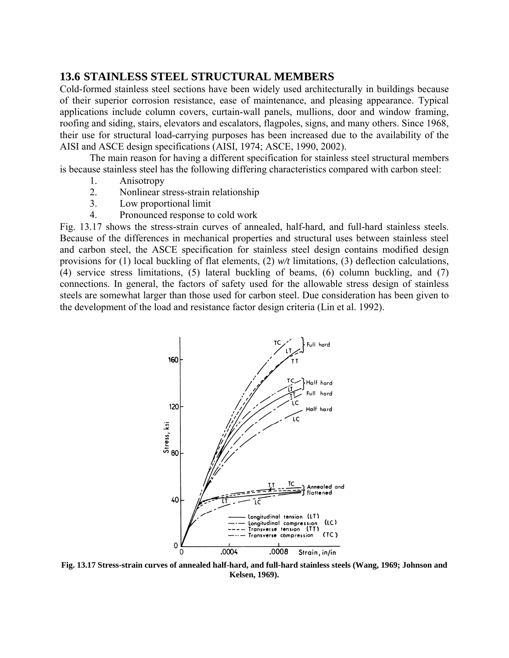# **13.6 STAINLESS STEEL STRUCTURAL MEMBERS**

Cold-formed stainless steel sections have been widely used architecturally in buildings because of their superior corrosion resistance, ease of maintenance, and pleasing appearance. Typical applications include column covers, curtain-wall panels, mullions, door and window framing, roofing and siding, stairs, elevators and escalators, flagpoles, signs, and many others. Since 1968, their use for structural load-carrying purposes has been increased due to the availability of the AISI and ASCE design specifications (AISI, 1974; ASCE, 1990, 2002).

The main reason for having a different specification for stainless steel structural members is because stainless steel has the following differing characteristics compared with carbon steel:

- 1. Anisotropy
- 2. Nonlinear stress-strain relationship
- 3. Low proportional limit
- 4. Pronounced response to cold work

Fig. 13.17 shows the stress-strain curves of annealed, half-hard, and full-hard stainless steels. Because of the differences in mechanical properties and structural uses between stainless steel and carbon steel, the ASCE specification for stainless steel design contains modified design provisions for (1) local buckling of flat elements, (2) *w/t* limitations, (3) deflection calculations, (4) service stress limitations, (5) lateral buckling of beams, (6) column buckling, and (7) connections. In general, the factors of safety used for the allowable stress design of stainless steels are somewhat larger than those used for carbon steel. Due consideration has been given to the development of the load and resistance factor design criteria (Lin et al. 1992).



**Fig. 13.17 Stress-strain curves of annealed half-hard, and full-hard stainless steels (Wang, 1969; Johnson and Kelsen, 1969).**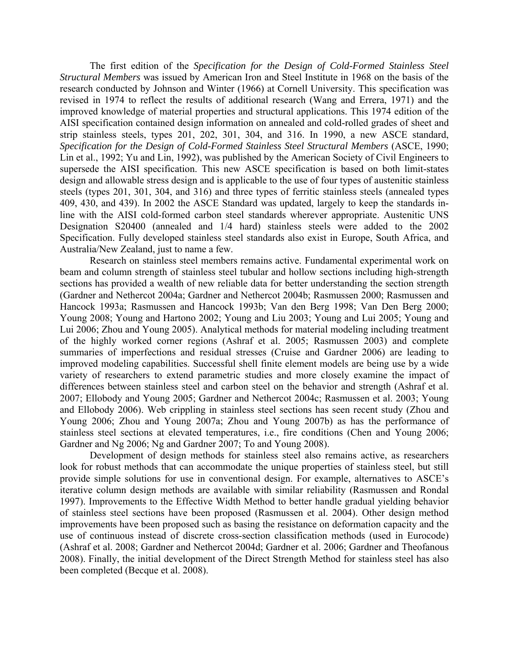The first edition of the *Specification for the Design of Cold-Formed Stainless Steel Structural Members* was issued by American Iron and Steel Institute in 1968 on the basis of the research conducted by Johnson and Winter (1966) at Cornell University. This specification was revised in 1974 to reflect the results of additional research (Wang and Errera, 1971) and the improved knowledge of material properties and structural applications. This 1974 edition of the AISI specification contained design information on annealed and cold-rolled grades of sheet and strip stainless steels, types 201, 202, 301, 304, and 316. In 1990, a new ASCE standard, *Specification for the Design of Cold-Formed Stainless Steel Structural Members* (ASCE, 1990; Lin et al., 1992; Yu and Lin, 1992), was published by the American Society of Civil Engineers to supersede the AISI specification. This new ASCE specification is based on both limit-states design and allowable stress design and is applicable to the use of four types of austenitic stainless steels (types 201, 301, 304, and 316) and three types of ferritic stainless steels (annealed types 409, 430, and 439). In 2002 the ASCE Standard was updated, largely to keep the standards inline with the AISI cold-formed carbon steel standards wherever appropriate. Austenitic UNS Designation S20400 (annealed and 1/4 hard) stainless steels were added to the 2002 Specification. Fully developed stainless steel standards also exist in Europe, South Africa, and Australia/New Zealand, just to name a few.

Research on stainless steel members remains active. Fundamental experimental work on beam and column strength of stainless steel tubular and hollow sections including high-strength sections has provided a wealth of new reliable data for better understanding the section strength (Gardner and Nethercot 2004a; Gardner and Nethercot 2004b; Rasmussen 2000; Rasmussen and Hancock 1993a; Rasmussen and Hancock 1993b; Van den Berg 1998; Van Den Berg 2000; Young 2008; Young and Hartono 2002; Young and Liu 2003; Young and Lui 2005; Young and Lui 2006; Zhou and Young 2005). Analytical methods for material modeling including treatment of the highly worked corner regions (Ashraf et al. 2005; Rasmussen 2003) and complete summaries of imperfections and residual stresses (Cruise and Gardner 2006) are leading to improved modeling capabilities. Successful shell finite element models are being use by a wide variety of researchers to extend parametric studies and more closely examine the impact of differences between stainless steel and carbon steel on the behavior and strength (Ashraf et al. 2007; Ellobody and Young 2005; Gardner and Nethercot 2004c; Rasmussen et al. 2003; Young and Ellobody 2006). Web crippling in stainless steel sections has seen recent study (Zhou and Young 2006; Zhou and Young 2007a; Zhou and Young 2007b) as has the performance of stainless steel sections at elevated temperatures, i.e., fire conditions (Chen and Young 2006; Gardner and Ng 2006; Ng and Gardner 2007; To and Young 2008).

Development of design methods for stainless steel also remains active, as researchers look for robust methods that can accommodate the unique properties of stainless steel, but still provide simple solutions for use in conventional design. For example, alternatives to ASCE's iterative column design methods are available with similar reliability (Rasmussen and Rondal 1997). Improvements to the Effective Width Method to better handle gradual yielding behavior of stainless steel sections have been proposed (Rasmussen et al. 2004). Other design method improvements have been proposed such as basing the resistance on deformation capacity and the use of continuous instead of discrete cross-section classification methods (used in Eurocode) (Ashraf et al. 2008; Gardner and Nethercot 2004d; Gardner et al. 2006; Gardner and Theofanous 2008). Finally, the initial development of the Direct Strength Method for stainless steel has also been completed (Becque et al. 2008).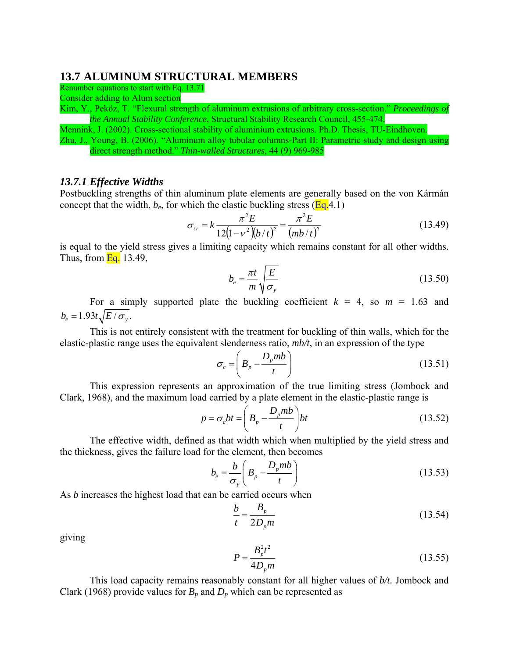# **13.7 ALUMINUM STRUCTURAL MEMBERS**

Renumber equations to start with Eq. 13.71

Consider adding to Alum section

Kim, Y., Peköz, T. "Flexural strength of aluminum extrusions of arbitrary cross-section." *Proceedings of the Annual Stability Conference*, Structural Stability Research Council, 455-474.

Mennink, J. (2002). Cross-sectional stability of aluminium extrusions. Ph.D. Thesis, TU-Eindhoven. Zhu, J., Young, B. (2006). "Aluminum alloy tubular columns-Part II: Parametric study and design using direct strength method." *Thin-walled Structures*, 44 (9) 969-985

## *13.7.1 Effective Widths*

Postbuckling strengths of thin aluminum plate elements are generally based on the von Kármán concept that the width,  $b_e$ , for which the elastic buckling stress ( $Eq.4.1$ )

$$
\sigma_{cr} = k \frac{\pi^2 E}{12(1 - v^2)(b/t)^2} = \frac{\pi^2 E}{(mb/t)^2}
$$
(13.49)

is equal to the yield stress gives a limiting capacity which remains constant for all other widths. Thus, from  $Eq. 13.49$ ,

$$
b_e = \frac{\pi t}{m} \sqrt{\frac{E}{\sigma_y}}
$$
(13.50)

For a simply supported plate the buckling coefficient  $k = 4$ , so  $m = 1.63$  and  $b_e = 1.93 t \sqrt{E/\sigma_v}$ .

This is not entirely consistent with the treatment for buckling of thin walls, which for the elastic-plastic range uses the equivalent slenderness ratio, *mb/t*, in an expression of the type

$$
\sigma_c = \left( B_p - \frac{D_p m b}{t} \right) \tag{13.51}
$$

This expression represents an approximation of the true limiting stress (Jombock and Clark, 1968), and the maximum load carried by a plate element in the elastic-plastic range is

$$
p = \sigma_c bt = \left(B_p - \frac{D_p mb}{t}\right) bt \tag{13.52}
$$

The effective width, defined as that width which when multiplied by the yield stress and the thickness, gives the failure load for the element, then becomes

$$
b_e = \frac{b}{\sigma_y} \left( B_p - \frac{D_p m b}{t} \right) \tag{13.53}
$$

As *b* increases the highest load that can be carried occurs when

$$
\frac{b}{t} = \frac{B_p}{2D_p m} \tag{13.54}
$$

giving

$$
P = \frac{B_p^2 t^2}{4D_p m}
$$
 (13.55)

This load capacity remains reasonably constant for all higher values of *b/t.* Jombock and Clark (1968) provide values for  $B_p$  and  $D_p$  which can be represented as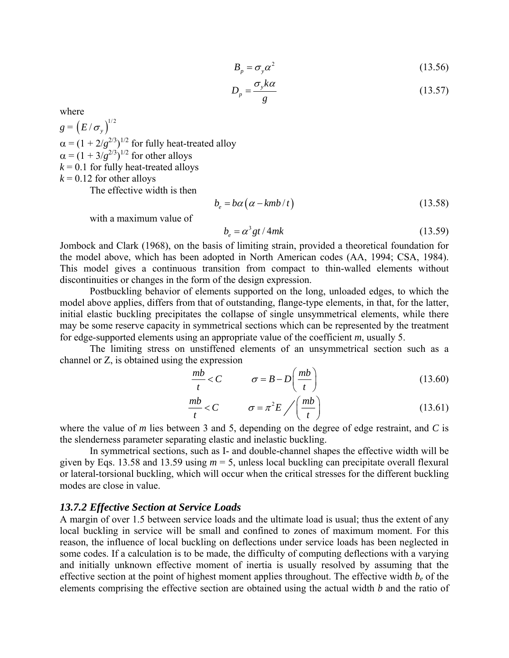$$
B_p = \sigma_y \alpha^2 \tag{13.56}
$$

$$
D_p = \frac{\sigma_y k \alpha}{g} \tag{13.57}
$$

where

 $g = (E / \sigma_y)^{1/2}$  $\alpha = (1 + 2/g^{2/3})^{1/2}$  for fully heat-treated alloy  $\alpha = (1 + 3/g^{2/3})^{1/2}$  for other alloys  $k = 0.1$  for fully heat-treated alloys  $k = 0.12$  for other alloys

The effective width is then

$$
b_e = b\alpha \left( \alpha - \frac{kmb}{t} \right) \tag{13.58}
$$

with a maximum value of

$$
b_e = \alpha^3 gt / 4mk \tag{13.59}
$$

Jombock and Clark (1968), on the basis of limiting strain, provided a theoretical foundation for the model above, which has been adopted in North American codes (AA, 1994; CSA, 1984). This model gives a continuous transition from compact to thin-walled elements without discontinuities or changes in the form of the design expression.

Postbuckling behavior of elements supported on the long, unloaded edges, to which the model above applies, differs from that of outstanding, flange-type elements, in that, for the latter, initial elastic buckling precipitates the collapse of single unsymmetrical elements, while there may be some reserve capacity in symmetrical sections which can be represented by the treatment for edge-supported elements using an appropriate value of the coefficient *m*, usually 5.

The limiting stress on unstiffened elements of an unsymmetrical section such as a channel or Z, is obtained using the expression

$$
\frac{mb}{t} < C \qquad \qquad \sigma = B - D\left(\frac{mb}{t}\right) \tag{13.60}
$$

$$
\frac{mb}{t} < C \qquad \qquad \sigma = \pi^2 E \bigg/ \bigg( \frac{mb}{t} \bigg) \tag{13.61}
$$

where the value of *m* lies between 3 and 5, depending on the degree of edge restraint, and *C* is the slenderness parameter separating elastic and inelastic buckling.

In symmetrical sections, such as I- and double-channel shapes the effective width will be given by Eqs. 13.58 and 13.59 using *m* = 5, unless local buckling can precipitate overall flexural or lateral-torsional buckling, which will occur when the critical stresses for the different buckling modes are close in value.

# *13.7.2 Effective Section at Service Loads*

A margin of over 1.5 between service loads and the ultimate load is usual; thus the extent of any local buckling in service will be small and confined to zones of maximum moment. For this reason, the influence of local buckling on deflections under service loads has been neglected in some codes. If a calculation is to be made, the difficulty of computing deflections with a varying and initially unknown effective moment of inertia is usually resolved by assuming that the effective section at the point of highest moment applies throughout. The effective width *b<sub>e</sub>* of the elements comprising the effective section are obtained using the actual width *b* and the ratio of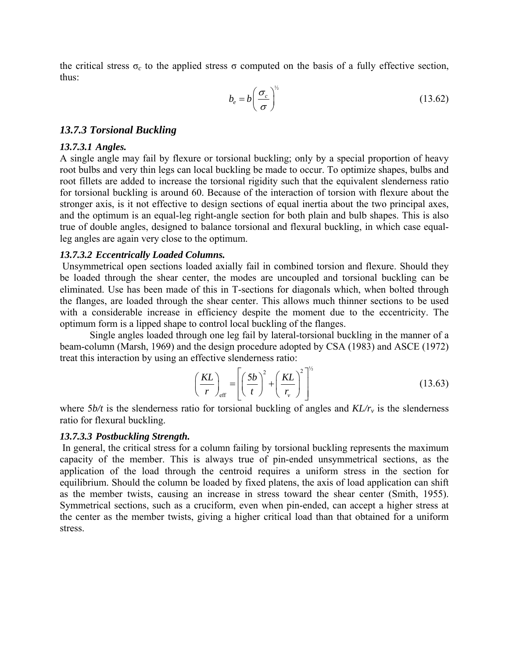the critical stress  $\sigma_c$  to the applied stress  $\sigma$  computed on the basis of a fully effective section, thus:

$$
b_e = b \left(\frac{\sigma_c}{\sigma}\right)^{\frac{1}{2}}
$$
 (13.62)

## *13.7.3 Torsional Buckling*

### *13.7.3.1 Angles.*

A single angle may fail by flexure or torsional buckling; only by a special proportion of heavy root bulbs and very thin legs can local buckling be made to occur. To optimize shapes, bulbs and root fillets are added to increase the torsional rigidity such that the equivalent slenderness ratio for torsional buckling is around 60. Because of the interaction of torsion with flexure about the stronger axis, is it not effective to design sections of equal inertia about the two principal axes, and the optimum is an equal-leg right-angle section for both plain and bulb shapes. This is also true of double angles, designed to balance torsional and flexural buckling, in which case equalleg angles are again very close to the optimum.

## *13.7.3.2 Eccentrically Loaded Columns.*

 Unsymmetrical open sections loaded axially fail in combined torsion and flexure. Should they be loaded through the shear center, the modes are uncoupled and torsional buckling can be eliminated. Use has been made of this in T-sections for diagonals which, when bolted through the flanges, are loaded through the shear center. This allows much thinner sections to be used with a considerable increase in efficiency despite the moment due to the eccentricity. The optimum form is a lipped shape to control local buckling of the flanges.

Single angles loaded through one leg fail by lateral-torsional buckling in the manner of a beam-column (Marsh, 1969) and the design procedure adopted by CSA (1983) and ASCE (1972) treat this interaction by using an effective slenderness ratio:

$$
\left(\frac{KL}{r}\right)_{\text{eff}} = \left[\left(\frac{5b}{t}\right)^2 + \left(\frac{KL}{r_v}\right)^2\right]^{1/2} \tag{13.63}
$$

where  $5b/t$  is the slenderness ratio for torsional buckling of angles and  $KL/r_v$  is the slenderness ratio for flexural buckling.

## *13.7.3.3 Postbuckling Strength.*

 In general, the critical stress for a column failing by torsional buckling represents the maximum capacity of the member. This is always true of pin-ended unsymmetrical sections, as the application of the load through the centroid requires a uniform stress in the section for equilibrium. Should the column be loaded by fixed platens, the axis of load application can shift as the member twists, causing an increase in stress toward the shear center (Smith, 1955). Symmetrical sections, such as a cruciform, even when pin-ended, can accept a higher stress at the center as the member twists, giving a higher critical load than that obtained for a uniform stress.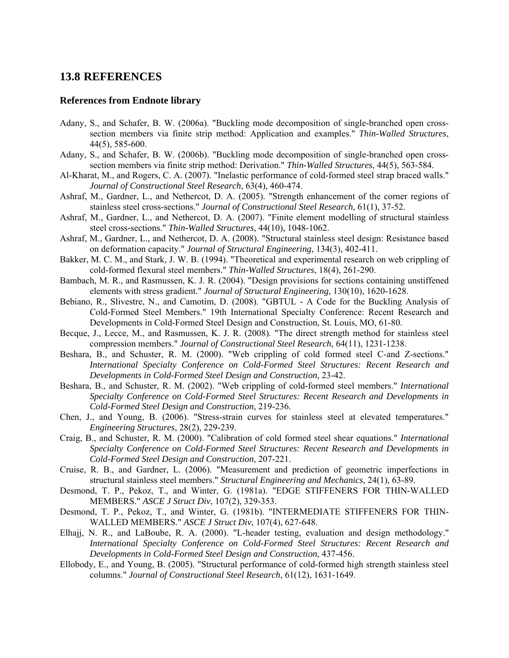# **13.8 REFERENCES**

## **References from Endnote library**

- Adany, S., and Schafer, B. W. (2006a). "Buckling mode decomposition of single-branched open crosssection members via finite strip method: Application and examples." *Thin-Walled Structures*, 44(5), 585-600.
- Adany, S., and Schafer, B. W. (2006b). "Buckling mode decomposition of single-branched open crosssection members via finite strip method: Derivation." *Thin-Walled Structures*, 44(5), 563-584.
- Al-Kharat, M., and Rogers, C. A. (2007). "Inelastic performance of cold-formed steel strap braced walls." *Journal of Constructional Steel Research*, 63(4), 460-474.
- Ashraf, M., Gardner, L., and Nethercot, D. A. (2005). "Strength enhancement of the corner regions of stainless steel cross-sections." *Journal of Constructional Steel Research*, 61(1), 37-52.
- Ashraf, M., Gardner, L., and Nethercot, D. A. (2007). "Finite element modelling of structural stainless steel cross-sections." *Thin-Walled Structures*, 44(10), 1048-1062.
- Ashraf, M., Gardner, L., and Nethercot, D. A. (2008). "Structural stainless steel design: Resistance based on deformation capacity." *Journal of Structural Engineering*, 134(3), 402-411.
- Bakker, M. C. M., and Stark, J. W. B. (1994). "Theoretical and experimental research on web crippling of cold-formed flexural steel members." *Thin-Walled Structures*, 18(4), 261-290.
- Bambach, M. R., and Rasmussen, K. J. R. (2004). "Design provisions for sections containing unstiffened elements with stress gradient." *Journal of Structural Engineering*, 130(10), 1620-1628.
- Bebiano, R., Slivestre, N., and Camotim, D. (2008). "GBTUL A Code for the Buckling Analysis of Cold-Formed Steel Members." 19th International Specialty Conference: Recent Research and Developments in Cold-Formed Steel Design and Construction, St. Louis, MO, 61-80.
- Becque, J., Lecce, M., and Rasmussen, K. J. R. (2008). "The direct strength method for stainless steel compression members." *Journal of Constructional Steel Research*, 64(11), 1231-1238.
- Beshara, B., and Schuster, R. M. (2000). "Web crippling of cold formed steel C-and Z-sections." *International Specialty Conference on Cold-Formed Steel Structures: Recent Research and Developments in Cold-Formed Steel Design and Construction*, 23-42.
- Beshara, B., and Schuster, R. M. (2002). "Web crippling of cold-formed steel members." *International Specialty Conference on Cold-Formed Steel Structures: Recent Research and Developments in Cold-Formed Steel Design and Construction*, 219-236.
- Chen, J., and Young, B. (2006). "Stress-strain curves for stainless steel at elevated temperatures." *Engineering Structures*, 28(2), 229-239.
- Craig, B., and Schuster, R. M. (2000). "Calibration of cold formed steel shear equations." *International Specialty Conference on Cold-Formed Steel Structures: Recent Research and Developments in Cold-Formed Steel Design and Construction*, 207-221.
- Cruise, R. B., and Gardner, L. (2006). "Measurement and prediction of geometric imperfections in structural stainless steel members." *Structural Engineering and Mechanics*, 24(1), 63-89.
- Desmond, T. P., Pekoz, T., and Winter, G. (1981a). "EDGE STIFFENERS FOR THIN-WALLED MEMBERS." *ASCE J Struct Div*, 107(2), 329-353.
- Desmond, T. P., Pekoz, T., and Winter, G. (1981b). "INTERMEDIATE STIFFENERS FOR THIN-WALLED MEMBERS." *ASCE J Struct Div*, 107(4), 627-648.
- Elhajj, N. R., and LaBoube, R. A. (2000). "L-header testing, evaluation and design methodology." *International Specialty Conference on Cold-Formed Steel Structures: Recent Research and Developments in Cold-Formed Steel Design and Construction*, 437-456.
- Ellobody, E., and Young, B. (2005). "Structural performance of cold-formed high strength stainless steel columns." *Journal of Constructional Steel Research*, 61(12), 1631-1649.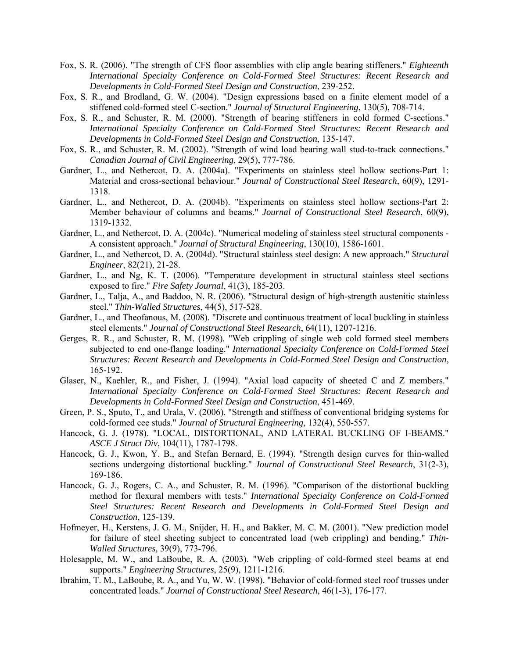- Fox, S. R. (2006). "The strength of CFS floor assemblies with clip angle bearing stiffeners." *Eighteenth International Specialty Conference on Cold-Formed Steel Structures: Recent Research and Developments in Cold-Formed Steel Design and Construction*, 239-252.
- Fox, S. R., and Brodland, G. W. (2004). "Design expressions based on a finite element model of a stiffened cold-formed steel C-section." *Journal of Structural Engineering*, 130(5), 708-714.
- Fox, S. R., and Schuster, R. M. (2000). "Strength of bearing stiffeners in cold formed C-sections." *International Specialty Conference on Cold-Formed Steel Structures: Recent Research and Developments in Cold-Formed Steel Design and Construction*, 135-147.
- Fox, S. R., and Schuster, R. M. (2002). "Strength of wind load bearing wall stud-to-track connections." *Canadian Journal of Civil Engineering*, 29(5), 777-786.
- Gardner, L., and Nethercot, D. A. (2004a). "Experiments on stainless steel hollow sections-Part 1: Material and cross-sectional behaviour." *Journal of Constructional Steel Research*, 60(9), 1291- 1318.
- Gardner, L., and Nethercot, D. A. (2004b). "Experiments on stainless steel hollow sections-Part 2: Member behaviour of columns and beams." *Journal of Constructional Steel Research*, 60(9), 1319-1332.
- Gardner, L., and Nethercot, D. A. (2004c). "Numerical modeling of stainless steel structural components A consistent approach." *Journal of Structural Engineering*, 130(10), 1586-1601.
- Gardner, L., and Nethercot, D. A. (2004d). "Structural stainless steel design: A new approach." *Structural Engineer*, 82(21), 21-28.
- Gardner, L., and Ng, K. T. (2006). "Temperature development in structural stainless steel sections exposed to fire." *Fire Safety Journal*, 41(3), 185-203.
- Gardner, L., Talja, A., and Baddoo, N. R. (2006). "Structural design of high-strength austenitic stainless steel." *Thin-Walled Structures*, 44(5), 517-528.
- Gardner, L., and Theofanous, M. (2008). "Discrete and continuous treatment of local buckling in stainless steel elements." *Journal of Constructional Steel Research*, 64(11), 1207-1216.
- Gerges, R. R., and Schuster, R. M. (1998). "Web crippling of single web cold formed steel members subjected to end one-flange loading." *International Specialty Conference on Cold-Formed Steel Structures: Recent Research and Developments in Cold-Formed Steel Design and Construction*, 165-192.
- Glaser, N., Kaehler, R., and Fisher, J. (1994). "Axial load capacity of sheeted C and Z members." *International Specialty Conference on Cold-Formed Steel Structures: Recent Research and Developments in Cold-Formed Steel Design and Construction*, 451-469.
- Green, P. S., Sputo, T., and Urala, V. (2006). "Strength and stiffness of conventional bridging systems for cold-formed cee studs." *Journal of Structural Engineering*, 132(4), 550-557.
- Hancock, G. J. (1978). "LOCAL, DISTORTIONAL, AND LATERAL BUCKLING OF I-BEAMS." *ASCE J Struct Div*, 104(11), 1787-1798.
- Hancock, G. J., Kwon, Y. B., and Stefan Bernard, E. (1994). "Strength design curves for thin-walled sections undergoing distortional buckling." *Journal of Constructional Steel Research*, 31(2-3), 169-186.
- Hancock, G. J., Rogers, C. A., and Schuster, R. M. (1996). "Comparison of the distortional buckling method for flexural members with tests." *International Specialty Conference on Cold-Formed Steel Structures: Recent Research and Developments in Cold-Formed Steel Design and Construction*, 125-139.
- Hofmeyer, H., Kerstens, J. G. M., Snijder, H. H., and Bakker, M. C. M. (2001). "New prediction model for failure of steel sheeting subject to concentrated load (web crippling) and bending." *Thin-Walled Structures*, 39(9), 773-796.
- Holesapple, M. W., and LaBoube, R. A. (2003). "Web crippling of cold-formed steel beams at end supports." *Engineering Structures*, 25(9), 1211-1216.
- Ibrahim, T. M., LaBoube, R. A., and Yu, W. W. (1998). "Behavior of cold-formed steel roof trusses under concentrated loads." *Journal of Constructional Steel Research*, 46(1-3), 176-177.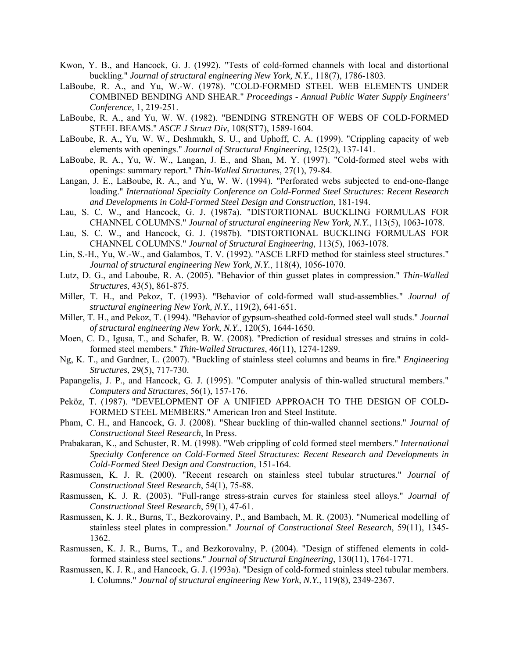- Kwon, Y. B., and Hancock, G. J. (1992). "Tests of cold-formed channels with local and distortional buckling." *Journal of structural engineering New York, N.Y.*, 118(7), 1786-1803.
- LaBoube, R. A., and Yu, W.-W. (1978). "COLD-FORMED STEEL WEB ELEMENTS UNDER COMBINED BENDING AND SHEAR." *Proceedings - Annual Public Water Supply Engineers' Conference*, 1, 219-251.
- LaBoube, R. A., and Yu, W. W. (1982). "BENDING STRENGTH OF WEBS OF COLD-FORMED STEEL BEAMS." *ASCE J Struct Div*, 108(ST7), 1589-1604.
- LaBoube, R. A., Yu, W. W., Deshmukh, S. U., and Uphoff, C. A. (1999). "Crippling capacity of web elements with openings." *Journal of Structural Engineering*, 125(2), 137-141.
- LaBoube, R. A., Yu, W. W., Langan, J. E., and Shan, M. Y. (1997). "Cold-formed steel webs with openings: summary report." *Thin-Walled Structures*, 27(1), 79-84.
- Langan, J. E., LaBoube, R. A., and Yu, W. W. (1994). "Perforated webs subjected to end-one-flange loading." *International Specialty Conference on Cold-Formed Steel Structures: Recent Research and Developments in Cold-Formed Steel Design and Construction*, 181-194.
- Lau, S. C. W., and Hancock, G. J. (1987a). "DISTORTIONAL BUCKLING FORMULAS FOR CHANNEL COLUMNS." *Journal of structural engineering New York, N.Y.*, 113(5), 1063-1078.
- Lau, S. C. W., and Hancock, G. J. (1987b). "DISTORTIONAL BUCKLING FORMULAS FOR CHANNEL COLUMNS." *Journal of Structural Engineering*, 113(5), 1063-1078.
- Lin, S.-H., Yu, W.-W., and Galambos, T. V. (1992). "ASCE LRFD method for stainless steel structures." *Journal of structural engineering New York, N.Y.*, 118(4), 1056-1070.
- Lutz, D. G., and Laboube, R. A. (2005). "Behavior of thin gusset plates in compression." *Thin-Walled Structures*, 43(5), 861-875.
- Miller, T. H., and Pekoz, T. (1993). "Behavior of cold-formed wall stud-assemblies." *Journal of structural engineering New York, N.Y.*, 119(2), 641-651.
- Miller, T. H., and Pekoz, T. (1994). "Behavior of gypsum-sheathed cold-formed steel wall studs." *Journal of structural engineering New York, N.Y.*, 120(5), 1644-1650.
- Moen, C. D., Igusa, T., and Schafer, B. W. (2008). "Prediction of residual stresses and strains in coldformed steel members." *Thin-Walled Structures*, 46(11), 1274-1289.
- Ng, K. T., and Gardner, L. (2007). "Buckling of stainless steel columns and beams in fire." *Engineering Structures*, 29(5), 717-730.
- Papangelis, J. P., and Hancock, G. J. (1995). "Computer analysis of thin-walled structural members." *Computers and Structures*, 56(1), 157-176.
- Peköz, T. (1987). "DEVELOPMENT OF A UNIFIED APPROACH TO THE DESIGN OF COLD-FORMED STEEL MEMBERS." American Iron and Steel Institute.
- Pham, C. H., and Hancock, G. J. (2008). "Shear buckling of thin-walled channel sections." *Journal of Constructional Steel Research*, In Press.
- Prabakaran, K., and Schuster, R. M. (1998). "Web crippling of cold formed steel members." *International Specialty Conference on Cold-Formed Steel Structures: Recent Research and Developments in Cold-Formed Steel Design and Construction*, 151-164.
- Rasmussen, K. J. R. (2000). "Recent research on stainless steel tubular structures." *Journal of Constructional Steel Research*, 54(1), 75-88.
- Rasmussen, K. J. R. (2003). "Full-range stress-strain curves for stainless steel alloys." *Journal of Constructional Steel Research*, 59(1), 47-61.
- Rasmussen, K. J. R., Burns, T., Bezkorovainy, P., and Bambach, M. R. (2003). "Numerical modelling of stainless steel plates in compression." *Journal of Constructional Steel Research*, 59(11), 1345- 1362.
- Rasmussen, K. J. R., Burns, T., and Bezkorovalny, P. (2004). "Design of stiffened elements in coldformed stainless steel sections." *Journal of Structural Engineering*, 130(11), 1764-1771.
- Rasmussen, K. J. R., and Hancock, G. J. (1993a). "Design of cold-formed stainless steel tubular members. I. Columns." *Journal of structural engineering New York, N.Y.*, 119(8), 2349-2367.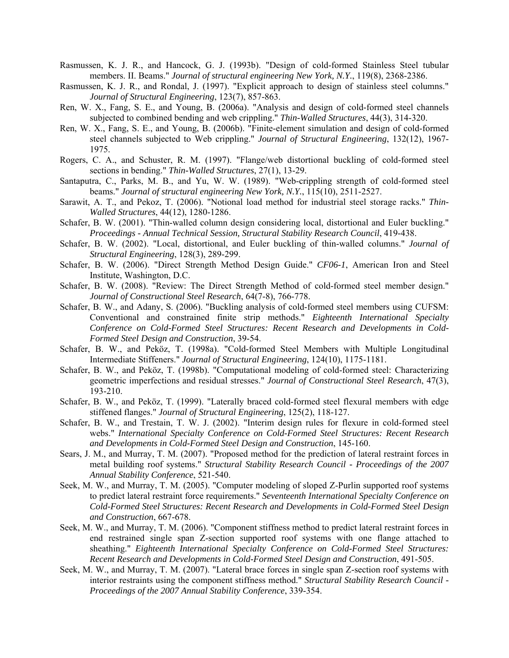- Rasmussen, K. J. R., and Hancock, G. J. (1993b). "Design of cold-formed Stainless Steel tubular members. II. Beams." *Journal of structural engineering New York, N.Y.*, 119(8), 2368-2386.
- Rasmussen, K. J. R., and Rondal, J. (1997). "Explicit approach to design of stainless steel columns." *Journal of Structural Engineering*, 123(7), 857-863.
- Ren, W. X., Fang, S. E., and Young, B. (2006a). "Analysis and design of cold-formed steel channels subjected to combined bending and web crippling." *Thin-Walled Structures*, 44(3), 314-320.
- Ren, W. X., Fang, S. E., and Young, B. (2006b). "Finite-element simulation and design of cold-formed steel channels subjected to Web crippling." *Journal of Structural Engineering*, 132(12), 1967- 1975.
- Rogers, C. A., and Schuster, R. M. (1997). "Flange/web distortional buckling of cold-formed steel sections in bending." *Thin-Walled Structures*, 27(1), 13-29.
- Santaputra, C., Parks, M. B., and Yu, W. W. (1989). "Web-crippling strength of cold-formed steel beams." *Journal of structural engineering New York, N.Y.*, 115(10), 2511-2527.
- Sarawit, A. T., and Pekoz, T. (2006). "Notional load method for industrial steel storage racks." *Thin-Walled Structures*, 44(12), 1280-1286.
- Schafer, B. W. (2001). "Thin-walled column design considering local, distortional and Euler buckling." *Proceedings - Annual Technical Session, Structural Stability Research Council*, 419-438.
- Schafer, B. W. (2002). "Local, distortional, and Euler buckling of thin-walled columns." *Journal of Structural Engineering*, 128(3), 289-299.
- Schafer, B. W. (2006). "Direct Strength Method Design Guide." *CF06-1*, American Iron and Steel Institute, Washington, D.C.
- Schafer, B. W. (2008). "Review: The Direct Strength Method of cold-formed steel member design." *Journal of Constructional Steel Research*, 64(7-8), 766-778.
- Schafer, B. W., and Adany, S. (2006). "Buckling analysis of cold-formed steel members using CUFSM: Conventional and constrained finite strip methods." *Eighteenth International Specialty Conference on Cold-Formed Steel Structures: Recent Research and Developments in Cold-Formed Steel Design and Construction*, 39-54.
- Schafer, B. W., and Peköz, T. (1998a). "Cold-formed Steel Members with Multiple Longitudinal Intermediate Stiffeners." *Journal of Structural Engineering*, 124(10), 1175-1181.
- Schafer, B. W., and Peköz, T. (1998b). "Computational modeling of cold-formed steel: Characterizing geometric imperfections and residual stresses." *Journal of Constructional Steel Research*, 47(3), 193-210.
- Schafer, B. W., and Peköz, T. (1999). "Laterally braced cold-formed steel flexural members with edge stiffened flanges." *Journal of Structural Engineering*, 125(2), 118-127.
- Schafer, B. W., and Trestain, T. W. J. (2002). "Interim design rules for flexure in cold-formed steel webs." *International Specialty Conference on Cold-Formed Steel Structures: Recent Research and Developments in Cold-Formed Steel Design and Construction*, 145-160.
- Sears, J. M., and Murray, T. M. (2007). "Proposed method for the prediction of lateral restraint forces in metal building roof systems." *Structural Stability Research Council - Proceedings of the 2007 Annual Stability Conference*, 521-540.
- Seek, M. W., and Murray, T. M. (2005). "Computer modeling of sloped Z-Purlin supported roof systems to predict lateral restraint force requirements." *Seventeenth International Specialty Conference on Cold-Formed Steel Structures: Recent Research and Developments in Cold-Formed Steel Design and Construction*, 667-678.
- Seek, M. W., and Murray, T. M. (2006). "Component stiffness method to predict lateral restraint forces in end restrained single span Z-section supported roof systems with one flange attached to sheathing." *Eighteenth International Specialty Conference on Cold-Formed Steel Structures: Recent Research and Developments in Cold-Formed Steel Design and Construction*, 491-505.
- Seek, M. W., and Murray, T. M. (2007). "Lateral brace forces in single span Z-section roof systems with interior restraints using the component stiffness method." *Structural Stability Research Council - Proceedings of the 2007 Annual Stability Conference*, 339-354.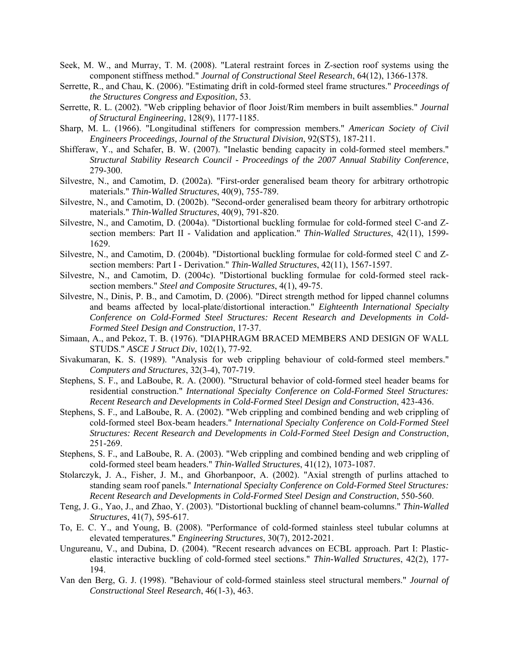- Seek, M. W., and Murray, T. M. (2008). "Lateral restraint forces in Z-section roof systems using the component stiffness method." *Journal of Constructional Steel Research*, 64(12), 1366-1378.
- Serrette, R., and Chau, K. (2006). "Estimating drift in cold-formed steel frame structures." *Proceedings of the Structures Congress and Exposition*, 53.
- Serrette, R. L. (2002). "Web crippling behavior of floor Joist/Rim members in built assemblies." *Journal of Structural Engineering*, 128(9), 1177-1185.
- Sharp, M. L. (1966). "Longitudinal stiffeners for compression members." *American Society of Civil Engineers Proceedings, Journal of the Structural Division*, 92(ST5), 187-211.
- Shifferaw, Y., and Schafer, B. W. (2007). "Inelastic bending capacity in cold-formed steel members." *Structural Stability Research Council - Proceedings of the 2007 Annual Stability Conference*, 279-300.
- Silvestre, N., and Camotim, D. (2002a). "First-order generalised beam theory for arbitrary orthotropic materials." *Thin-Walled Structures*, 40(9), 755-789.
- Silvestre, N., and Camotim, D. (2002b). "Second-order generalised beam theory for arbitrary orthotropic materials." *Thin-Walled Structures*, 40(9), 791-820.
- Silvestre, N., and Camotim, D. (2004a). "Distortional buckling formulae for cold-formed steel C-and Zsection members: Part II - Validation and application." *Thin-Walled Structures*, 42(11), 1599- 1629.
- Silvestre, N., and Camotim, D. (2004b). "Distortional buckling formulae for cold-formed steel C and Zsection members: Part I - Derivation." *Thin-Walled Structures*, 42(11), 1567-1597.
- Silvestre, N., and Camotim, D. (2004c). "Distortional buckling formulae for cold-formed steel racksection members." *Steel and Composite Structures*, 4(1), 49-75.
- Silvestre, N., Dinis, P. B., and Camotim, D. (2006). "Direct strength method for lipped channel columns and beams affected by local-plate/distortional interaction." *Eighteenth International Specialty Conference on Cold-Formed Steel Structures: Recent Research and Developments in Cold-Formed Steel Design and Construction*, 17-37.
- Simaan, A., and Pekoz, T. B. (1976). "DIAPHRAGM BRACED MEMBERS AND DESIGN OF WALL STUDS." *ASCE J Struct Div*, 102(1), 77-92.
- Sivakumaran, K. S. (1989). "Analysis for web crippling behaviour of cold-formed steel members." *Computers and Structures*, 32(3-4), 707-719.
- Stephens, S. F., and LaBoube, R. A. (2000). "Structural behavior of cold-formed steel header beams for residential construction." *International Specialty Conference on Cold-Formed Steel Structures: Recent Research and Developments in Cold-Formed Steel Design and Construction*, 423-436.
- Stephens, S. F., and LaBoube, R. A. (2002). "Web crippling and combined bending and web crippling of cold-formed steel Box-beam headers." *International Specialty Conference on Cold-Formed Steel Structures: Recent Research and Developments in Cold-Formed Steel Design and Construction*, 251-269.
- Stephens, S. F., and LaBoube, R. A. (2003). "Web crippling and combined bending and web crippling of cold-formed steel beam headers." *Thin-Walled Structures*, 41(12), 1073-1087.
- Stolarczyk, J. A., Fisher, J. M., and Ghorbanpoor, A. (2002). "Axial strength of purlins attached to standing seam roof panels." *International Specialty Conference on Cold-Formed Steel Structures: Recent Research and Developments in Cold-Formed Steel Design and Construction*, 550-560.
- Teng, J. G., Yao, J., and Zhao, Y. (2003). "Distortional buckling of channel beam-columns." *Thin-Walled Structures*, 41(7), 595-617.
- To, E. C. Y., and Young, B. (2008). "Performance of cold-formed stainless steel tubular columns at elevated temperatures." *Engineering Structures*, 30(7), 2012-2021.
- Ungureanu, V., and Dubina, D. (2004). "Recent research advances on ECBL approach. Part I: Plasticelastic interactive buckling of cold-formed steel sections." *Thin-Walled Structures*, 42(2), 177- 194.
- Van den Berg, G. J. (1998). "Behaviour of cold-formed stainless steel structural members." *Journal of Constructional Steel Research*, 46(1-3), 463.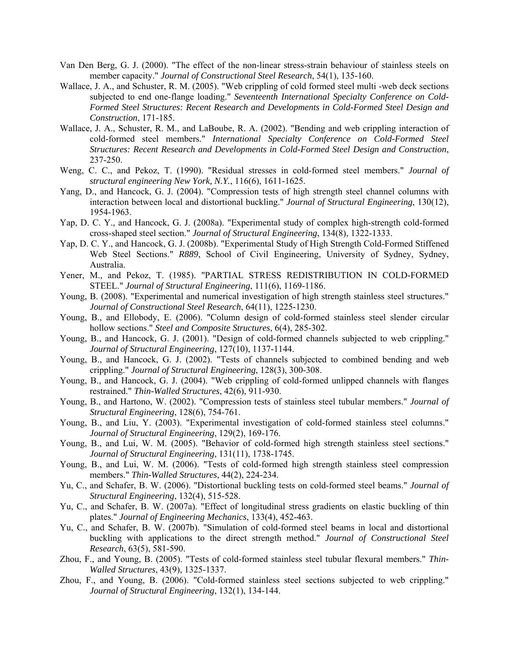- Van Den Berg, G. J. (2000). "The effect of the non-linear stress-strain behaviour of stainless steels on member capacity." *Journal of Constructional Steel Research*, 54(1), 135-160.
- Wallace, J. A., and Schuster, R. M. (2005). "Web crippling of cold formed steel multi -web deck sections subjected to end one-flange loading." *Seventeenth International Specialty Conference on Cold-Formed Steel Structures: Recent Research and Developments in Cold-Formed Steel Design and Construction*, 171-185.
- Wallace, J. A., Schuster, R. M., and LaBoube, R. A. (2002). "Bending and web crippling interaction of cold-formed steel members." *International Specialty Conference on Cold-Formed Steel Structures: Recent Research and Developments in Cold-Formed Steel Design and Construction*, 237-250.
- Weng, C. C., and Pekoz, T. (1990). "Residual stresses in cold-formed steel members." *Journal of structural engineering New York, N.Y.*, 116(6), 1611-1625.
- Yang, D., and Hancock, G. J. (2004). "Compression tests of high strength steel channel columns with interaction between local and distortional buckling." *Journal of Structural Engineering*, 130(12), 1954-1963.
- Yap, D. C. Y., and Hancock, G. J. (2008a). "Experimental study of complex high-strength cold-formed cross-shaped steel section." *Journal of Structural Engineering*, 134(8), 1322-1333.
- Yap, D. C. Y., and Hancock, G. J. (2008b). "Experimental Study of High Strength Cold-Formed Stiffened Web Steel Sections." *R889*, School of Civil Engineering, University of Sydney, Sydney, Australia.
- Yener, M., and Pekoz, T. (1985). "PARTIAL STRESS REDISTRIBUTION IN COLD-FORMED STEEL." *Journal of Structural Engineering*, 111(6), 1169-1186.
- Young, B. (2008). "Experimental and numerical investigation of high strength stainless steel structures." *Journal of Constructional Steel Research*, 64(11), 1225-1230.
- Young, B., and Ellobody, E. (2006). "Column design of cold-formed stainless steel slender circular hollow sections." *Steel and Composite Structures*, 6(4), 285-302.
- Young, B., and Hancock, G. J. (2001). "Design of cold-formed channels subjected to web crippling." *Journal of Structural Engineering*, 127(10), 1137-1144.
- Young, B., and Hancock, G. J. (2002). "Tests of channels subjected to combined bending and web crippling." *Journal of Structural Engineering*, 128(3), 300-308.
- Young, B., and Hancock, G. J. (2004). "Web crippling of cold-formed unlipped channels with flanges restrained." *Thin-Walled Structures*, 42(6), 911-930.
- Young, B., and Hartono, W. (2002). "Compression tests of stainless steel tubular members." *Journal of Structural Engineering*, 128(6), 754-761.
- Young, B., and Liu, Y. (2003). "Experimental investigation of cold-formed stainless steel columns." *Journal of Structural Engineering*, 129(2), 169-176.
- Young, B., and Lui, W. M. (2005). "Behavior of cold-formed high strength stainless steel sections." *Journal of Structural Engineering*, 131(11), 1738-1745.
- Young, B., and Lui, W. M. (2006). "Tests of cold-formed high strength stainless steel compression members." *Thin-Walled Structures*, 44(2), 224-234.
- Yu, C., and Schafer, B. W. (2006). "Distortional buckling tests on cold-formed steel beams." *Journal of Structural Engineering*, 132(4), 515-528.
- Yu, C., and Schafer, B. W. (2007a). "Effect of longitudinal stress gradients on elastic buckling of thin plates." *Journal of Engineering Mechanics*, 133(4), 452-463.
- Yu, C., and Schafer, B. W. (2007b). "Simulation of cold-formed steel beams in local and distortional buckling with applications to the direct strength method." *Journal of Constructional Steel Research*, 63(5), 581-590.
- Zhou, F., and Young, B. (2005). "Tests of cold-formed stainless steel tubular flexural members." *Thin-Walled Structures*, 43(9), 1325-1337.
- Zhou, F., and Young, B. (2006). "Cold-formed stainless steel sections subjected to web crippling." *Journal of Structural Engineering*, 132(1), 134-144.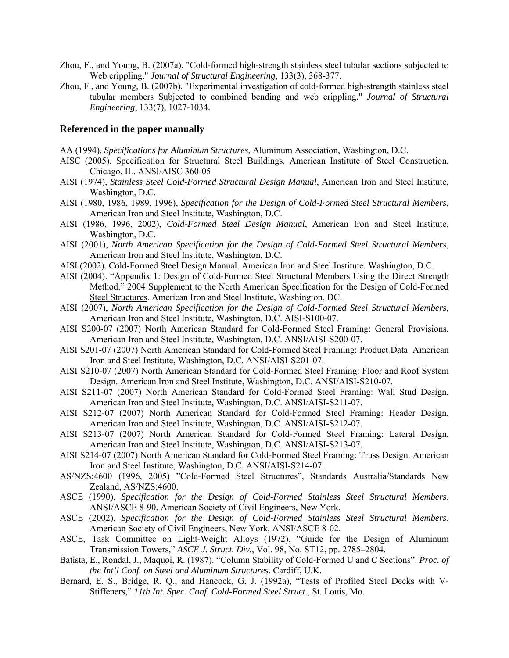- Zhou, F., and Young, B. (2007a). "Cold-formed high-strength stainless steel tubular sections subjected to Web crippling." *Journal of Structural Engineering*, 133(3), 368-377.
- Zhou, F., and Young, B. (2007b). "Experimental investigation of cold-formed high-strength stainless steel tubular members Subjected to combined bending and web crippling." *Journal of Structural Engineering*, 133(7), 1027-1034.

## **Referenced in the paper manually**

- AA (1994), *Specifications for Aluminum Structures*, Aluminum Association, Washington, D.C.
- AISC (2005). Specification for Structural Steel Buildings. American Institute of Steel Construction. Chicago, IL. ANSI/AISC 360-05
- AISI (1974), *Stainless Steel Cold-Formed Structural Design Manual*, American Iron and Steel Institute, Washington, D.C.
- AISI (1980, 1986, 1989, 1996), *Specification for the Design of Cold-Formed Steel Structural Members*, American Iron and Steel Institute, Washington, D.C.
- AISI (1986, 1996, 2002), *Cold-Formed Steel Design Manual*, American Iron and Steel Institute, Washington, D.C.
- AISI (2001), *North American Specification for the Design of Cold-Formed Steel Structural Members*, American Iron and Steel Institute, Washington, D.C.
- AISI (2002). Cold-Formed Steel Design Manual. American Iron and Steel Institute. Washington, D.C.
- AISI (2004). "Appendix 1: Design of Cold-Formed Steel Structural Members Using the Direct Strength Method." 2004 Supplement to the North American Specification for the Design of Cold-Formed Steel Structures. American Iron and Steel Institute, Washington, DC.
- AISI (2007), *North American Specification for the Design of Cold-Formed Steel Structural Members*, American Iron and Steel Institute, Washington, D.C. AISI-S100-07.
- AISI S200-07 (2007) North American Standard for Cold-Formed Steel Framing: General Provisions. American Iron and Steel Institute, Washington, D.C. ANSI/AISI-S200-07.
- AISI S201-07 (2007) North American Standard for Cold-Formed Steel Framing: Product Data. American Iron and Steel Institute, Washington, D.C. ANSI/AISI-S201-07.
- AISI S210-07 (2007) North American Standard for Cold-Formed Steel Framing: Floor and Roof System Design. American Iron and Steel Institute, Washington, D.C. ANSI/AISI-S210-07.
- AISI S211-07 (2007) North American Standard for Cold-Formed Steel Framing: Wall Stud Design. American Iron and Steel Institute, Washington, D.C. ANSI/AISI-S211-07.
- AISI S212-07 (2007) North American Standard for Cold-Formed Steel Framing: Header Design. American Iron and Steel Institute, Washington, D.C. ANSI/AISI-S212-07.
- AISI S213-07 (2007) North American Standard for Cold-Formed Steel Framing: Lateral Design. American Iron and Steel Institute, Washington, D.C. ANSI/AISI-S213-07.
- AISI S214-07 (2007) North American Standard for Cold-Formed Steel Framing: Truss Design. American Iron and Steel Institute, Washington, D.C. ANSI/AISI-S214-07.
- AS/NZS:4600 (1996, 2005) "Cold-Formed Steel Structures", Standards Australia/Standards New Zealand, AS/NZS:4600.
- ASCE (1990), *Specification for the Design of Cold-Formed Stainless Steel Structural Members*, ANSI/ASCE 8-90, American Society of Civil Engineers, New York.
- ASCE (2002), *Specification for the Design of Cold-Formed Stainless Steel Structural Members*, American Society of Civil Engineers, New York, ANSI/ASCE 8-02.
- ASCE, Task Committee on Light-Weight Alloys (1972), "Guide for the Design of Aluminum Transmission Towers," *ASCE J. Struct. Div.*, Vol. 98, No. ST12, pp. 2785–2804.
- Batista, E., Rondal, J., Maquoi, R. (1987). "Column Stability of Cold-Formed U and C Sections". *Proc. of the Int'l Conf. on Steel and Aluminum Structures*. Cardiff, U.K.
- Bernard, E. S., Bridge, R. Q., and Hancock, G. J. (1992a), "Tests of Profiled Steel Decks with V-Stiffeners," *11th Int. Spec. Conf. Cold-Formed Steel Struct.*, St. Louis, Mo.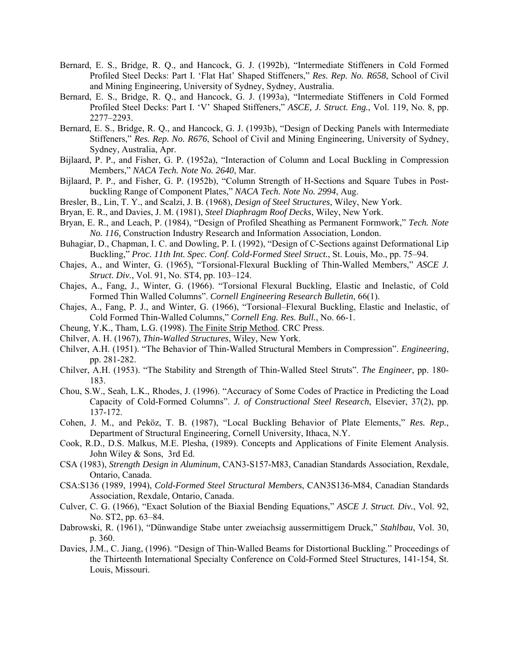- Bernard, E. S., Bridge, R. Q., and Hancock, G. J. (1992b), "Intermediate Stiffeners in Cold Formed Profiled Steel Decks: Part I. 'Flat Hat' Shaped Stiffeners," *Res. Rep. No. R658*, School of Civil and Mining Engineering, University of Sydney, Sydney, Australia.
- Bernard, E. S., Bridge, R. Q., and Hancock, G. J. (1993a), "Intermediate Stiffeners in Cold Formed Profiled Steel Decks: Part I. 'V' Shaped Stiffeners," *ASCE, J. Struct. Eng.*, Vol. 119, No. 8, pp. 2277–2293.
- Bernard, E. S., Bridge, R. Q., and Hancock, G. J. (1993b), "Design of Decking Panels with Intermediate Stiffeners," *Res. Rep. No. R676*, School of Civil and Mining Engineering, University of Sydney, Sydney, Australia, Apr.
- Bijlaard, P. P., and Fisher, G. P. (1952a), "Interaction of Column and Local Buckling in Compression Members," *NACA Tech. Note No. 2640*, Mar.
- Bijlaard, P. P., and Fisher, G. P. (1952b), "Column Strength of H-Sections and Square Tubes in Postbuckling Range of Component Plates," *NACA Tech. Note No. 2994*, Aug.
- Bresler, B., Lin, T. Y., and Scalzi, J. B. (1968), *Design of Steel Structures,* Wiley, New York.
- Bryan, E. R., and Davies, J. M. (1981), *Steel Diaphragm Roof Decks*, Wiley, New York.
- Bryan, E. R., and Leach, P. (1984), "Design of Profiled Sheathing as Permanent Formwork," *Tech. Note No. 116,* Construction Industry Research and Information Association, London.
- Buhagiar, D., Chapman, I. C. and Dowling, P. I. (1992), "Design of C-Sections against Deformational Lip Buckling," *Proc. 11th Int. Spec. Conf. Cold-Formed Steel Struct.*, St. Louis, Mo., pp. 75–94.
- Chajes, A., and Winter, G. (1965), "Torsional-Flexural Buckling of Thin-Walled Members," *ASCE J. Struct. Div.*, Vol. 91, No. ST4, pp. 103–124.
- Chajes, A., Fang, J., Winter, G. (1966). "Torsional Flexural Buckling, Elastic and Inelastic, of Cold Formed Thin Walled Columns". *Cornell Engineering Research Bulletin*, 66(1).
- Chajes, A., Fang, P. J., and Winter, G. (1966), "Torsional–Flexural Buckling, Elastic and Inelastic, of Cold Formed Thin-Walled Columns," *Cornell Eng. Res. Bull.*, No. 66-1.
- Cheung, Y.K., Tham, L.G. (1998). The Finite Strip Method. CRC Press.
- Chilver, A. H. (1967), *Thin-Walled Structures*, Wiley, New York.
- Chilver, A.H. (1951). "The Behavior of Thin-Walled Structural Members in Compression". *Engineering*, pp. 281-282.
- Chilver, A.H. (1953). "The Stability and Strength of Thin-Walled Steel Struts". *The Engineer*, pp. 180- 183.
- Chou, S.W., Seah, L.K., Rhodes, J. (1996). "Accuracy of Some Codes of Practice in Predicting the Load Capacity of Cold-Formed Columns". *J. of Constructional Steel Research*, Elsevier, 37(2), pp. 137-172.
- Cohen, J. M., and Peköz, T. B. (1987), "Local Buckling Behavior of Plate Elements," *Res. Rep.*, Department of Structural Engineering, Cornell University, Ithaca, N.Y.
- Cook, R.D., D.S. Malkus, M.E. Plesha, (1989). Concepts and Applications of Finite Element Analysis. John Wiley & Sons, 3rd Ed.
- CSA (1983), *Strength Design in Aluminum*, CAN3-S157-M83, Canadian Standards Association, Rexdale, Ontario, Canada.
- CSA:S136 (1989, 1994), *Cold-Formed Steel Structural Members*, CAN3S136-M84, Canadian Standards Association, Rexdale, Ontario, Canada.
- Culver, C. G. (1966), "Exact Solution of the Biaxial Bending Equations," *ASCE J. Struct. Div.*, Vol. 92, No. ST2, pp. 63–84.
- Dabrowski, R. (1961), "Dünwandige Stabe unter zweiachsig aussermittigem Druck," *Stahlbau*, Vol. 30, p. 360.
- Davies, J.M., C. Jiang, (1996). "Design of Thin-Walled Beams for Distortional Buckling." Proceedings of the Thirteenth International Specialty Conference on Cold-Formed Steel Structures, 141-154, St. Louis, Missouri.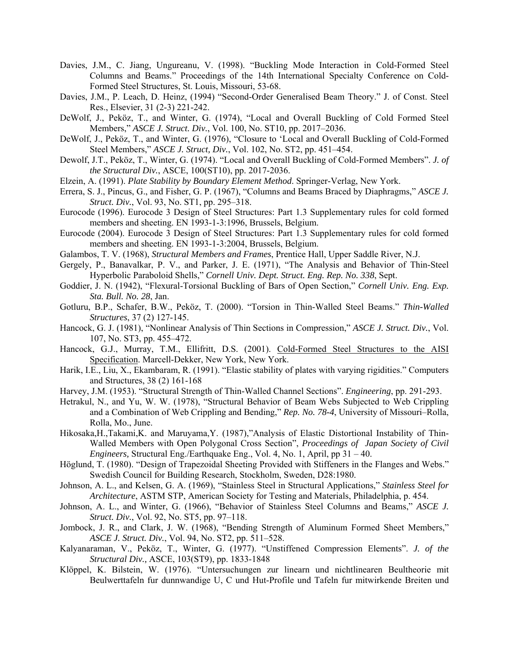- Davies, J.M., C. Jiang, Ungureanu, V. (1998). "Buckling Mode Interaction in Cold-Formed Steel Columns and Beams." Proceedings of the 14th International Specialty Conference on Cold-Formed Steel Structures, St. Louis, Missouri, 53-68.
- Davies, J.M., P. Leach, D. Heinz, (1994) "Second-Order Generalised Beam Theory." J. of Const. Steel Res., Elsevier, 31 (2-3) 221-242.
- DeWolf, J., Peköz, T., and Winter, G. (1974), "Local and Overall Buckling of Cold Formed Steel Members," *ASCE J. Struct. Div.*, Vol. 100, No. ST10, pp. 2017–2036.
- DeWolf, J., Peköz, T., and Winter, G. (1976), "Closure to 'Local and Overall Buckling of Cold-Formed Steel Members," *ASCE J. Struct, Div.*, Vol. 102, No. ST2, pp. 451–454.
- Dewolf, J.T., Peköz, T., Winter, G. (1974). "Local and Overall Buckling of Cold-Formed Members". *J. of the Structural Div.*, ASCE, 100(ST10), pp. 2017-2036.
- Elzein, A. (1991). *Plate Stability by Boundary Element Method*. Springer-Verlag, New York.
- Errera, S. J., Pincus, G., and Fisher, G. P. (1967), "Columns and Beams Braced by Diaphragms," *ASCE J. Struct. Div.*, Vol. 93, No. ST1, pp. 295–318.
- Eurocode (1996). Eurocode 3 Design of Steel Structures: Part 1.3 Supplementary rules for cold formed members and sheeting. EN 1993-1-3:1996, Brussels, Belgium.
- Eurocode (2004). Eurocode 3 Design of Steel Structures: Part 1.3 Supplementary rules for cold formed members and sheeting. EN 1993-1-3:2004, Brussels, Belgium.
- Galambos, T. V. (1968), *Structural Members and Frames*, Prentice Hall, Upper Saddle River, N.J.
- Gergely, P., Banavalkar, P. V., and Parker, J. E. (1971), "The Analysis and Behavior of Thin-Steel Hyperbolic Paraboloid Shells," *Cornell Univ. Dept. Struct. Eng. Rep. No. 338*, Sept.
- Goddier, J. N. (1942), "Flexural-Torsional Buckling of Bars of Open Section," *Cornell Univ. Eng. Exp. Sta. Bull. No. 28*, Jan.
- Gotluru, B.P., Schafer, B.W., Peköz, T. (2000). "Torsion in Thin-Walled Steel Beams." *Thin-Walled Structures*, 37 (2) 127-145.
- Hancock, G. J. (1981), "Nonlinear Analysis of Thin Sections in Compression," *ASCE J. Struct. Div.*, Vol. 107, No. ST3, pp. 455–472.
- Hancock, G.J., Murray, T.M., Ellifritt, D.S. (2001). Cold-Formed Steel Structures to the AISI Specification. Marcell-Dekker, New York, New York.
- Harik, I.E., Liu, X., Ekambaram, R. (1991). "Elastic stability of plates with varying rigidities." Computers and Structures, 38 (2) 161-168
- Harvey, J.M. (1953). "Structural Strength of Thin-Walled Channel Sections". *Engineering*, pp. 291-293.
- Hetrakul, N., and Yu, W. W. (1978), "Structural Behavior of Beam Webs Subjected to Web Crippling and a Combination of Web Crippling and Bending," *Rep. No. 78-4*, University of Missouri–Rolla, Rolla, Mo., June.
- Hikosaka,H.,Takami,K. and Maruyama,Y. (1987),"Analysis of Elastic Distortional Instability of Thin-Walled Members with Open Polygonal Cross Section", *Proceedings of Japan Society of Civil Engineers,* Structural Eng./Earthquake Eng., Vol. 4, No. 1, April, pp 31 – 40.
- Höglund, T. (1980). "Design of Trapezoidal Sheeting Provided with Stiffeners in the Flanges and Webs." Swedish Council for Building Research, Stockholm, Sweden, D28:1980.
- Johnson, A. L., and Kelsen, G. A. (1969), "Stainless Steel in Structural Applications," *Stainless Steel for Architecture*, ASTM STP, American Society for Testing and Materials, Philadelphia, p. 454.
- Johnson, A. L., and Winter, G. (1966), "Behavior of Stainless Steel Columns and Beams," *ASCE J. Struct. Div.*, Vol. 92, No. ST5, pp. 97–118.
- Jombock, J. R., and Clark, J. W. (1968), "Bending Strength of Aluminum Formed Sheet Members," *ASCE J. Struct. Div.*, Vol. 94, No. ST2, pp. 511–528.
- Kalyanaraman, V., Peköz, T., Winter, G. (1977). "Unstiffened Compression Elements". *J. of the Structural Div.,* ASCE, 103(ST9), pp. 1833-1848
- Klöppel, K. Bilstein, W. (1976). "Untersuchungen zur linearn und nichtlinearen Beultheorie mit Beulwerttafeln fur dunnwandige U, C und Hut-Profile und Tafeln fur mitwirkende Breiten und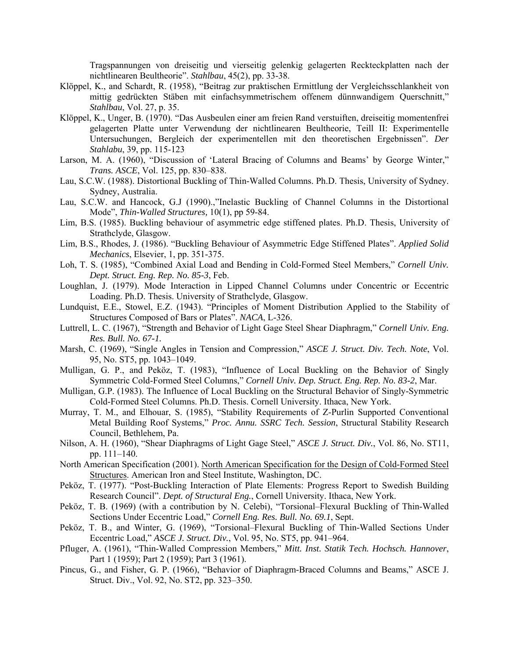Tragspannungen von dreiseitig und vierseitig gelenkig gelagerten Reckteckplatten nach der nichtlinearen Beultheorie". *Stahlbau*, 45(2), pp. 33-38.

- Klöppel, K., and Schardt, R. (1958), "Beitrag zur praktischen Ermittlung der Vergleichsschlankheit von mittig gedrückten Stäben mit einfachsymmetrischem offenem dünnwandigem Querschnitt," *Stahlbau*, Vol. 27, p. 35.
- Klöppel, K., Unger, B. (1970). "Das Ausbeulen einer am freien Rand verstuiften, dreiseitig momentenfrei gelagerten Platte unter Verwendung der nichtlinearen Beultheorie, Teill II: Experimentelle Untersuchungen, Bergleich der experimentellen mit den theoretischen Ergebnissen". *Der Stahlabu*, 39, pp. 115-123
- Larson, M. A. (1960), "Discussion of 'Lateral Bracing of Columns and Beams' by George Winter," *Trans. ASCE*, Vol. 125, pp. 830–838.
- Lau, S.C.W. (1988). Distortional Buckling of Thin-Walled Columns. Ph.D. Thesis, University of Sydney. Sydney, Australia.
- Lau, S.C.W. and Hancock, G.J (1990).,"Inelastic Buckling of Channel Columns in the Distortional Mode", *Thin-Walled Structures,* 10(1), pp 59-84.
- Lim, B.S. (1985). Buckling behaviour of asymmetric edge stiffened plates. Ph.D. Thesis, University of Strathclyde, Glasgow.
- Lim, B.S., Rhodes, J. (1986). "Buckling Behaviour of Asymmetric Edge Stiffened Plates". *Applied Solid Mechanics*, Elsevier, 1, pp. 351-375.
- Loh, T. S. (1985), "Combined Axial Load and Bending in Cold-Formed Steel Members," *Cornell Univ. Dept. Struct. Eng. Rep. No. 85-3*, Feb.
- Loughlan, J. (1979). Mode Interaction in Lipped Channel Columns under Concentric or Eccentric Loading. Ph.D. Thesis. University of Strathclyde, Glasgow.
- Lundquist, E.E., Stowel, E.Z. (1943). "Principles of Moment Distribution Applied to the Stability of Structures Composed of Bars or Plates". *NACA*, L-326.
- Luttrell, L. C. (1967), "Strength and Behavior of Light Gage Steel Shear Diaphragm," *Cornell Univ. Eng. Res. Bull. No. 67-1.*
- Marsh, C. (1969), "Single Angles in Tension and Compression," *ASCE J. Struct. Div. Tech. Note*, Vol. 95, No. ST5, pp. 1043–1049.
- Mulligan, G. P., and Peköz, T. (1983), "Influence of Local Buckling on the Behavior of Singly Symmetric Cold-Formed Steel Columns," *Cornell Univ. Dep. Struct. Eng. Rep. No. 83-2*, Mar.
- Mulligan, G.P. (1983). The Influence of Local Buckling on the Structural Behavior of Singly-Symmetric Cold-Formed Steel Columns. Ph.D. Thesis. Cornell University. Ithaca, New York.
- Murray, T. M., and Elhouar, S. (1985), "Stability Requirements of Z-Purlin Supported Conventional Metal Building Roof Systems," *Proc. Annu. SSRC Tech. Session*, Structural Stability Research Council, Bethlehem, Pa.
- Nilson, A. H. (1960), "Shear Diaphragms of Light Gage Steel," *ASCE J. Struct. Div.*, Vol. 86, No. ST11, pp. 111–140.
- North American Specification (2001). North American Specification for the Design of Cold-Formed Steel Structures. American Iron and Steel Institute, Washington, DC.
- Peköz, T. (1977). "Post-Buckling Interaction of Plate Elements: Progress Report to Swedish Building Research Council". *Dept. of Structural Eng.*, Cornell University. Ithaca, New York.
- Peköz, T. B. (1969) (with a contribution by N. Celebi), "Torsional–Flexural Buckling of Thin-Walled Sections Under Eccentric Load," *Cornell Eng. Res. Bull. No. 69.1*, Sept.
- Peköz, T. B., and Winter, G. (1969), "Torsional–Flexural Buckling of Thin-Walled Sections Under Eccentric Load," *ASCE J. Struct. Div.*, Vol. 95, No. ST5, pp. 941–964.
- Pfluger, A. (1961), "Thin-Walled Compression Members," *Mitt. Inst. Statik Tech. Hochsch. Hannover*, Part 1 (1959); Part 2 (1959); Part 3 (1961).
- Pincus, G., and Fisher, G. P. (1966), "Behavior of Diaphragm-Braced Columns and Beams," ASCE J. Struct. Div., Vol. 92, No. ST2, pp. 323–350.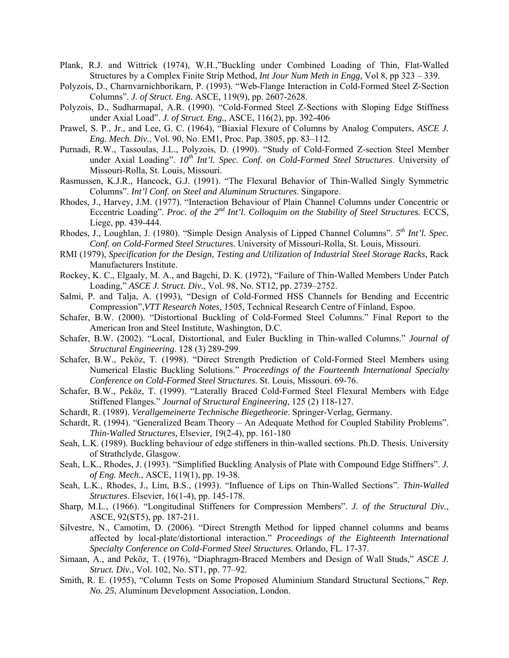- Plank, R.J. and Wittrick (1974), W.H.,"Buckling under Combined Loading of Thin, Flat-Walled Structures by a Complex Finite Strip Method, *Int Jour Num Meth in Engg,* Vol 8, pp 323 – 339.
- Polyzois, D., Charnvarnichborikarn, P. (1993). "Web-Flange Interaction in Cold-Formed Steel Z-Section Columns". *J. of Struct. Eng.* ASCE, 119(9), pp. 2607-2628.
- Polyzois, D., Sudharmapal, A.R. (1990). "Cold-Formed Steel Z-Sections with Sloping Edge Stiffness under Axial Load". *J. of Struct. Eng.*, ASCE, 116(2), pp. 392-406
- Prawel, S. P., Jr., and Lee, G. C. (1964), "Biaxial Flexure of Columns by Analog Computers, *ASCE J. Eng. Mech. Div.*, Vol. 90, No. EM1, Proc. Pap. 3805, pp. 83–112.
- Purnadi, R.W., Tassoulas, J.L., Polyzois, D. (1990). "Study of Cold-Formed Z-section Steel Member under Axial Loading".  $10^{th}$  Int'l. Spec. Conf. on Cold-Formed Steel Structures. University of Missouri-Rolla, St. Louis, Missouri.
- Rasmussen, K.J.R., Hancock, G.J. (1991). "The Flexural Behavior of Thin-Walled Singly Symmetric Columns". *Int'l Conf. on Steel and Aluminum Structures*. Singapore.
- Rhodes, J., Harvey, J.M. (1977). "Interaction Behaviour of Plain Channel Columns under Concentric or Eccentric Loading". *Proc. of the 2nd Int'l. Colloquim on the Stability of Steel Structures.* ECCS, Liege, pp. 439-444.
- Rhodes, J., Loughlan, J. (1980). "Simple Design Analysis of Lipped Channel Columns". *5th Int'l. Spec. Conf. on Cold-Formed Steel Structures*. University of Missouri-Rolla, St. Louis, Missouri.
- RMI (1979), *Specification for the Design, Testing and Utilization of Industrial Steel Storage Racks*, Rack Manufacturers Institute.
- Rockey, K. C., Elgaaly, M. A., and Bagchi, D. K. (1972), "Failure of Thin-Walled Members Under Patch Loading," *ASCE J. Struct. Div.*, Vol. 98, No. ST12, pp. 2739–2752.
- Salmi, P. and Talja, A. (1993), "Design of Cold-Formed HSS Channels for Bending and Eccentric Compression",*VTT Research Notes,* 1505, Technical Research Centre of Finland, Espoo.
- Schafer, B.W. (2000). "Distortional Buckling of Cold-Formed Steel Columns." Final Report to the American Iron and Steel Institute, Washington, D.C.
- Schafer, B.W. (2002). "Local, Distortional, and Euler Buckling in Thin-walled Columns." *Journal of Structural Engineering*. 128 (3) 289-299.
- Schafer, B.W., Peköz, T. (1998). "Direct Strength Prediction of Cold-Formed Steel Members using Numerical Elastic Buckling Solutions." *Proceedings of the Fourteenth International Specialty Conference on Cold-Formed Steel Structures*. St. Louis, Missouri. 69-76.
- Schafer, B.W., Peköz, T. (1999). "Laterally Braced Cold-Formed Steel Flexural Members with Edge Stiffened Flanges." *Journal of Structural Engineering*, 125 (2) 118-127.
- Schardt, R. (1989). *Verallgemeinerte Technische Biegetheorie*. Springer-Verlag, Germany.
- Schardt, R. (1994). "Generalized Beam Theory An Adequate Method for Coupled Stability Problems". *Thin-Walled Structures,* Elsevier, 19(2-4), pp. 161-180
- Seah, L.K. (1989). Buckling behaviour of edge stiffeners in thin-walled sections. Ph.D. Thesis. University of Strathclyde, Glasgow.
- Seah, L.K., Rhodes, J. (1993). "Simplified Buckling Analysis of Plate with Compound Edge Stiffners". *J. of Eng. Mech.*, ASCE, 119(1), pp. 19-38.
- Seah, L.K., Rhodes, J., Lim, B.S., (1993). "Influence of Lips on Thin-Walled Sections". *Thin-Walled Structures*. Elsevier, 16(1-4), pp. 145-178.
- Sharp, M.L., (1966). "Longitudinal Stiffeners for Compression Members". *J. of the Structural Div.*, ASCE, 92(ST5), pp. 187-211.
- Silvestre, N., Camotim, D. (2006). "Direct Strength Method for lipped channel columns and beams affected by local-plate/distortional interaction." *Proceedings of the Eighteenth International Specialty Conference on Cold-Formed Steel Structures.* Orlando, FL. 17-37.
- Simaan, A., and Peköz, T. (1976), "Diaphragm-Braced Members and Design of Wall Studs," *ASCE J. Struct. Div.*, Vol. 102, No. ST1, pp. 77–92.
- Smith, R. E. (1955), "Column Tests on Some Proposed Aluminium Standard Structural Sections," *Rep. No. 25*, Aluminum Development Association, London.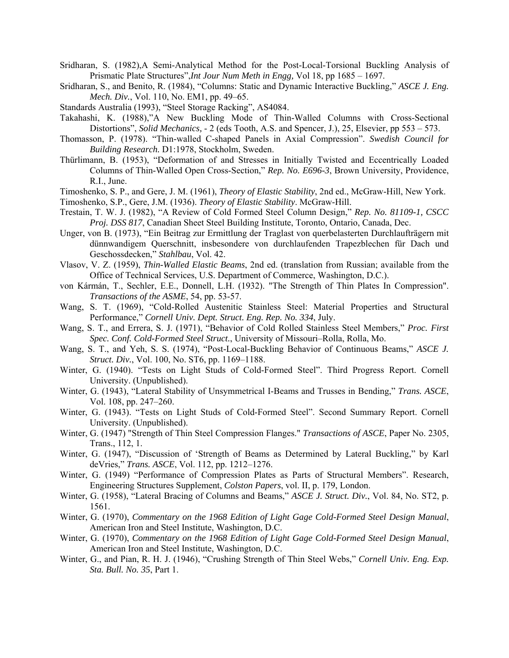- Sridharan, S. (1982),A Semi-Analytical Method for the Post-Local-Torsional Buckling Analysis of Prismatic Plate Structures",*Int Jour Num Meth in Engg,* Vol 18, pp 1685 – 1697.
- Sridharan, S., and Benito, R. (1984), "Columns: Static and Dynamic Interactive Buckling," *ASCE J. Eng. Mech. Div.*, Vol. 110, No. EM1, pp. 49–65.
- Standards Australia (1993), "Steel Storage Racking", AS4084.
- Takahashi, K. (1988),"A New Buckling Mode of Thin-Walled Columns with Cross-Sectional Distortions", *Solid Mechanics,* - 2 (eds Tooth, A.S. and Spencer, J.), 25, Elsevier, pp 553 – 573.
- Thomasson, P. (1978). "Thin-walled C-shaped Panels in Axial Compression". *Swedish Council for Building Research.* D1:1978, Stockholm, Sweden.
- Thürlimann, B. (1953), "Deformation of and Stresses in Initially Twisted and Eccentrically Loaded Columns of Thin-Walled Open Cross-Section," *Rep. No. E696-3*, Brown University, Providence, R.I., June.
- Timoshenko, S. P., and Gere, J. M. (1961), *Theory of Elastic Stability*, 2nd ed., McGraw-Hill, New York.
- Timoshenko, S.P., Gere, J.M. (1936). *Theory of Elastic Stability*. McGraw-Hill.
- Trestain, T. W. J. (1982), "A Review of Cold Formed Steel Column Design," *Rep. No. 81109-1, CSCC Proj. DSS 817*, Canadian Sheet Steel Building Institute, Toronto, Ontario, Canada, Dec.
- Unger, von B. (1973), "Ein Beitrag zur Ermittlung der Traglast von querbelasterten Durchlaufträgern mit dünnwandigem Querschnitt, insbesondere von durchlaufenden Trapezblechen für Dach und Geschossdecken," *Stahlbau*, Vol. 42.
- Vlasov, V. Z. (1959), *Thin-Walled Elastic Beams*, 2nd ed. (translation from Russian; available from the Office of Technical Services, U.S. Department of Commerce, Washington, D.C.).
- von Kármán, T., Sechler, E.E., Donnell, L.H. (1932). "The Strength of Thin Plates In Compression". *Transactions of the ASME*, 54, pp. 53-57.
- Wang, S. T. (1969), "Cold-Rolled Austenitic Stainless Steel: Material Properties and Structural Performance," *Cornell Univ. Dept. Struct. Eng. Rep. No. 334*, July.
- Wang, S. T., and Errera, S. J. (1971), "Behavior of Cold Rolled Stainless Steel Members," *Proc. First Spec. Conf. Cold-Formed Steel Struct.*, University of Missouri–Rolla, Rolla, Mo.
- Wang, S. T., and Yeh, S. S. (1974), "Post-Local-Buckling Behavior of Continuous Beams," *ASCE J. Struct. Div.*, Vol. 100, No. ST6, pp. 1169–1188.
- Winter, G. (1940). "Tests on Light Studs of Cold-Formed Steel". Third Progress Report. Cornell University. (Unpublished).
- Winter, G. (1943), "Lateral Stability of Unsymmetrical I-Beams and Trusses in Bending," *Trans. ASCE*, Vol. 108, pp. 247–260.
- Winter, G. (1943). "Tests on Light Studs of Cold-Formed Steel". Second Summary Report. Cornell University. (Unpublished).
- Winter, G. (1947) "Strength of Thin Steel Compression Flanges." *Transactions of ASCE*, Paper No. 2305, Trans., 112, 1.
- Winter, G. (1947), "Discussion of 'Strength of Beams as Determined by Lateral Buckling," by Karl deVries," *Trans. ASCE*, Vol. 112, pp. 1212–1276.
- Winter, G. (1949) "Performance of Compression Plates as Parts of Structural Members". Research, Engineering Structures Supplement, *Colston Papers*, vol. II, p. 179, London.
- Winter, G. (1958), "Lateral Bracing of Columns and Beams," *ASCE J. Struct. Div.*, Vol. 84, No. ST2, p. 1561.
- Winter, G. (1970), *Commentary on the 1968 Edition of Light Gage Cold-Formed Steel Design Manual*, American Iron and Steel Institute, Washington, D.C.
- Winter, G. (1970), *Commentary on the 1968 Edition of Light Gage Cold-Formed Steel Design Manual*, American Iron and Steel Institute, Washington, D.C.
- Winter, G., and Pian, R. H. J. (1946), "Crushing Strength of Thin Steel Webs," *Cornell Univ. Eng. Exp. Sta. Bull. No. 35*, Part 1.